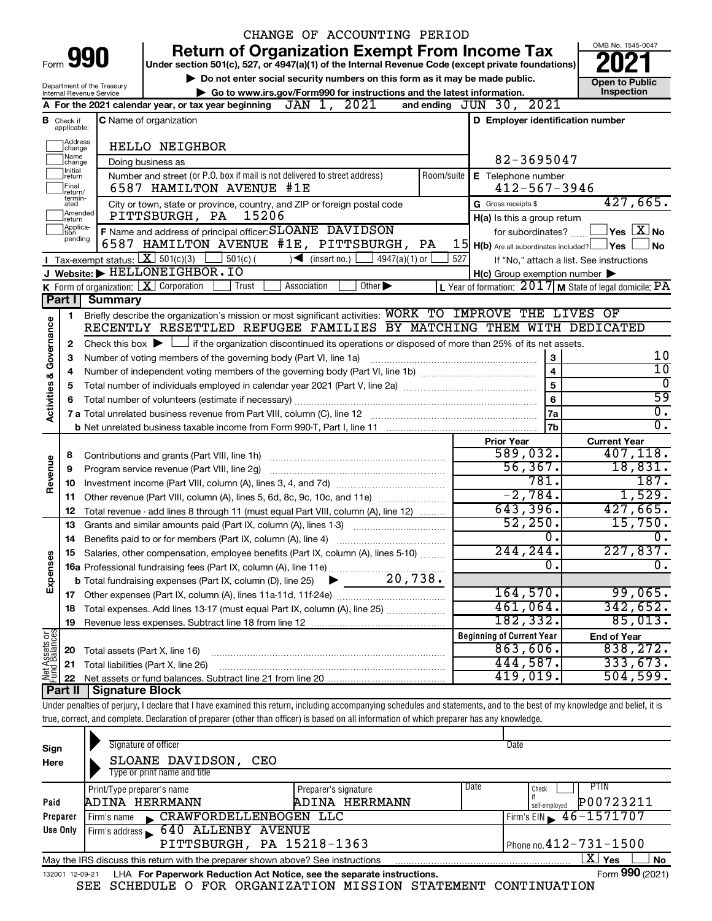|                                    |                             |                                             | CHANGE OF ACCOUNTING PERIOD                                                                                                                                                |                                                           |                        |
|------------------------------------|-----------------------------|---------------------------------------------|----------------------------------------------------------------------------------------------------------------------------------------------------------------------------|-----------------------------------------------------------|------------------------|
|                                    |                             |                                             | <b>Return of Organization Exempt From Income Tax</b>                                                                                                                       |                                                           | OMB No. 1545-0047      |
| Form 990                           |                             |                                             | Under section 501(c), 527, or 4947(a)(1) of the Internal Revenue Code (except private foundations)                                                                         |                                                           |                        |
|                                    |                             | Department of the Treasury                  | Do not enter social security numbers on this form as it may be made public.                                                                                                |                                                           | <b>Open to Public</b>  |
|                                    |                             | Internal Revenue Service                    | Go to www.irs.gov/Form990 for instructions and the latest information.                                                                                                     |                                                           | Inspection             |
|                                    |                             |                                             | JAN 1, 2021<br>A For the 2021 calendar year, or tax year beginning                                                                                                         | 2021<br>and ending $JUN$ 30,                              |                        |
| В                                  | Check if<br>applicable:     |                                             | <b>C</b> Name of organization                                                                                                                                              | D Employer identification number                          |                        |
|                                    | Address<br>change           |                                             | <b>HELLO NEIGHBOR</b>                                                                                                                                                      |                                                           |                        |
|                                    | Name<br>change              |                                             | Doing business as                                                                                                                                                          | 82-3695047                                                |                        |
|                                    | Initial<br>return           |                                             | Number and street (or P.O. box if mail is not delivered to street address)<br>Room/suite                                                                                   | <b>E</b> Telephone number                                 |                        |
|                                    | Final<br>return/            |                                             | 6587 HAMILTON AVENUE #1E                                                                                                                                                   | $412 - 567 - 3946$                                        |                        |
|                                    | termin-<br>ated             |                                             | City or town, state or province, country, and ZIP or foreign postal code                                                                                                   | G Gross receipts \$                                       | 427,665.               |
|                                    | Amended<br>return           |                                             | PITTSBURGH, PA<br>15206                                                                                                                                                    | H(a) Is this a group return                               |                        |
|                                    | Applica-<br>tion<br>pending |                                             | F Name and address of principal officer: SLOANE DAVIDSON                                                                                                                   | for subordinates?                                         | $\Box$ Yes $\Box X$ No |
|                                    |                             |                                             | 6587 HAMILTON AVENUE #1E, PITTSBURGH, PA                                                                                                                                   | $15$ $H(b)$ Are all subordinates included? $\Box$ Yes     | <b>No</b>              |
|                                    |                             | <b>I</b> Tax-exempt status: $X \ 501(c)(3)$ | $501(c)$ (<br>4947(a)(1) or<br>$\sqrt{\frac{1}{1}}$ (insert no.)                                                                                                           | 527<br>If "No," attach a list. See instructions           |                        |
|                                    |                             |                                             | J Website: FELLONEIGHBOR.IO                                                                                                                                                | $H(c)$ Group exemption number $\blacktriangleright$       |                        |
|                                    | Part I                      | K Form of organization: $X$ Corporation     | Trust<br>Association<br>Other $\blacktriangleright$                                                                                                                        | L Year of formation: $2017$ M State of legal domicile: PA |                        |
|                                    |                             | Summary                                     | Briefly describe the organization's mission or most significant activities: WORK TO IMPROVE THE LIVES OF                                                                   |                                                           |                        |
|                                    | 1                           |                                             | RECENTLY RESETTLED REFUGEE FAMILIES BY MATCHING THEM WITH DEDICATED                                                                                                        |                                                           |                        |
|                                    | 2                           |                                             | Check this box $\blacktriangleright$ $\Box$ if the organization discontinued its operations or disposed of more than 25% of its net assets.                                |                                                           |                        |
|                                    | з                           |                                             | 3                                                                                                                                                                          | 10                                                        |                        |
|                                    | 4                           |                                             | Number of voting members of the governing body (Part VI, line 1a)                                                                                                          | $\overline{\mathbf{4}}$                                   | $\overline{10}$        |
|                                    | 5                           |                                             |                                                                                                                                                                            | 5                                                         | $\overline{0}$         |
| <b>Activities &amp; Governance</b> | 6                           |                                             |                                                                                                                                                                            | 6                                                         | 59                     |
|                                    |                             |                                             |                                                                                                                                                                            | 7a                                                        | σ.                     |
|                                    |                             |                                             |                                                                                                                                                                            | 7b                                                        | σ.                     |
|                                    |                             |                                             |                                                                                                                                                                            | <b>Prior Year</b>                                         | <b>Current Year</b>    |
|                                    | 8                           |                                             | Contributions and grants (Part VIII, line 1h)                                                                                                                              | 589,032.                                                  | 407, 118.              |
| Revenue                            | 9                           |                                             | Program service revenue (Part VIII, line 2g)                                                                                                                               | 56, 367.                                                  | 18,831.                |
|                                    | 10                          |                                             |                                                                                                                                                                            | 781.                                                      | 187.                   |
|                                    | 11                          |                                             | Other revenue (Part VIII, column (A), lines 5, 6d, 8c, 9c, 10c, and 11e)                                                                                                   | $-2,784.$                                                 | 1,529.                 |
|                                    | 12                          |                                             | Total revenue - add lines 8 through 11 (must equal Part VIII, column (A), line 12)                                                                                         | 643,396.<br>52, 250.                                      | 427,665.               |
|                                    | 13                          |                                             | Grants and similar amounts paid (Part IX, column (A), lines 1-3)                                                                                                           | ο.                                                        | 15,750.<br>0.          |
|                                    | 14                          |                                             | Benefits paid to or for members (Part IX, column (A), line 4)                                                                                                              | 244,244.                                                  | 227,837.               |
| Expenses                           | 15                          |                                             | Salaries, other compensation, employee benefits (Part IX, column (A), lines 5-10)                                                                                          | 0.                                                        | σ.                     |
|                                    |                             |                                             |                                                                                                                                                                            |                                                           |                        |
|                                    | 17                          |                                             |                                                                                                                                                                            | 164,570.                                                  | 99,065.                |
|                                    | 18                          |                                             | Total expenses. Add lines 13-17 (must equal Part IX, column (A), line 25)                                                                                                  | 461,064.                                                  | 342,652.               |
|                                    | 19                          |                                             |                                                                                                                                                                            | 182,332.                                                  | 85,013.                |
|                                    |                             |                                             |                                                                                                                                                                            | <b>Beginning of Current Year</b>                          | <b>End of Year</b>     |
|                                    | 20                          | Total assets (Part X, line 16)              |                                                                                                                                                                            | 863,606.                                                  | 838, 272.              |
| Net Assets or<br>Fund Balances     | 21                          |                                             | Total liabilities (Part X, line 26)                                                                                                                                        | 444,587.                                                  | 333,673.               |
|                                    | 22                          |                                             |                                                                                                                                                                            | 419,019.                                                  | 504,599.               |
|                                    | Part II                     | Signature Block                             |                                                                                                                                                                            |                                                           |                        |
|                                    |                             |                                             | Under penalties of perjury, I declare that I have examined this return, including accompanying schedules and statements, and to the best of my knowledge and belief, it is |                                                           |                        |
|                                    |                             |                                             | true, correct, and complete. Declaration of preparer (other than officer) is based on all information of which preparer has any knowledge.                                 |                                                           |                        |
|                                    |                             |                                             |                                                                                                                                                                            |                                                           |                        |

| Sign<br>Here                                                                                                 | Signature of officer<br>SLOANE DAVIDSON,<br>CEO<br>Type or print name and title                                   |                                        |      | Date                                        |  |  |  |  |  |
|--------------------------------------------------------------------------------------------------------------|-------------------------------------------------------------------------------------------------------------------|----------------------------------------|------|---------------------------------------------|--|--|--|--|--|
| Paid                                                                                                         | Print/Type preparer's name<br>ADINA HERRMANN                                                                      | Preparer's signature<br>ADINA HERRMANN | Date | PIIN<br>Check<br>P00723211<br>self-emploved |  |  |  |  |  |
| Preparer                                                                                                     | CRAWFORDELLENBOGEN LLC<br>Firm's name                                                                             |                                        |      | $1$ Firm's EIN $\geq 46 - 1571707$          |  |  |  |  |  |
| Use Only                                                                                                     | Firm's address 640 ALLENBY AVENUE                                                                                 |                                        |      |                                             |  |  |  |  |  |
|                                                                                                              | PITTSBURGH, PA 15218-1363<br>$\sqrt{$ Phone no. $412 - 731 - 1500$                                                |                                        |      |                                             |  |  |  |  |  |
|                                                                                                              | X  <br><b>Yes</b><br><b>No</b><br>May the IRS discuss this return with the preparer shown above? See instructions |                                        |      |                                             |  |  |  |  |  |
| Form 990 (2021)<br>LHA For Paperwork Reduction Act Notice, see the separate instructions.<br>132001 12-09-21 |                                                                                                                   |                                        |      |                                             |  |  |  |  |  |

SEE SCHEDULE O FOR ORGANIZATION MISSION STATEMENT CONTINUATION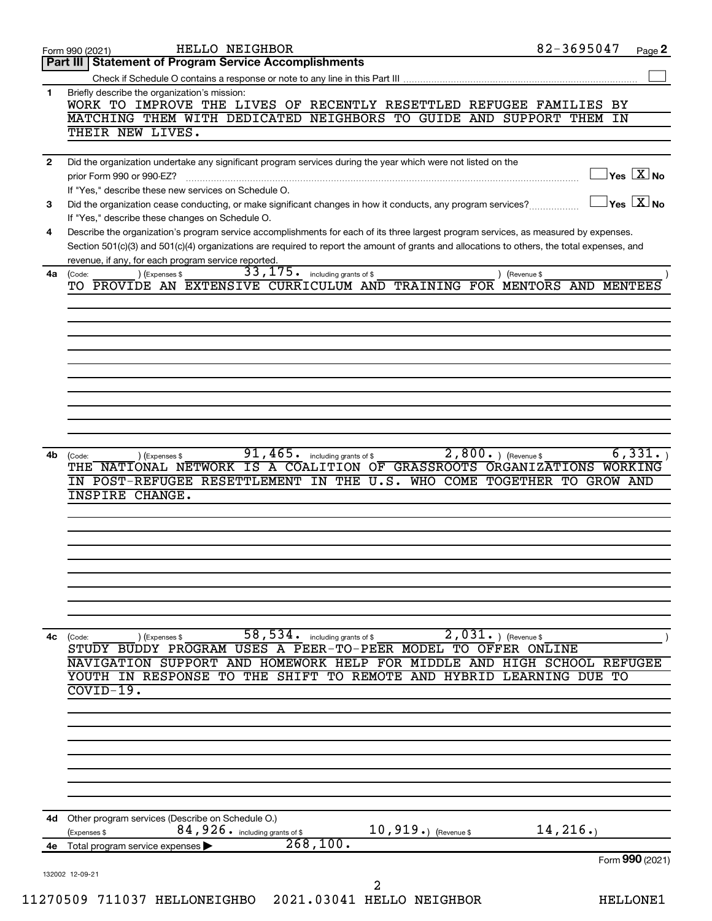|              | 82-3695047<br>HELLO NEIGHBOR<br>Page 2<br>Form 990 (2021)                                                                                                                              |
|--------------|----------------------------------------------------------------------------------------------------------------------------------------------------------------------------------------|
|              | <b>Statement of Program Service Accomplishments</b><br>Part III                                                                                                                        |
|              |                                                                                                                                                                                        |
| 1            | Briefly describe the organization's mission:<br>WORK TO IMPROVE THE LIVES OF RECENTLY RESETTLED REFUGEE FAMILIES BY                                                                    |
|              | MATCHING THEM WITH DEDICATED NEIGHBORS TO GUIDE AND SUPPORT THEM IN                                                                                                                    |
|              | THEIR NEW LIVES.                                                                                                                                                                       |
|              |                                                                                                                                                                                        |
| $\mathbf{2}$ | Did the organization undertake any significant program services during the year which were not listed on the<br>$\overline{\ }$ Yes $\overline{\rm X}$ No<br>prior Form 990 or 990-EZ? |
|              | If "Yes," describe these new services on Schedule O.                                                                                                                                   |
| 3            | $\overline{\ }$ Yes $\overline{\rm X}$ No<br>Did the organization cease conducting, or make significant changes in how it conducts, any program services?                              |
|              | If "Yes," describe these changes on Schedule O.                                                                                                                                        |
| 4            | Describe the organization's program service accomplishments for each of its three largest program services, as measured by expenses.                                                   |
|              | Section 501(c)(3) and 501(c)(4) organizations are required to report the amount of grants and allocations to others, the total expenses, and                                           |
| 4a           | revenue, if any, for each program service reported.<br>33, 175. including grants of \$<br>) (Expenses \$<br>(Code:<br>) (Revenue \$                                                    |
|              | TO PROVIDE AN EXTENSIVE CURRICULUM AND TRAINING FOR MENTORS AND MENTEES                                                                                                                |
|              |                                                                                                                                                                                        |
|              |                                                                                                                                                                                        |
|              |                                                                                                                                                                                        |
|              |                                                                                                                                                                                        |
|              |                                                                                                                                                                                        |
|              |                                                                                                                                                                                        |
|              |                                                                                                                                                                                        |
|              |                                                                                                                                                                                        |
|              |                                                                                                                                                                                        |
| 4b           | $2,800.$ (Revenue \$)<br>6,331.<br>$91,465$ $\cdot$ including grants of \$<br>) (Expenses \$<br>(Code:                                                                                 |
|              | THE NATIONAL NETWORK IS A COALITION OF GRASSROOTS ORGANIZATIONS WORKING                                                                                                                |
|              | IN POST-REFUGEE RESETTLEMENT IN THE U.S. WHO COME TOGETHER TO GROW AND                                                                                                                 |
|              | INSPIRE CHANGE.                                                                                                                                                                        |
|              |                                                                                                                                                                                        |
|              |                                                                                                                                                                                        |
|              |                                                                                                                                                                                        |
|              |                                                                                                                                                                                        |
|              |                                                                                                                                                                                        |
|              |                                                                                                                                                                                        |
|              |                                                                                                                                                                                        |
| 4c           | 2,031.<br>58,534.<br>) (Revenue \$<br>including grants of \$<br>(Code:<br>) (Expenses \$                                                                                               |
|              | STUDY BUDDY PROGRAM USES A PEER-TO-PEER MODEL TO OFFER ONLINE                                                                                                                          |
|              | NAVIGATION SUPPORT AND HOMEWORK HELP FOR MIDDLE AND HIGH SCHOOL REFUGEE                                                                                                                |
|              | YOUTH IN RESPONSE TO THE SHIFT TO REMOTE AND<br><b>HYBRID</b><br>LEARNING DUE TO                                                                                                       |
|              | $\overline{\text{COVID-19}}$ .                                                                                                                                                         |
|              |                                                                                                                                                                                        |
|              |                                                                                                                                                                                        |
|              |                                                                                                                                                                                        |
|              |                                                                                                                                                                                        |
|              |                                                                                                                                                                                        |
|              |                                                                                                                                                                                        |
| 4d           | Other program services (Describe on Schedule O.)                                                                                                                                       |
|              | 14,216.<br>10,919.) (Revenue \$<br>84, 926. including grants of \$<br>(Expenses \$                                                                                                     |
| 4е           | 268, 100.<br>Total program service expenses                                                                                                                                            |
|              | Form 990 (2021)                                                                                                                                                                        |
|              | 132002 12-09-21                                                                                                                                                                        |
|              |                                                                                                                                                                                        |
|              | 2<br>11270509 711037 HELLONEIGHBO 2021.03041 HELLO NEIGHBOR<br><b>HELLONE1</b>                                                                                                         |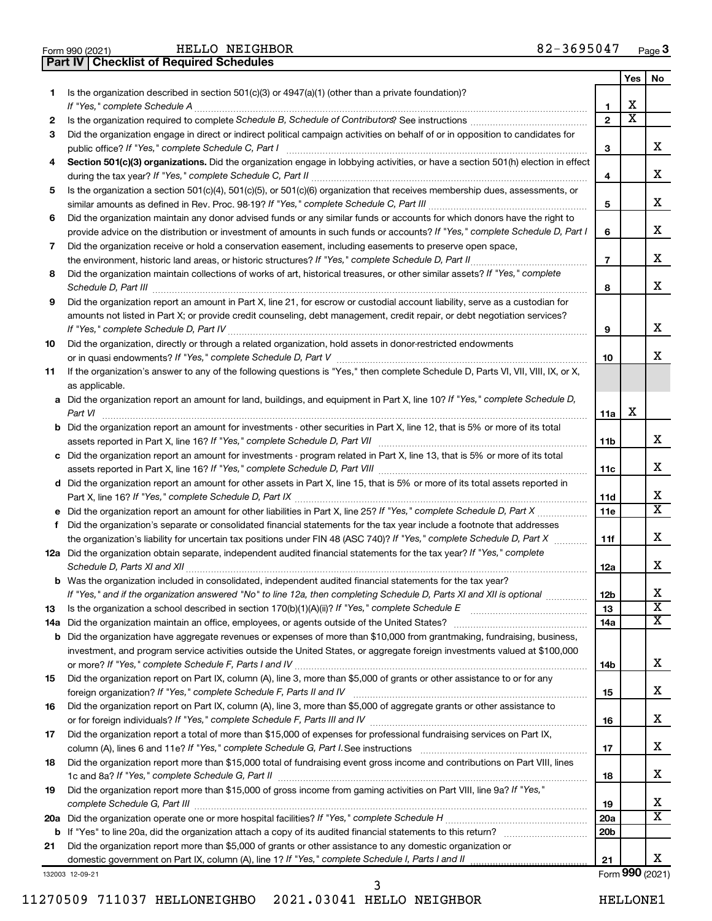| Form 990 (2021)                                  |  |  | HELLO NEIGHB |  |
|--------------------------------------------------|--|--|--------------|--|
| <b>Part IV   Checklist of Required Schedules</b> |  |  |              |  |

HELLO NEIGHBOR

|     |                                                                                                                                                                                         |                 | Yes                          | No                      |
|-----|-----------------------------------------------------------------------------------------------------------------------------------------------------------------------------------------|-----------------|------------------------------|-------------------------|
| 1.  | Is the organization described in section $501(c)(3)$ or $4947(a)(1)$ (other than a private foundation)?                                                                                 |                 |                              |                         |
|     |                                                                                                                                                                                         | 1               | х<br>$\overline{\textbf{x}}$ |                         |
| 2   |                                                                                                                                                                                         | $\mathbf{2}$    |                              |                         |
| 3   | Did the organization engage in direct or indirect political campaign activities on behalf of or in opposition to candidates for<br>public office? If "Yes," complete Schedule C, Part I | 3               |                              | х                       |
| 4   | Section 501(c)(3) organizations. Did the organization engage in lobbying activities, or have a section 501(h) election in effect                                                        |                 |                              |                         |
|     |                                                                                                                                                                                         | 4               |                              | х                       |
| 5   | Is the organization a section 501(c)(4), 501(c)(5), or 501(c)(6) organization that receives membership dues, assessments, or                                                            |                 |                              |                         |
|     |                                                                                                                                                                                         | 5               |                              | х                       |
| 6   | Did the organization maintain any donor advised funds or any similar funds or accounts for which donors have the right to                                                               |                 |                              |                         |
|     | provide advice on the distribution or investment of amounts in such funds or accounts? If "Yes," complete Schedule D, Part I                                                            | 6               |                              | х                       |
| 7   | Did the organization receive or hold a conservation easement, including easements to preserve open space,                                                                               |                 |                              |                         |
|     |                                                                                                                                                                                         | $\overline{7}$  |                              | х                       |
| 8   | Did the organization maintain collections of works of art, historical treasures, or other similar assets? If "Yes," complete                                                            |                 |                              |                         |
|     |                                                                                                                                                                                         | 8               |                              | х                       |
| 9   | Did the organization report an amount in Part X, line 21, for escrow or custodial account liability, serve as a custodian for                                                           |                 |                              |                         |
|     | amounts not listed in Part X; or provide credit counseling, debt management, credit repair, or debt negotiation services?                                                               |                 |                              |                         |
|     |                                                                                                                                                                                         | 9               |                              | х                       |
| 10  | Did the organization, directly or through a related organization, hold assets in donor-restricted endowments                                                                            |                 |                              | х                       |
|     | If the organization's answer to any of the following questions is "Yes," then complete Schedule D, Parts VI, VII, VIII, IX, or X,                                                       | 10              |                              |                         |
| 11  | as applicable.                                                                                                                                                                          |                 |                              |                         |
|     | a Did the organization report an amount for land, buildings, and equipment in Part X, line 10? If "Yes," complete Schedule D,                                                           |                 |                              |                         |
|     | Part VI                                                                                                                                                                                 | 11a             | х                            |                         |
|     | <b>b</b> Did the organization report an amount for investments - other securities in Part X, line 12, that is 5% or more of its total                                                   |                 |                              |                         |
|     |                                                                                                                                                                                         | 11b             |                              | х                       |
|     | c Did the organization report an amount for investments - program related in Part X, line 13, that is 5% or more of its total                                                           |                 |                              |                         |
|     |                                                                                                                                                                                         | 11c             |                              | х                       |
|     | d Did the organization report an amount for other assets in Part X, line 15, that is 5% or more of its total assets reported in                                                         |                 |                              |                         |
|     |                                                                                                                                                                                         | 11d             |                              | х                       |
|     |                                                                                                                                                                                         | 11e             |                              | х                       |
| f   | Did the organization's separate or consolidated financial statements for the tax year include a footnote that addresses                                                                 |                 |                              |                         |
|     | the organization's liability for uncertain tax positions under FIN 48 (ASC 740)? If "Yes," complete Schedule D, Part X                                                                  | 11f             |                              | х                       |
|     | 12a Did the organization obtain separate, independent audited financial statements for the tax year? If "Yes," complete                                                                 | 12a             |                              | х                       |
|     | <b>b</b> Was the organization included in consolidated, independent audited financial statements for the tax year?                                                                      |                 |                              |                         |
|     | If "Yes," and if the organization answered "No" to line 12a, then completing Schedule D, Parts XI and XII is optional                                                                   | 12 <sub>b</sub> |                              | x                       |
| 13  |                                                                                                                                                                                         | 13              |                              | $\overline{\textbf{x}}$ |
| 14a |                                                                                                                                                                                         | 14a             |                              | X                       |
| b   | Did the organization have aggregate revenues or expenses of more than \$10,000 from grantmaking, fundraising, business,                                                                 |                 |                              |                         |
|     | investment, and program service activities outside the United States, or aggregate foreign investments valued at \$100,000                                                              |                 |                              |                         |
|     |                                                                                                                                                                                         | 14b             |                              | x                       |
| 15  | Did the organization report on Part IX, column (A), line 3, more than \$5,000 of grants or other assistance to or for any                                                               |                 |                              |                         |
|     |                                                                                                                                                                                         | 15              |                              | x                       |
| 16  | Did the organization report on Part IX, column (A), line 3, more than \$5,000 of aggregate grants or other assistance to                                                                |                 |                              |                         |
|     |                                                                                                                                                                                         | 16              |                              | x                       |
| 17  | Did the organization report a total of more than \$15,000 of expenses for professional fundraising services on Part IX,                                                                 |                 |                              | х                       |
|     |                                                                                                                                                                                         | 17              |                              |                         |
| 18  | Did the organization report more than \$15,000 total of fundraising event gross income and contributions on Part VIII, lines                                                            | 18              |                              | х                       |
| 19  | Did the organization report more than \$15,000 of gross income from gaming activities on Part VIII, line 9a? If "Yes,"                                                                  |                 |                              |                         |
|     |                                                                                                                                                                                         | 19              |                              | X                       |
| 20a |                                                                                                                                                                                         | 20a             |                              | X                       |
| b   |                                                                                                                                                                                         | 20 <sub>b</sub> |                              |                         |
| 21  | Did the organization report more than \$5,000 of grants or other assistance to any domestic organization or                                                                             |                 |                              |                         |
|     |                                                                                                                                                                                         | 21              |                              | х                       |
|     | 132003 12-09-21                                                                                                                                                                         |                 |                              | Form 990 (2021)         |

11270509 711037 HELLONEIGHBO 2021.03041 HELLO NEIGHBOR HELLONE1 3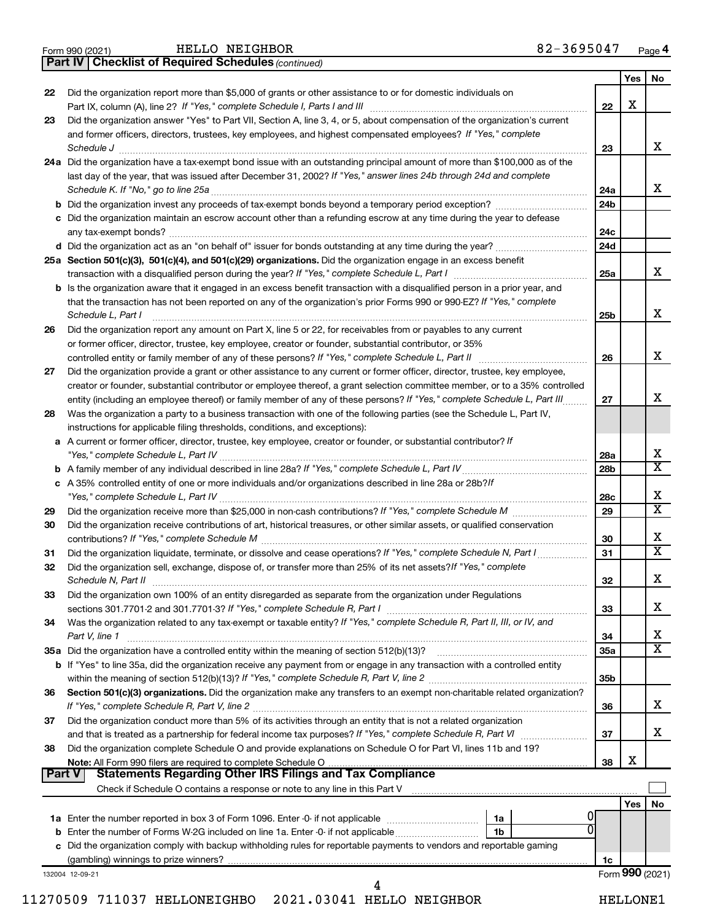|  | Form 990 (2021) |  |
|--|-----------------|--|
|  |                 |  |

*(continued)* **Part IV Checklist of Required Schedules**

|               |                                                                                                                                                                                                                                                            |                 | Yes             | No                      |
|---------------|------------------------------------------------------------------------------------------------------------------------------------------------------------------------------------------------------------------------------------------------------------|-----------------|-----------------|-------------------------|
| 22            | Did the organization report more than \$5,000 of grants or other assistance to or for domestic individuals on                                                                                                                                              |                 | X               |                         |
|               | Part IX, column (A), line 2? If "Yes," complete Schedule I, Parts I and III<br>Did the organization answer "Yes" to Part VII, Section A, line 3, 4, or 5, about compensation of the organization's current                                                 | 22              |                 |                         |
| 23            | and former officers, directors, trustees, key employees, and highest compensated employees? If "Yes," complete                                                                                                                                             |                 |                 |                         |
|               | Schedule J                                                                                                                                                                                                                                                 | 23              |                 | x                       |
|               | 24a Did the organization have a tax-exempt bond issue with an outstanding principal amount of more than \$100,000 as of the                                                                                                                                |                 |                 |                         |
|               | last day of the year, that was issued after December 31, 2002? If "Yes," answer lines 24b through 24d and complete                                                                                                                                         |                 |                 |                         |
|               |                                                                                                                                                                                                                                                            | 24a             |                 | x                       |
|               |                                                                                                                                                                                                                                                            | 24 <sub>b</sub> |                 |                         |
|               | c Did the organization maintain an escrow account other than a refunding escrow at any time during the year to defease                                                                                                                                     |                 |                 |                         |
|               |                                                                                                                                                                                                                                                            | 24c             |                 |                         |
|               |                                                                                                                                                                                                                                                            | 24d             |                 |                         |
|               | 25a Section 501(c)(3), 501(c)(4), and 501(c)(29) organizations. Did the organization engage in an excess benefit                                                                                                                                           |                 |                 |                         |
|               |                                                                                                                                                                                                                                                            | 25a             |                 | x                       |
|               | b Is the organization aware that it engaged in an excess benefit transaction with a disqualified person in a prior year, and                                                                                                                               |                 |                 |                         |
|               | that the transaction has not been reported on any of the organization's prior Forms 990 or 990-EZ? If "Yes," complete                                                                                                                                      |                 |                 |                         |
|               | Schedule L, Part I                                                                                                                                                                                                                                         | 25b             |                 | х                       |
| 26            | Did the organization report any amount on Part X, line 5 or 22, for receivables from or payables to any current                                                                                                                                            |                 |                 |                         |
|               | or former officer, director, trustee, key employee, creator or founder, substantial contributor, or 35%                                                                                                                                                    |                 |                 | x                       |
|               |                                                                                                                                                                                                                                                            | 26              |                 |                         |
| 27            | Did the organization provide a grant or other assistance to any current or former officer, director, trustee, key employee,<br>creator or founder, substantial contributor or employee thereof, a grant selection committee member, or to a 35% controlled |                 |                 |                         |
|               | entity (including an employee thereof) or family member of any of these persons? If "Yes," complete Schedule L, Part III                                                                                                                                   | 27              |                 | x                       |
| 28            | Was the organization a party to a business transaction with one of the following parties (see the Schedule L, Part IV,                                                                                                                                     |                 |                 |                         |
|               | instructions for applicable filing thresholds, conditions, and exceptions):                                                                                                                                                                                |                 |                 |                         |
|               | a A current or former officer, director, trustee, key employee, creator or founder, or substantial contributor? If                                                                                                                                         |                 |                 |                         |
|               |                                                                                                                                                                                                                                                            | 28a             |                 | х                       |
|               |                                                                                                                                                                                                                                                            | 28b             |                 | X                       |
|               | c A 35% controlled entity of one or more individuals and/or organizations described in line 28a or 28b?If                                                                                                                                                  |                 |                 |                         |
|               |                                                                                                                                                                                                                                                            | 28c             |                 | х                       |
| 29            |                                                                                                                                                                                                                                                            | 29              |                 | $\overline{\textbf{x}}$ |
| 30            | Did the organization receive contributions of art, historical treasures, or other similar assets, or qualified conservation                                                                                                                                |                 |                 |                         |
|               |                                                                                                                                                                                                                                                            | 30              |                 | x                       |
| 31            | Did the organization liquidate, terminate, or dissolve and cease operations? If "Yes," complete Schedule N, Part I                                                                                                                                         | 31              |                 | $\overline{\mathbf{X}}$ |
| 32            | Did the organization sell, exchange, dispose of, or transfer more than 25% of its net assets? If "Yes," complete                                                                                                                                           |                 |                 |                         |
|               | Schedule N, Part II                                                                                                                                                                                                                                        | 32              |                 | х                       |
| 33            | Did the organization own 100% of an entity disregarded as separate from the organization under Regulations                                                                                                                                                 |                 |                 | х                       |
| 34            | Was the organization related to any tax-exempt or taxable entity? If "Yes," complete Schedule R, Part II, III, or IV, and                                                                                                                                  | 33              |                 |                         |
|               | Part V, line 1                                                                                                                                                                                                                                             | 34              |                 | х                       |
|               |                                                                                                                                                                                                                                                            | 35a             |                 | $\overline{\mathbf{X}}$ |
|               | b If "Yes" to line 35a, did the organization receive any payment from or engage in any transaction with a controlled entity                                                                                                                                |                 |                 |                         |
|               |                                                                                                                                                                                                                                                            | 35b             |                 |                         |
| 36            | Section 501(c)(3) organizations. Did the organization make any transfers to an exempt non-charitable related organization?                                                                                                                                 |                 |                 |                         |
|               |                                                                                                                                                                                                                                                            | 36              |                 | x                       |
| 37            | Did the organization conduct more than 5% of its activities through an entity that is not a related organization                                                                                                                                           |                 |                 |                         |
|               |                                                                                                                                                                                                                                                            | 37              |                 | x                       |
| 38            | Did the organization complete Schedule O and provide explanations on Schedule O for Part VI, lines 11b and 19?                                                                                                                                             |                 |                 |                         |
|               |                                                                                                                                                                                                                                                            | 38              | X               |                         |
| <b>Part V</b> | <b>Statements Regarding Other IRS Filings and Tax Compliance</b>                                                                                                                                                                                           |                 |                 |                         |
|               |                                                                                                                                                                                                                                                            |                 | Yes             | No                      |
|               | 1a                                                                                                                                                                                                                                                         |                 |                 |                         |
|               | $\Omega$<br>1b                                                                                                                                                                                                                                             |                 |                 |                         |
|               | c Did the organization comply with backup withholding rules for reportable payments to vendors and reportable gaming                                                                                                                                       |                 |                 |                         |
|               |                                                                                                                                                                                                                                                            | 1c              |                 |                         |
|               | 132004 12-09-21                                                                                                                                                                                                                                            |                 | Form 990 (2021) |                         |
|               | 4                                                                                                                                                                                                                                                          |                 |                 |                         |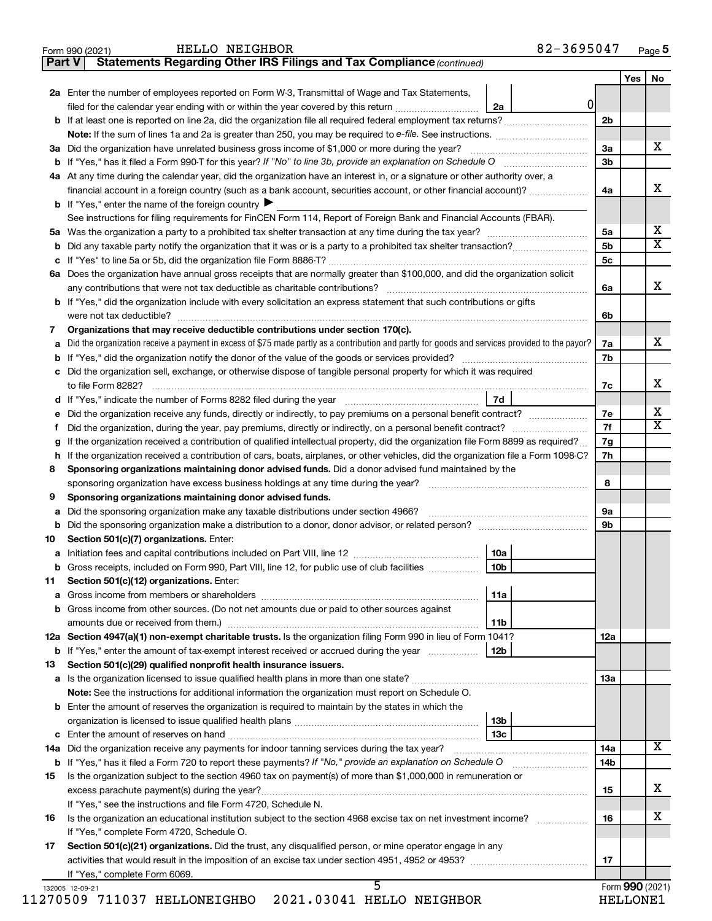|  | Form 990 (2021) |  |
|--|-----------------|--|
|  |                 |  |

HELLO NEIGHBOR 82-3695047

**Part V Statements Regarding Other IRS Filings and Tax Compliance**

*(continued)*

|                                                                                                                       |                                                                                                                                                                                                       |                 |   |                | Yes             | No                      |  |
|-----------------------------------------------------------------------------------------------------------------------|-------------------------------------------------------------------------------------------------------------------------------------------------------------------------------------------------------|-----------------|---|----------------|-----------------|-------------------------|--|
|                                                                                                                       | 2a Enter the number of employees reported on Form W-3, Transmittal of Wage and Tax Statements,                                                                                                        |                 |   |                |                 |                         |  |
|                                                                                                                       | filed for the calendar year ending with or within the year covered by this return <i>manumumumum</i>                                                                                                  | 2a              | 0 |                |                 |                         |  |
|                                                                                                                       |                                                                                                                                                                                                       |                 |   | 2 <sub>b</sub> |                 |                         |  |
|                                                                                                                       |                                                                                                                                                                                                       |                 |   |                |                 |                         |  |
|                                                                                                                       | 3a Did the organization have unrelated business gross income of \$1,000 or more during the year?                                                                                                      |                 |   | 3a             |                 | x                       |  |
|                                                                                                                       | <b>b</b> If "Yes," has it filed a Form 990-T for this year? If "No" to line 3b, provide an explanation on Schedule O                                                                                  |                 |   | 3 <sub>b</sub> |                 |                         |  |
|                                                                                                                       | 4a At any time during the calendar year, did the organization have an interest in, or a signature or other authority over, a                                                                          |                 |   |                |                 |                         |  |
|                                                                                                                       | financial account in a foreign country (such as a bank account, securities account, or other financial account)?                                                                                      |                 |   | 4a             |                 | х                       |  |
|                                                                                                                       | <b>b</b> If "Yes," enter the name of the foreign country $\blacktriangleright$                                                                                                                        |                 |   |                |                 |                         |  |
|                                                                                                                       | See instructions for filing requirements for FinCEN Form 114, Report of Foreign Bank and Financial Accounts (FBAR).                                                                                   |                 |   |                |                 |                         |  |
|                                                                                                                       |                                                                                                                                                                                                       |                 |   | 5a             |                 | x<br>X                  |  |
|                                                                                                                       |                                                                                                                                                                                                       |                 |   | 5 <sub>b</sub> |                 |                         |  |
|                                                                                                                       |                                                                                                                                                                                                       |                 |   | 5c             |                 |                         |  |
|                                                                                                                       | 6a Does the organization have annual gross receipts that are normally greater than \$100,000, and did the organization solicit                                                                        |                 |   |                |                 | x                       |  |
|                                                                                                                       | any contributions that were not tax deductible as charitable contributions?<br>b If "Yes," did the organization include with every solicitation an express statement that such contributions or gifts |                 |   | 6a             |                 |                         |  |
|                                                                                                                       |                                                                                                                                                                                                       |                 |   | 6b             |                 |                         |  |
| 7                                                                                                                     | Organizations that may receive deductible contributions under section 170(c).                                                                                                                         |                 |   |                |                 |                         |  |
| a                                                                                                                     | Did the organization receive a payment in excess of \$75 made partly as a contribution and partly for goods and services provided to the payor?                                                       |                 |   | 7a             |                 | х                       |  |
| b                                                                                                                     |                                                                                                                                                                                                       |                 |   | 7b             |                 |                         |  |
|                                                                                                                       | c Did the organization sell, exchange, or otherwise dispose of tangible personal property for which it was required                                                                                   |                 |   |                |                 |                         |  |
|                                                                                                                       | to file Form 8282?                                                                                                                                                                                    |                 |   | 7c             |                 | х                       |  |
|                                                                                                                       | d If "Yes," indicate the number of Forms 8282 filed during the year manufacture intervent contains the Net Step                                                                                       | 7d              |   |                |                 |                         |  |
| е                                                                                                                     | Did the organization receive any funds, directly or indirectly, to pay premiums on a personal benefit contract?                                                                                       |                 |   | 7e             |                 | х                       |  |
| Ť.                                                                                                                    | Did the organization, during the year, pay premiums, directly or indirectly, on a personal benefit contract?                                                                                          |                 |   | 7f             |                 | $\overline{\mathbf{X}}$ |  |
| g                                                                                                                     | If the organization received a contribution of qualified intellectual property, did the organization file Form 8899 as required?                                                                      |                 |   | 7g             |                 |                         |  |
| h                                                                                                                     | If the organization received a contribution of cars, boats, airplanes, or other vehicles, did the organization file a Form 1098-C?                                                                    |                 |   | 7h             |                 |                         |  |
| 8                                                                                                                     | Sponsoring organizations maintaining donor advised funds. Did a donor advised fund maintained by the                                                                                                  |                 |   |                |                 |                         |  |
|                                                                                                                       | sponsoring organization have excess business holdings at any time during the year?<br>and a series of the contract of the contract of the contract of the contract of the contract of the contract of |                 |   |                |                 |                         |  |
| 9                                                                                                                     | Sponsoring organizations maintaining donor advised funds.                                                                                                                                             |                 |   |                |                 |                         |  |
| а                                                                                                                     | Did the sponsoring organization make any taxable distributions under section 4966?                                                                                                                    |                 |   |                |                 |                         |  |
| b                                                                                                                     | Did the sponsoring organization make a distribution to a donor, donor advisor, or related person?                                                                                                     |                 |   | 9b             |                 |                         |  |
| 10                                                                                                                    | Section 501(c)(7) organizations. Enter:                                                                                                                                                               |                 |   |                |                 |                         |  |
| а                                                                                                                     |                                                                                                                                                                                                       | 10a             |   |                |                 |                         |  |
| b                                                                                                                     | Gross receipts, included on Form 990, Part VIII, line 12, for public use of club facilities                                                                                                           | 10 <sub>b</sub> |   |                |                 |                         |  |
| 11                                                                                                                    | Section 501(c)(12) organizations. Enter:                                                                                                                                                              |                 |   |                |                 |                         |  |
|                                                                                                                       | <b>b</b> Gross income from other sources. (Do not net amounts due or paid to other sources against                                                                                                    | 11a             |   |                |                 |                         |  |
|                                                                                                                       |                                                                                                                                                                                                       | 11b             |   |                |                 |                         |  |
|                                                                                                                       | 12a Section 4947(a)(1) non-exempt charitable trusts. Is the organization filing Form 990 in lieu of Form 1041?                                                                                        |                 |   | 12a            |                 |                         |  |
|                                                                                                                       | <b>b</b> If "Yes," enter the amount of tax-exempt interest received or accrued during the year                                                                                                        | 12b             |   |                |                 |                         |  |
| 13                                                                                                                    | Section 501(c)(29) qualified nonprofit health insurance issuers.                                                                                                                                      |                 |   |                |                 |                         |  |
|                                                                                                                       |                                                                                                                                                                                                       |                 |   | 1За            |                 |                         |  |
|                                                                                                                       | Note: See the instructions for additional information the organization must report on Schedule O.                                                                                                     |                 |   |                |                 |                         |  |
|                                                                                                                       | <b>b</b> Enter the amount of reserves the organization is required to maintain by the states in which the                                                                                             |                 |   |                |                 |                         |  |
|                                                                                                                       |                                                                                                                                                                                                       | 13 <sub>b</sub> |   |                |                 |                         |  |
|                                                                                                                       |                                                                                                                                                                                                       | 13 <sub>c</sub> |   |                |                 |                         |  |
|                                                                                                                       |                                                                                                                                                                                                       |                 |   | 14a            |                 | x                       |  |
|                                                                                                                       |                                                                                                                                                                                                       |                 |   | 14b            |                 |                         |  |
| 15                                                                                                                    | Is the organization subject to the section 4960 tax on payment(s) of more than \$1,000,000 in remuneration or                                                                                         |                 |   |                |                 |                         |  |
|                                                                                                                       |                                                                                                                                                                                                       |                 |   | 15             |                 | х                       |  |
| If "Yes," see the instructions and file Form 4720, Schedule N.                                                        |                                                                                                                                                                                                       |                 |   |                |                 |                         |  |
| Is the organization an educational institution subject to the section 4968 excise tax on net investment income?<br>16 |                                                                                                                                                                                                       |                 |   |                |                 |                         |  |
|                                                                                                                       | If "Yes," complete Form 4720, Schedule O.                                                                                                                                                             |                 |   |                |                 |                         |  |
| 17                                                                                                                    | Section 501(c)(21) organizations. Did the trust, any disqualified person, or mine operator engage in any                                                                                              |                 |   |                |                 |                         |  |
|                                                                                                                       |                                                                                                                                                                                                       |                 |   | 17             |                 |                         |  |
|                                                                                                                       | If "Yes," complete Form 6069.<br>5                                                                                                                                                                    |                 |   |                |                 |                         |  |
|                                                                                                                       | 132005 12-09-21                                                                                                                                                                                       |                 |   |                | Form 990 (2021) |                         |  |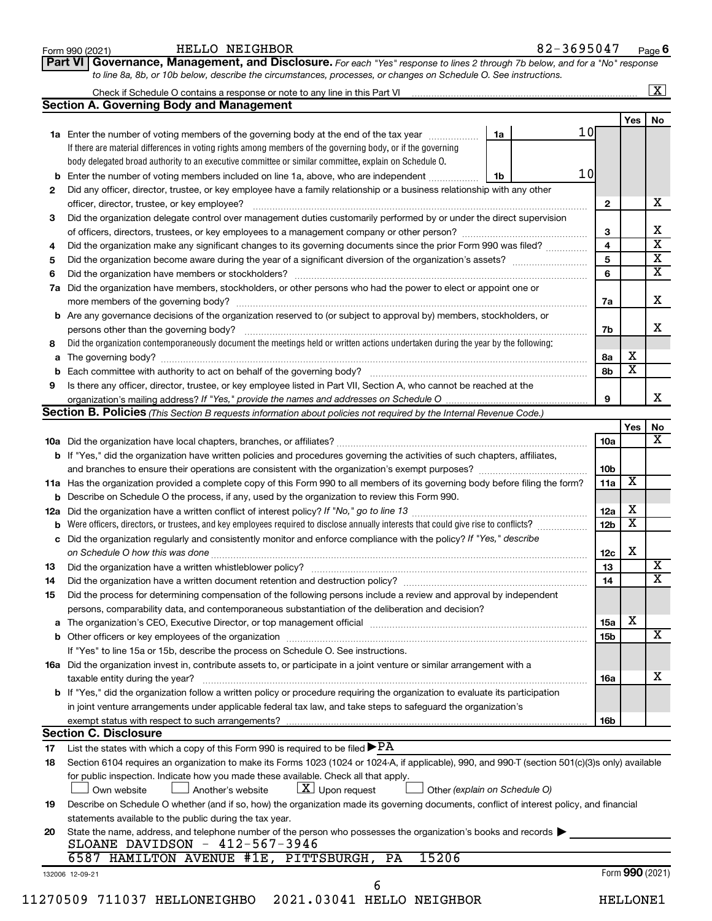| b<br>2<br>3<br>4<br>5<br>6<br>7a<br>b<br>8<br>а<br>9<br>12a<br>с<br>13<br>14<br>15<br>а<br><b>Section C. Disclosure</b><br>17<br>18<br>19<br>20 | <b>Section A. Governing Body and Management</b>                                                                                                  |                               |                 |                         |                         |
|-------------------------------------------------------------------------------------------------------------------------------------------------|--------------------------------------------------------------------------------------------------------------------------------------------------|-------------------------------|-----------------|-------------------------|-------------------------|
|                                                                                                                                                 |                                                                                                                                                  |                               |                 | Yes                     | No                      |
|                                                                                                                                                 | 1a Enter the number of voting members of the governing body at the end of the tax year <i>manumum</i>                                            | 1a                            | 10 <sub>l</sub> |                         |                         |
|                                                                                                                                                 | If there are material differences in voting rights among members of the governing body, or if the governing                                      |                               |                 |                         |                         |
|                                                                                                                                                 | body delegated broad authority to an executive committee or similar committee, explain on Schedule O.                                            |                               |                 |                         |                         |
|                                                                                                                                                 | Enter the number of voting members included on line 1a, above, who are independent                                                               | 1b                            | 10              |                         |                         |
|                                                                                                                                                 | Did any officer, director, trustee, or key employee have a family relationship or a business relationship with any other                         |                               |                 |                         |                         |
|                                                                                                                                                 |                                                                                                                                                  |                               | $\mathbf{2}$    |                         | х                       |
|                                                                                                                                                 | Did the organization delegate control over management duties customarily performed by or under the direct supervision                            |                               |                 |                         |                         |
|                                                                                                                                                 |                                                                                                                                                  |                               | 3               |                         | Χ                       |
|                                                                                                                                                 | Did the organization make any significant changes to its governing documents since the prior Form 990 was filed?                                 |                               | 4               |                         | $\overline{\mathbf{x}}$ |
|                                                                                                                                                 |                                                                                                                                                  |                               | 5               |                         | $\overline{\mathbf{X}}$ |
|                                                                                                                                                 |                                                                                                                                                  |                               | 6               |                         | $\overline{\textbf{X}}$ |
|                                                                                                                                                 | Did the organization have members, stockholders, or other persons who had the power to elect or appoint one or                                   |                               |                 |                         |                         |
|                                                                                                                                                 |                                                                                                                                                  |                               | 7a              |                         | X                       |
|                                                                                                                                                 | Are any governance decisions of the organization reserved to (or subject to approval by) members, stockholders, or                               |                               |                 |                         |                         |
|                                                                                                                                                 |                                                                                                                                                  |                               | 7b              |                         | x                       |
|                                                                                                                                                 | Did the organization contemporaneously document the meetings held or written actions undertaken during the year by the following:                |                               |                 |                         |                         |
|                                                                                                                                                 |                                                                                                                                                  |                               | 8а              | х                       |                         |
|                                                                                                                                                 |                                                                                                                                                  |                               | 8b              | $\overline{\mathbf{X}}$ |                         |
|                                                                                                                                                 | Is there any officer, director, trustee, or key employee listed in Part VII, Section A, who cannot be reached at the                             |                               |                 |                         |                         |
|                                                                                                                                                 |                                                                                                                                                  |                               | 9               |                         | x                       |
|                                                                                                                                                 | <b>Section B. Policies</b> (This Section B requests information about policies not required by the Internal Revenue Code.)                       |                               |                 |                         |                         |
|                                                                                                                                                 |                                                                                                                                                  |                               |                 | Yes                     | No                      |
|                                                                                                                                                 |                                                                                                                                                  |                               | 10a             |                         | x                       |
|                                                                                                                                                 | <b>b</b> If "Yes," did the organization have written policies and procedures governing the activities of such chapters, affiliates,              |                               |                 |                         |                         |
|                                                                                                                                                 |                                                                                                                                                  |                               | 10 <sub>b</sub> |                         |                         |
|                                                                                                                                                 | 11a Has the organization provided a complete copy of this Form 990 to all members of its governing body before filing the form?                  |                               | 11a             | X                       |                         |
|                                                                                                                                                 | <b>b</b> Describe on Schedule O the process, if any, used by the organization to review this Form 990.                                           |                               |                 |                         |                         |
|                                                                                                                                                 |                                                                                                                                                  |                               | 12a             | х                       |                         |
|                                                                                                                                                 | Were officers, directors, or trustees, and key employees required to disclose annually interests that could give rise to conflicts?              |                               | 12 <sub>b</sub> | $\overline{\textbf{x}}$ |                         |
|                                                                                                                                                 | Did the organization regularly and consistently monitor and enforce compliance with the policy? If "Yes," describe                               |                               |                 |                         |                         |
|                                                                                                                                                 |                                                                                                                                                  |                               | 12c             | х                       |                         |
|                                                                                                                                                 |                                                                                                                                                  |                               | 13              |                         | x                       |
|                                                                                                                                                 |                                                                                                                                                  |                               | 14              |                         | $\overline{\text{X}}$   |
|                                                                                                                                                 | Did the process for determining compensation of the following persons include a review and approval by independent                               |                               |                 |                         |                         |
|                                                                                                                                                 | persons, comparability data, and contemporaneous substantiation of the deliberation and decision?                                                |                               |                 |                         |                         |
|                                                                                                                                                 |                                                                                                                                                  |                               | 15a             | X                       |                         |
|                                                                                                                                                 |                                                                                                                                                  |                               | 15b             |                         | х                       |
|                                                                                                                                                 | If "Yes" to line 15a or 15b, describe the process on Schedule O. See instructions.                                                               |                               |                 |                         |                         |
|                                                                                                                                                 | 16a Did the organization invest in, contribute assets to, or participate in a joint venture or similar arrangement with a                        |                               |                 |                         |                         |
|                                                                                                                                                 | taxable entity during the year?                                                                                                                  |                               | 16a             |                         | x                       |
|                                                                                                                                                 | b If "Yes," did the organization follow a written policy or procedure requiring the organization to evaluate its participation                   |                               |                 |                         |                         |
|                                                                                                                                                 | in joint venture arrangements under applicable federal tax law, and take steps to safeguard the organization's                                   |                               |                 |                         |                         |
|                                                                                                                                                 | exempt status with respect to such arrangements?                                                                                                 |                               | 16b             |                         |                         |
|                                                                                                                                                 |                                                                                                                                                  |                               |                 |                         |                         |
|                                                                                                                                                 | List the states with which a copy of this Form 990 is required to be filed $\blacktriangleright$ PA                                              |                               |                 |                         |                         |
|                                                                                                                                                 | Section 6104 requires an organization to make its Forms 1023 (1024 or 1024-A, if applicable), 990, and 990-T (section 501(c)(3)s only) available |                               |                 |                         |                         |
|                                                                                                                                                 | for public inspection. Indicate how you made these available. Check all that apply.                                                              |                               |                 |                         |                         |
|                                                                                                                                                 | $\lfloor x \rfloor$ Upon request<br>Another's website<br>Own website                                                                             | Other (explain on Schedule O) |                 |                         |                         |
|                                                                                                                                                 | Describe on Schedule O whether (and if so, how) the organization made its governing documents, conflict of interest policy, and financial        |                               |                 |                         |                         |
|                                                                                                                                                 | statements available to the public during the tax year.                                                                                          |                               |                 |                         |                         |
| State the name, address, and telephone number of the person who possesses the organization's books and records                                  |                                                                                                                                                  |                               |                 |                         |                         |
|                                                                                                                                                 | SLOANE DAVIDSON - 412-567-3946                                                                                                                   |                               |                 |                         |                         |
|                                                                                                                                                 | 6587 HAMILTON AVENUE #1E, PITTSBURGH,<br>15206<br>PA                                                                                             |                               |                 |                         |                         |
| 132006 12-09-21                                                                                                                                 |                                                                                                                                                  |                               |                 | Form 990 (2021)         |                         |

Form 990 (2021) Page

**Part VI Governance, Management, and Disclosure.** 

HELLO NEIGHBOR

*For each "Yes" response to lines 2 through 7b below, and for a "No" response*

82-3695047 Page 6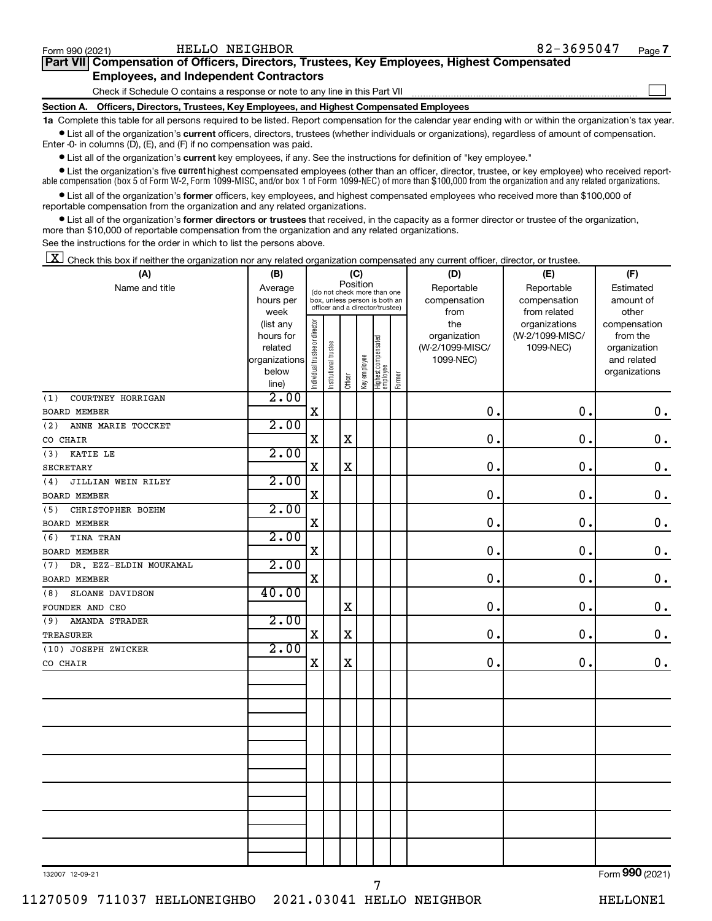| Form 990 (2021)                                                                                      | HELLO NEIGHBOR                                                               | 82-3695047 | Page 7 |  |  |  |  |  |  |  |
|------------------------------------------------------------------------------------------------------|------------------------------------------------------------------------------|------------|--------|--|--|--|--|--|--|--|
| Part VII Compensation of Officers, Directors, Trustees, Key Employees, Highest Compensated           |                                                                              |            |        |  |  |  |  |  |  |  |
|                                                                                                      | <b>Employees, and Independent Contractors</b>                                |            |        |  |  |  |  |  |  |  |
|                                                                                                      | Check if Schedule O contains a response or note to any line in this Part VII |            |        |  |  |  |  |  |  |  |
| Officers, Directors, Trustees, Key Employees, and Highest Compensated Employees<br><b>Section A.</b> |                                                                              |            |        |  |  |  |  |  |  |  |

**1a**  Complete this table for all persons required to be listed. Report compensation for the calendar year ending with or within the organization's tax year.  $\bullet$  List all of the organization's current officers, directors, trustees (whether individuals or organizations), regardless of amount of compensation.

Enter -0- in columns (D), (E), and (F) if no compensation was paid.

**•** List all of the organization's **current** key employees, if any. See the instructions for definition of "key employee."

• List the organization's five *current* highest compensated employees (other than an officer, director, trustee, or key employee) who received reportable compensation (box 5 of Form W-2, Form 1099-MISC, and/or box 1 of Form 1099-NEC) of more than \$100,000 from the organization and any related organizations.

 $\bullet$  List all of the organization's former officers, key employees, and highest compensated employees who received more than \$100,000 of reportable compensation from the organization and any related organizations.

**•** List all of the organization's former directors or trustees that received, in the capacity as a former director or trustee of the organization, more than \$10,000 of reportable compensation from the organization and any related organizations.

See the instructions for the order in which to list the persons above.

 $\boxed{\textbf{X}}$  Check this box if neither the organization nor any related organization compensated any current officer, director, or trustee.

| (A)                           | (B)                  |                                |                                                                                                             | (C)         |              |                                 |        | (D)                             | (E)             | (F)                         |
|-------------------------------|----------------------|--------------------------------|-------------------------------------------------------------------------------------------------------------|-------------|--------------|---------------------------------|--------|---------------------------------|-----------------|-----------------------------|
| Name and title                | Average              |                                | Position<br>(do not check more than one<br>box, unless person is both an<br>officer and a director/trustee) |             |              |                                 |        | Reportable                      | Reportable      | Estimated                   |
|                               | hours per            |                                |                                                                                                             |             |              |                                 |        | compensation                    | compensation    | amount of                   |
|                               | week                 |                                |                                                                                                             |             |              |                                 |        | from                            | from related    | other                       |
|                               | (list any            |                                |                                                                                                             |             |              |                                 |        | the                             | organizations   | compensation                |
|                               | hours for<br>related |                                |                                                                                                             |             |              |                                 |        | organization<br>(W-2/1099-MISC/ | (W-2/1099-MISC/ | from the                    |
|                               | organizations        |                                |                                                                                                             |             |              |                                 |        | 1099-NEC)                       | 1099-NEC)       | organization<br>and related |
|                               | below                |                                |                                                                                                             |             |              |                                 |        |                                 |                 | organizations               |
|                               | line)                | Individual trustee or director | Institutional trustee                                                                                       | Officer     | Key employee | Highest compensated<br>employee | Former |                                 |                 |                             |
| COURTNEY HORRIGAN<br>(1)      | 2.00                 |                                |                                                                                                             |             |              |                                 |        |                                 |                 |                             |
| <b>BOARD MEMBER</b>           |                      | X                              |                                                                                                             |             |              |                                 |        | $\mathbf 0$ .                   | 0.              | $\mathbf 0$ .               |
| ANNE MARIE TOCCKET<br>(2)     | 2.00                 |                                |                                                                                                             |             |              |                                 |        |                                 |                 |                             |
| CO CHAIR                      |                      | $\mathbf X$                    |                                                                                                             | $\mathbf X$ |              |                                 |        | $\mathbf 0$ .                   | $\mathbf 0$ .   | $0$ .                       |
| KATIE LE<br>(3)               | 2.00                 |                                |                                                                                                             |             |              |                                 |        |                                 |                 |                             |
| <b>SECRETARY</b>              |                      | $\mathbf X$                    |                                                                                                             | $\mathbf X$ |              |                                 |        | $\mathbf 0$ .                   | $\mathbf 0$ .   | $\mathbf 0$ .               |
| JILLIAN WEIN RILEY<br>(4)     | 2.00                 |                                |                                                                                                             |             |              |                                 |        |                                 |                 |                             |
| <b>BOARD MEMBER</b>           |                      | $\mathbf X$                    |                                                                                                             |             |              |                                 |        | 0.                              | 0.              | $\mathbf 0$ .               |
| CHRISTOPHER BOEHM<br>(5)      | 2.00                 |                                |                                                                                                             |             |              |                                 |        |                                 |                 |                             |
| <b>BOARD MEMBER</b>           |                      | $\mathbf X$                    |                                                                                                             |             |              |                                 |        | 0.                              | 0.              | $\mathbf 0$ .               |
| <b>TINA TRAN</b><br>(6)       | 2.00                 |                                |                                                                                                             |             |              |                                 |        |                                 |                 |                             |
| BOARD MEMBER                  |                      | X                              |                                                                                                             |             |              |                                 |        | $\mathbf 0$ .                   | $\mathbf 0$ .   | $\mathbf 0$ .               |
| DR. EZZ-ELDIN MOUKAMAL<br>(7) | 2.00                 |                                |                                                                                                             |             |              |                                 |        |                                 |                 |                             |
| <b>BOARD MEMBER</b>           |                      | X                              |                                                                                                             |             |              |                                 |        | $\mathbf 0$                     | $\mathbf 0$     | $\mathbf 0$ .               |
| SLOANE DAVIDSON<br>(8)        | 40.00                |                                |                                                                                                             |             |              |                                 |        |                                 |                 |                             |
| FOUNDER AND CEO               |                      |                                |                                                                                                             | $\mathbf X$ |              |                                 |        | 0.                              | $\mathbf 0$ .   | $0$ .                       |
| (9)<br><b>AMANDA STRADER</b>  | 2.00                 |                                |                                                                                                             |             |              |                                 |        |                                 |                 |                             |
| <b>TREASURER</b>              |                      | X                              |                                                                                                             | X           |              |                                 |        | $\mathbf 0$                     | $\mathbf 0$     | $0$ .                       |
| (10) JOSEPH ZWICKER           | 2.00                 |                                |                                                                                                             |             |              |                                 |        |                                 |                 |                             |
| CO CHAIR                      |                      | $\mathbf X$                    |                                                                                                             | $\mathbf X$ |              |                                 |        | $\mathbf 0$ .                   | 0.              | 0.                          |
|                               |                      |                                |                                                                                                             |             |              |                                 |        |                                 |                 |                             |
|                               |                      |                                |                                                                                                             |             |              |                                 |        |                                 |                 |                             |
|                               |                      |                                |                                                                                                             |             |              |                                 |        |                                 |                 |                             |
|                               |                      |                                |                                                                                                             |             |              |                                 |        |                                 |                 |                             |
|                               |                      |                                |                                                                                                             |             |              |                                 |        |                                 |                 |                             |
|                               |                      |                                |                                                                                                             |             |              |                                 |        |                                 |                 |                             |
|                               |                      |                                |                                                                                                             |             |              |                                 |        |                                 |                 |                             |
|                               |                      |                                |                                                                                                             |             |              |                                 |        |                                 |                 |                             |
|                               |                      |                                |                                                                                                             |             |              |                                 |        |                                 |                 |                             |
|                               |                      |                                |                                                                                                             |             |              |                                 |        |                                 |                 |                             |
|                               |                      |                                |                                                                                                             |             |              |                                 |        |                                 |                 |                             |
|                               |                      |                                |                                                                                                             |             |              |                                 |        |                                 |                 |                             |
|                               |                      |                                |                                                                                                             |             |              |                                 |        |                                 |                 |                             |
|                               |                      |                                |                                                                                                             |             |              |                                 |        |                                 |                 | $\overline{\phantom{a}}$    |

7

132007 12-09-21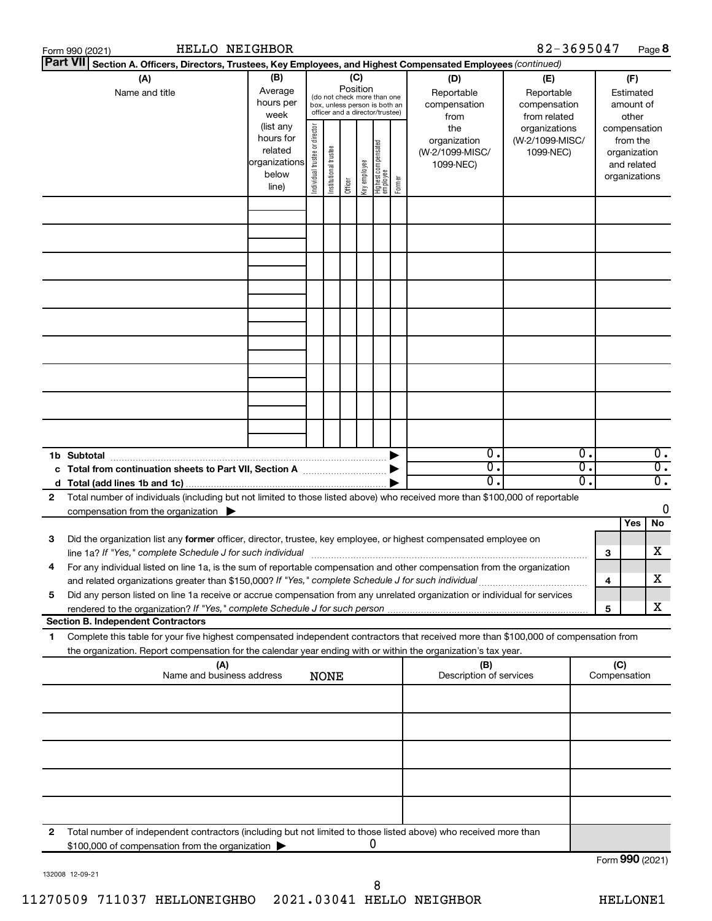|   | <b>HELLO NEIGHBOR</b><br>Form 990 (2021)                                                                                                                                                 |                                                         |                                |                       |                 |              |                                                                                                 |        |                                                     | 82-3695047                                        |                                                                                |                     |                                                                          | Page 8                                     |
|---|------------------------------------------------------------------------------------------------------------------------------------------------------------------------------------------|---------------------------------------------------------|--------------------------------|-----------------------|-----------------|--------------|-------------------------------------------------------------------------------------------------|--------|-----------------------------------------------------|---------------------------------------------------|--------------------------------------------------------------------------------|---------------------|--------------------------------------------------------------------------|--------------------------------------------|
|   | <b>Part VII</b><br>Section A. Officers, Directors, Trustees, Key Employees, and Highest Compensated Employees (continued)                                                                |                                                         |                                |                       |                 |              |                                                                                                 |        |                                                     |                                                   |                                                                                |                     |                                                                          |                                            |
|   | (A)<br>Name and title                                                                                                                                                                    | (B)<br>Average<br>hours per<br>week<br>(list any        |                                |                       | (C)<br>Position |              | (do not check more than one<br>box, unless person is both an<br>officer and a director/trustee) |        | (D)<br>Reportable<br>compensation<br>from           | (E)<br>Reportable<br>compensation<br>from related |                                                                                |                     | (F)<br>Estimated<br>amount of<br>other                                   |                                            |
|   |                                                                                                                                                                                          | hours for<br>related<br>organizations<br>below<br>line) | Individual trustee or director | Institutional trustee | Officer         | Key employee | Highest compensated<br>employee                                                                 | Former | the<br>organization<br>(W-2/1099-MISC/<br>1099-NEC) | organizations<br>(W-2/1099-MISC/<br>1099-NEC)     |                                                                                |                     | compensation<br>from the<br>organization<br>and related<br>organizations |                                            |
|   |                                                                                                                                                                                          |                                                         |                                |                       |                 |              |                                                                                                 |        |                                                     |                                                   |                                                                                |                     |                                                                          |                                            |
|   |                                                                                                                                                                                          |                                                         |                                |                       |                 |              |                                                                                                 |        |                                                     |                                                   |                                                                                |                     |                                                                          |                                            |
|   |                                                                                                                                                                                          |                                                         |                                |                       |                 |              |                                                                                                 |        |                                                     |                                                   |                                                                                |                     |                                                                          |                                            |
|   |                                                                                                                                                                                          |                                                         |                                |                       |                 |              |                                                                                                 |        |                                                     |                                                   |                                                                                |                     |                                                                          |                                            |
|   |                                                                                                                                                                                          |                                                         |                                |                       |                 |              |                                                                                                 |        |                                                     |                                                   |                                                                                |                     |                                                                          |                                            |
|   |                                                                                                                                                                                          |                                                         |                                |                       |                 |              |                                                                                                 |        |                                                     |                                                   |                                                                                |                     |                                                                          |                                            |
|   |                                                                                                                                                                                          |                                                         |                                |                       |                 |              |                                                                                                 |        |                                                     |                                                   |                                                                                |                     |                                                                          |                                            |
|   | 1b Subtotal                                                                                                                                                                              |                                                         |                                |                       |                 |              |                                                                                                 |        | 0.<br>0.<br>о.                                      |                                                   | $\overline{0}$ .<br>$\overline{\mathfrak{o}}$ .<br>$\overline{\mathfrak{o}}$ . |                     |                                                                          | 0.<br>$\overline{0}$ .<br>$\overline{0}$ . |
| 2 | Total number of individuals (including but not limited to those listed above) who received more than \$100,000 of reportable<br>compensation from the organization $\blacktriangleright$ |                                                         |                                |                       |                 |              |                                                                                                 |        |                                                     |                                                   |                                                                                |                     |                                                                          | 0                                          |
| 3 | Did the organization list any former officer, director, trustee, key employee, or highest compensated employee on<br>line 1a? If "Yes," complete Schedule J for such individual          |                                                         |                                |                       |                 |              |                                                                                                 |        |                                                     |                                                   |                                                                                | 3                   | Yes                                                                      | No<br>x                                    |
| 4 | For any individual listed on line 1a, is the sum of reportable compensation and other compensation from the organization                                                                 |                                                         |                                |                       |                 |              |                                                                                                 |        |                                                     |                                                   |                                                                                | 4                   |                                                                          | x                                          |
| 5 | Did any person listed on line 1a receive or accrue compensation from any unrelated organization or individual for services<br><b>Section B. Independent Contractors</b>                  |                                                         |                                |                       |                 |              |                                                                                                 |        |                                                     |                                                   |                                                                                | 5                   |                                                                          | x                                          |
| 1 | Complete this table for your five highest compensated independent contractors that received more than \$100,000 of compensation from                                                     |                                                         |                                |                       |                 |              |                                                                                                 |        |                                                     |                                                   |                                                                                |                     |                                                                          |                                            |
|   | the organization. Report compensation for the calendar year ending with or within the organization's tax year.<br>(A)<br>Name and business address                                       |                                                         |                                | <b>NONE</b>           |                 |              |                                                                                                 |        | (B)<br>Description of services                      |                                                   |                                                                                | (C)<br>Compensation |                                                                          |                                            |
|   |                                                                                                                                                                                          |                                                         |                                |                       |                 |              |                                                                                                 |        |                                                     |                                                   |                                                                                |                     |                                                                          |                                            |
|   |                                                                                                                                                                                          |                                                         |                                |                       |                 |              |                                                                                                 |        |                                                     |                                                   |                                                                                |                     |                                                                          |                                            |
|   |                                                                                                                                                                                          |                                                         |                                |                       |                 |              |                                                                                                 |        |                                                     |                                                   |                                                                                |                     |                                                                          |                                            |
|   |                                                                                                                                                                                          |                                                         |                                |                       |                 |              |                                                                                                 |        |                                                     |                                                   |                                                                                |                     |                                                                          |                                            |
| 2 | Total number of independent contractors (including but not limited to those listed above) who received more than<br>\$100,000 of compensation from the organization                      |                                                         |                                |                       |                 |              | 0                                                                                               |        |                                                     |                                                   |                                                                                |                     |                                                                          |                                            |
|   |                                                                                                                                                                                          |                                                         |                                |                       |                 |              |                                                                                                 |        |                                                     |                                                   |                                                                                | Form 990 (2021)     |                                                                          |                                            |

132008 12-09-21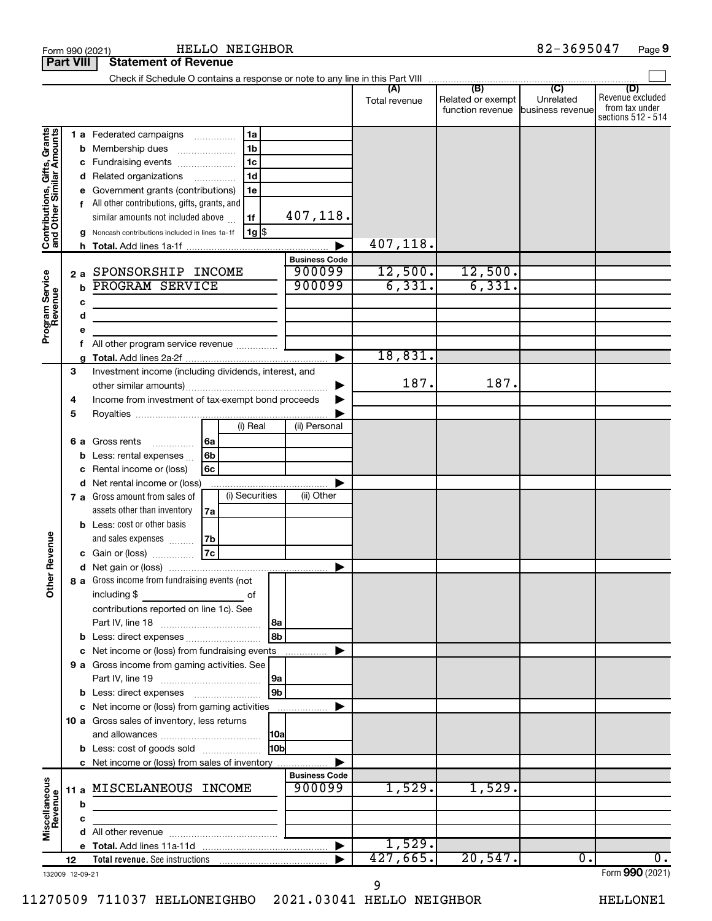|                                                           |    |                                                       |                |                |       |                       | (A)<br>Total revenue | (B)<br>Related or exempt<br>function revenue | $\overline{C}$<br>Unrelated<br>business revenue | (D)<br>Revenue excluded<br>from tax under<br>sections 512 - 514 |
|-----------------------------------------------------------|----|-------------------------------------------------------|----------------|----------------|-------|-----------------------|----------------------|----------------------------------------------|-------------------------------------------------|-----------------------------------------------------------------|
|                                                           |    | <b>1 a</b> Federated campaigns                        |                | 1a             |       |                       |                      |                                              |                                                 |                                                                 |
|                                                           |    | <b>b</b> Membership dues                              |                | 1 <sub>b</sub> |       |                       |                      |                                              |                                                 |                                                                 |
| Contributions, Gifts, Grants<br>and Other Similar Amounts |    | c Fundraising events                                  |                | 1 <sub>c</sub> |       |                       |                      |                                              |                                                 |                                                                 |
|                                                           |    | d Related organizations                               |                | 1 <sub>d</sub> |       |                       |                      |                                              |                                                 |                                                                 |
|                                                           |    | e Government grants (contributions)                   |                | 1e             |       |                       |                      |                                              |                                                 |                                                                 |
|                                                           |    | All other contributions, gifts, grants, and           |                |                |       |                       |                      |                                              |                                                 |                                                                 |
|                                                           |    | similar amounts not included above                    |                | 1f             |       | 407,118.              |                      |                                              |                                                 |                                                                 |
|                                                           |    | g Noncash contributions included in lines 1a-1f       |                | $ 1g $ \$      |       |                       |                      |                                              |                                                 |                                                                 |
|                                                           |    |                                                       |                |                |       |                       | 407,118.             |                                              |                                                 |                                                                 |
|                                                           |    |                                                       |                |                |       | <b>Business Code</b>  |                      |                                              |                                                 |                                                                 |
|                                                           |    | 2 a SPONSORSHIP INCOME                                |                |                |       | 900099                | 12,500.              | 12,500.                                      |                                                 |                                                                 |
|                                                           | b  | <b>PROGRAM SERVICE</b>                                |                |                |       | 900099                | 6,331.               | 6,331.                                       |                                                 |                                                                 |
|                                                           |    |                                                       |                |                |       |                       |                      |                                              |                                                 |                                                                 |
|                                                           | с  |                                                       |                |                |       |                       |                      |                                              |                                                 |                                                                 |
|                                                           | d  |                                                       |                |                |       |                       |                      |                                              |                                                 |                                                                 |
| Program Service<br>Revenue                                |    |                                                       |                |                |       |                       |                      |                                              |                                                 |                                                                 |
|                                                           |    | All other program service revenue                     |                |                |       |                       | 18,831.              |                                              |                                                 |                                                                 |
|                                                           |    |                                                       |                |                |       | $\blacktriangleright$ |                      |                                              |                                                 |                                                                 |
|                                                           | 3  | Investment income (including dividends, interest, and |                |                |       |                       | 187.                 | 187.                                         |                                                 |                                                                 |
|                                                           |    |                                                       |                |                |       | ▶                     |                      |                                              |                                                 |                                                                 |
|                                                           | 4  | Income from investment of tax-exempt bond proceeds    |                |                |       |                       |                      |                                              |                                                 |                                                                 |
|                                                           | 5  |                                                       |                |                |       |                       |                      |                                              |                                                 |                                                                 |
|                                                           |    |                                                       |                | (i) Real       |       | (ii) Personal         |                      |                                              |                                                 |                                                                 |
|                                                           | 6а | Gross rents<br>.                                      | 6a             |                |       |                       |                      |                                              |                                                 |                                                                 |
|                                                           | b  | Less: rental expenses                                 | 6 <sub>b</sub> |                |       |                       |                      |                                              |                                                 |                                                                 |
|                                                           | c  | Rental income or (loss)                               | 6 <sub>c</sub> |                |       |                       |                      |                                              |                                                 |                                                                 |
|                                                           |    | d Net rental income or (loss)                         |                |                |       |                       |                      |                                              |                                                 |                                                                 |
|                                                           |    | 7 a Gross amount from sales of                        |                | (i) Securities |       | (ii) Other            |                      |                                              |                                                 |                                                                 |
|                                                           |    | assets other than inventory                           | 7a             |                |       |                       |                      |                                              |                                                 |                                                                 |
|                                                           |    | <b>b</b> Less: cost or other basis                    |                |                |       |                       |                      |                                              |                                                 |                                                                 |
|                                                           |    | and sales expenses                                    | 7 <sub>b</sub> |                |       |                       |                      |                                              |                                                 |                                                                 |
|                                                           |    | c Gain or (loss)                                      | 7c             |                |       |                       |                      |                                              |                                                 |                                                                 |
| her Revenue                                               |    |                                                       |                |                |       |                       |                      |                                              |                                                 |                                                                 |
|                                                           |    | 8 a Gross income from fundraising events (not         |                |                |       |                       |                      |                                              |                                                 |                                                                 |
| ō                                                         |    | including \$                                          |                | οf             |       |                       |                      |                                              |                                                 |                                                                 |
|                                                           |    | contributions reported on line 1c). See               |                |                |       |                       |                      |                                              |                                                 |                                                                 |
|                                                           |    | Part IV, line 18                                      |                |                | 8a    |                       |                      |                                              |                                                 |                                                                 |
|                                                           |    | b Less: direct expenses                               |                |                | 8b    |                       |                      |                                              |                                                 |                                                                 |
|                                                           |    | c Net income or (loss) from fundraising events        |                |                |       | .                     |                      |                                              |                                                 |                                                                 |
|                                                           |    | 9 a Gross income from gaming activities. See          |                |                |       |                       |                      |                                              |                                                 |                                                                 |
|                                                           |    |                                                       |                |                | 9a    |                       |                      |                                              |                                                 |                                                                 |
|                                                           |    |                                                       |                |                | 9b    |                       |                      |                                              |                                                 |                                                                 |
|                                                           |    | c Net income or (loss) from gaming activities         |                |                |       | .                     |                      |                                              |                                                 |                                                                 |
|                                                           |    | 10 a Gross sales of inventory, less returns           |                |                |       |                       |                      |                                              |                                                 |                                                                 |
|                                                           |    |                                                       |                |                | 10a   |                       |                      |                                              |                                                 |                                                                 |
|                                                           |    |                                                       |                |                |       |                       |                      |                                              |                                                 |                                                                 |
|                                                           |    | <b>b</b> Less: cost of goods sold                     |                |                | l10bl |                       |                      |                                              |                                                 |                                                                 |
|                                                           |    | <b>c</b> Net income or (loss) from sales of inventory |                |                |       | <b>Business Code</b>  |                      |                                              |                                                 |                                                                 |
|                                                           |    | 11 a MISCELANEOUS INCOME                              |                |                |       | 900099                | 1,529.               | 1,529.                                       |                                                 |                                                                 |
|                                                           |    |                                                       |                |                |       |                       |                      |                                              |                                                 |                                                                 |
|                                                           | b  |                                                       |                |                |       |                       |                      |                                              |                                                 |                                                                 |
| Miscellaneous<br>Revenue                                  | С  |                                                       |                |                |       |                       |                      |                                              |                                                 |                                                                 |
|                                                           |    |                                                       |                |                |       |                       |                      |                                              |                                                 |                                                                 |
|                                                           |    |                                                       |                |                |       | ▶                     | 1,529.               |                                              |                                                 |                                                                 |
|                                                           | 12 |                                                       |                |                |       |                       | 427,665.             | 20,547.                                      | 0.                                              | 0.<br>Eorm $QQ(1/2021)$                                         |

9

132009 12-09-21

Form (2021) **990**

Form 990 (2021) Page

**Part VIII Statement of Revenue**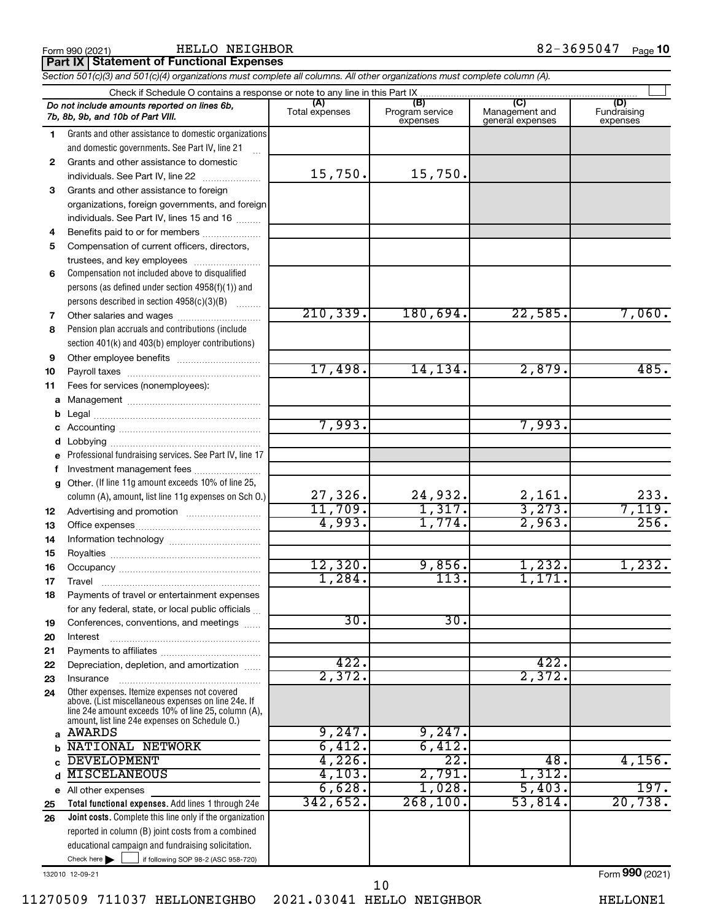HELLO NEIGHBOR 82-3695047

| <b>Part IX   Statement of Functional Expenses</b> |  |
|---------------------------------------------------|--|
|                                                   |  |

*Section 501(c)(3) and 501(c)(4) organizations must complete all columns. All other organizations must complete column (A).*

|              | Check if Schedule O contains a response or note to any line in this Part IX                           |                       |                                    |                                           |                                |  |  |  |  |  |
|--------------|-------------------------------------------------------------------------------------------------------|-----------------------|------------------------------------|-------------------------------------------|--------------------------------|--|--|--|--|--|
|              | Do not include amounts reported on lines 6b,<br>7b, 8b, 9b, and 10b of Part VIII.                     | (A)<br>Total expenses | (B)<br>Program service<br>expenses | (C)<br>Management and<br>general expenses | (D)<br>Fundraising<br>expenses |  |  |  |  |  |
| 1.           | Grants and other assistance to domestic organizations                                                 |                       |                                    |                                           |                                |  |  |  |  |  |
|              | and domestic governments. See Part IV, line 21                                                        |                       |                                    |                                           |                                |  |  |  |  |  |
| $\mathbf{2}$ | Grants and other assistance to domestic                                                               |                       |                                    |                                           |                                |  |  |  |  |  |
|              | individuals. See Part IV, line 22                                                                     | 15,750.               | 15,750.                            |                                           |                                |  |  |  |  |  |
| 3            | Grants and other assistance to foreign                                                                |                       |                                    |                                           |                                |  |  |  |  |  |
|              | organizations, foreign governments, and foreign                                                       |                       |                                    |                                           |                                |  |  |  |  |  |
|              | individuals. See Part IV, lines 15 and 16                                                             |                       |                                    |                                           |                                |  |  |  |  |  |
| 4            | Benefits paid to or for members                                                                       |                       |                                    |                                           |                                |  |  |  |  |  |
| 5            | Compensation of current officers, directors,                                                          |                       |                                    |                                           |                                |  |  |  |  |  |
|              | trustees, and key employees                                                                           |                       |                                    |                                           |                                |  |  |  |  |  |
| 6            | Compensation not included above to disqualified                                                       |                       |                                    |                                           |                                |  |  |  |  |  |
|              | persons (as defined under section 4958(f)(1)) and                                                     |                       |                                    |                                           |                                |  |  |  |  |  |
|              | persons described in section 4958(c)(3)(B)                                                            |                       |                                    |                                           |                                |  |  |  |  |  |
| 7            | Other salaries and wages                                                                              | 210, 339.             | 180,694.                           | 22,585.                                   | 7,060.                         |  |  |  |  |  |
| 8            | Pension plan accruals and contributions (include                                                      |                       |                                    |                                           |                                |  |  |  |  |  |
|              | section 401(k) and 403(b) employer contributions)                                                     |                       |                                    |                                           |                                |  |  |  |  |  |
| 9            |                                                                                                       | 17,498.               | 14, 134.                           | 2,879.                                    | 485.                           |  |  |  |  |  |
| 10           |                                                                                                       |                       |                                    |                                           |                                |  |  |  |  |  |
| 11           | Fees for services (nonemployees):                                                                     |                       |                                    |                                           |                                |  |  |  |  |  |
| а            |                                                                                                       |                       |                                    |                                           |                                |  |  |  |  |  |
| b            |                                                                                                       | 7,993.                |                                    | 7,993.                                    |                                |  |  |  |  |  |
| с<br>d       |                                                                                                       |                       |                                    |                                           |                                |  |  |  |  |  |
| е            | Professional fundraising services. See Part IV, line 17                                               |                       |                                    |                                           |                                |  |  |  |  |  |
| f            | Investment management fees                                                                            |                       |                                    |                                           |                                |  |  |  |  |  |
| g            | Other. (If line 11g amount exceeds 10% of line 25,                                                    |                       |                                    |                                           |                                |  |  |  |  |  |
|              | column (A), amount, list line 11g expenses on Sch O.)                                                 | 27,326.               |                                    |                                           | 233.                           |  |  |  |  |  |
| 12           |                                                                                                       | 11,709.               | $\frac{24,932}{1,317}$             | $\frac{2,161}{3,273}$ .                   | 7,119.                         |  |  |  |  |  |
| 13           |                                                                                                       | 4,993.                | 1,774.                             | 2,963.                                    | 256.                           |  |  |  |  |  |
| 14           |                                                                                                       |                       |                                    |                                           |                                |  |  |  |  |  |
| 15           |                                                                                                       |                       |                                    |                                           |                                |  |  |  |  |  |
| 16           |                                                                                                       | 12,320.               | 9,856.                             | 1,232.                                    | 1,232.                         |  |  |  |  |  |
| 17           | Travel                                                                                                | 1,284.                | 113.                               | 1,171                                     |                                |  |  |  |  |  |
| 18           | Payments of travel or entertainment expenses                                                          |                       |                                    |                                           |                                |  |  |  |  |  |
|              | for any federal, state, or local public officials                                                     |                       |                                    |                                           |                                |  |  |  |  |  |
| 19           | Conferences, conventions, and meetings                                                                | $\overline{30}$ .     | $\overline{30}$                    |                                           |                                |  |  |  |  |  |
| 20           | Interest                                                                                              |                       |                                    |                                           |                                |  |  |  |  |  |
| 21           |                                                                                                       |                       |                                    |                                           |                                |  |  |  |  |  |
| 22           | Depreciation, depletion, and amortization                                                             | 422.                  |                                    | 422.                                      |                                |  |  |  |  |  |
| 23           | Insurance                                                                                             | 2,372.                |                                    | 2,372.                                    |                                |  |  |  |  |  |
| 24           | Other expenses. Itemize expenses not covered<br>above. (List miscellaneous expenses on line 24e. If   |                       |                                    |                                           |                                |  |  |  |  |  |
|              | line 24e amount exceeds 10% of line 25, column (A).<br>amount, list line 24e expenses on Schedule O.) |                       |                                    |                                           |                                |  |  |  |  |  |
| a            | AWARDS                                                                                                | 9,247.                | 9,247.                             |                                           |                                |  |  |  |  |  |
| b            | NATIONAL NETWORK                                                                                      | 6,412.                | 6,412.                             |                                           |                                |  |  |  |  |  |
|              | <b>DEVELOPMENT</b>                                                                                    | 4,226.                | 22.                                | 48.                                       | 4,156.                         |  |  |  |  |  |
| d            | <b>MISCELANEOUS</b>                                                                                   | 4,103.                | 2,791.                             | 1,312.                                    |                                |  |  |  |  |  |
|              | e All other expenses                                                                                  | 6,628.                | 1,028.                             | 5,403.                                    | 197.                           |  |  |  |  |  |
| 25           | Total functional expenses. Add lines 1 through 24e                                                    | 342,652.              | 268, 100.                          | 53,814.                                   | 20,738.                        |  |  |  |  |  |
| 26           | Joint costs. Complete this line only if the organization                                              |                       |                                    |                                           |                                |  |  |  |  |  |
|              | reported in column (B) joint costs from a combined                                                    |                       |                                    |                                           |                                |  |  |  |  |  |
|              | educational campaign and fundraising solicitation.                                                    |                       |                                    |                                           |                                |  |  |  |  |  |
|              | Check here $\blacktriangleright$<br>if following SOP 98-2 (ASC 958-720)                               |                       |                                    |                                           |                                |  |  |  |  |  |

132010 12-09-21

Form (2021) **990**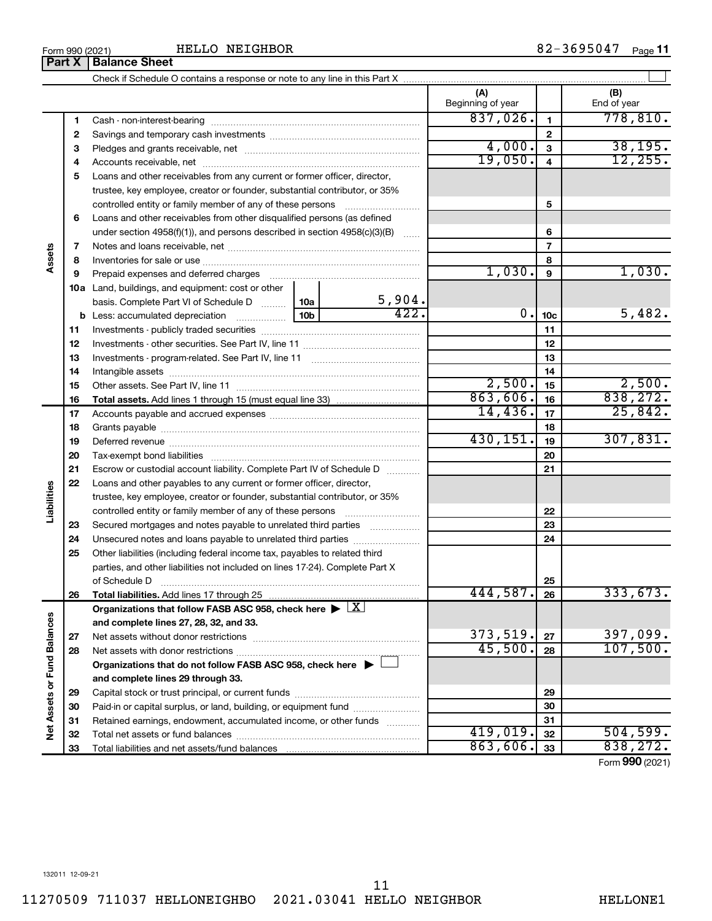#### HELLO NEIGHBOR

|                             |              |                                                                                          | (A)<br>Beginning of year |                         | (B)<br>End of year |
|-----------------------------|--------------|------------------------------------------------------------------------------------------|--------------------------|-------------------------|--------------------|
|                             | 1            |                                                                                          | 837,026.                 | 1                       | 778,810.           |
|                             | $\mathbf{2}$ |                                                                                          |                          | $\mathbf{2}$            |                    |
|                             | 3            |                                                                                          | 4,000.                   | $\overline{\mathbf{3}}$ | 38, 195.           |
|                             | 4            |                                                                                          | 19,050.                  | 4                       | 12, 255.           |
|                             | 5            | Loans and other receivables from any current or former officer, director,                |                          |                         |                    |
|                             |              | trustee, key employee, creator or founder, substantial contributor, or 35%               |                          |                         |                    |
|                             |              | controlled entity or family member of any of these persons                               |                          | 5                       |                    |
|                             | 6            | Loans and other receivables from other disqualified persons (as defined                  |                          |                         |                    |
|                             |              | under section $4958(f)(1)$ , and persons described in section $4958(c)(3)(B)$            |                          | 6                       |                    |
|                             | 7            |                                                                                          |                          | $\overline{7}$          |                    |
| Assets                      | 8            |                                                                                          |                          | 8                       |                    |
|                             | 9            | Prepaid expenses and deferred charges                                                    | 1,030.                   | 9                       | 1,030.             |
|                             |              | 10a Land, buildings, and equipment: cost or other                                        |                          |                         |                    |
|                             |              | 5,904.<br>basis. Complete Part VI of Schedule D  10a                                     |                          |                         |                    |
|                             |              | 422.<br>10b                                                                              | 0.                       | 10 <sub>c</sub>         | 5,482.             |
|                             | 11           |                                                                                          |                          | 11                      |                    |
|                             | 12           |                                                                                          |                          | 12                      |                    |
|                             | 13           |                                                                                          |                          | 13                      |                    |
|                             | 14           |                                                                                          |                          | 14                      |                    |
|                             | 15           |                                                                                          | 2,500.                   | 15                      | 2,500.             |
|                             | 16           | <b>Total assets.</b> Add lines 1 through 15 (must equal line 33) <i></i>                 | 863,606.                 | 16                      | 838, 272.          |
|                             | 17           |                                                                                          | 14,436.                  | 17                      | 25,842.            |
|                             | 18           |                                                                                          |                          | 18                      |                    |
|                             | 19           |                                                                                          | 430, 151.                | 19                      | 307,831.           |
|                             | 20           |                                                                                          |                          | 20                      |                    |
|                             | 21           | Escrow or custodial account liability. Complete Part IV of Schedule D                    |                          | 21                      |                    |
|                             | 22           | Loans and other payables to any current or former officer, director,                     |                          |                         |                    |
| Liabilities                 |              | trustee, key employee, creator or founder, substantial contributor, or 35%               |                          |                         |                    |
|                             |              | controlled entity or family member of any of these persons                               |                          | 22                      |                    |
|                             | 23           | Secured mortgages and notes payable to unrelated third parties                           |                          | 23                      |                    |
|                             | 24           | Unsecured notes and loans payable to unrelated third parties                             |                          | 24                      |                    |
|                             | 25           | Other liabilities (including federal income tax, payables to related third               |                          |                         |                    |
|                             |              | parties, and other liabilities not included on lines 17-24). Complete Part X             |                          |                         |                    |
|                             |              | of Schedule D                                                                            | 444,587.                 | 25                      | 333,673.           |
|                             | 26           |                                                                                          |                          | 26                      |                    |
|                             |              | Organizations that follow FASB ASC 958, check here $\blacktriangleright \boxed{X}$       |                          |                         |                    |
|                             |              | and complete lines 27, 28, 32, and 33.                                                   | 373,519.                 | 27                      | 397,099.           |
|                             | 27<br>28     |                                                                                          | 45,500.                  | 28                      | 107,500.           |
|                             |              | Organizations that do not follow FASB ASC 958, check here $\blacktriangleright\ \lfloor$ |                          |                         |                    |
|                             |              | and complete lines 29 through 33.                                                        |                          |                         |                    |
| Net Assets or Fund Balances | 29           |                                                                                          |                          | 29                      |                    |
|                             | 30           | Paid-in or capital surplus, or land, building, or equipment fund                         |                          | 30                      |                    |
|                             | 31           | Retained earnings, endowment, accumulated income, or other funds                         |                          | 31                      |                    |
|                             | 32           |                                                                                          | 419,019.                 | 32                      | 504, 599.          |
|                             | 33           |                                                                                          | 863,606.                 | 33                      | 838, 272.          |

Check if Schedule O contains a response or note to any line in this Part X

 $\perp$ 

Form (2021) **990**

$$
11\phantom{.00}
$$

**Part X** | Balance Sheet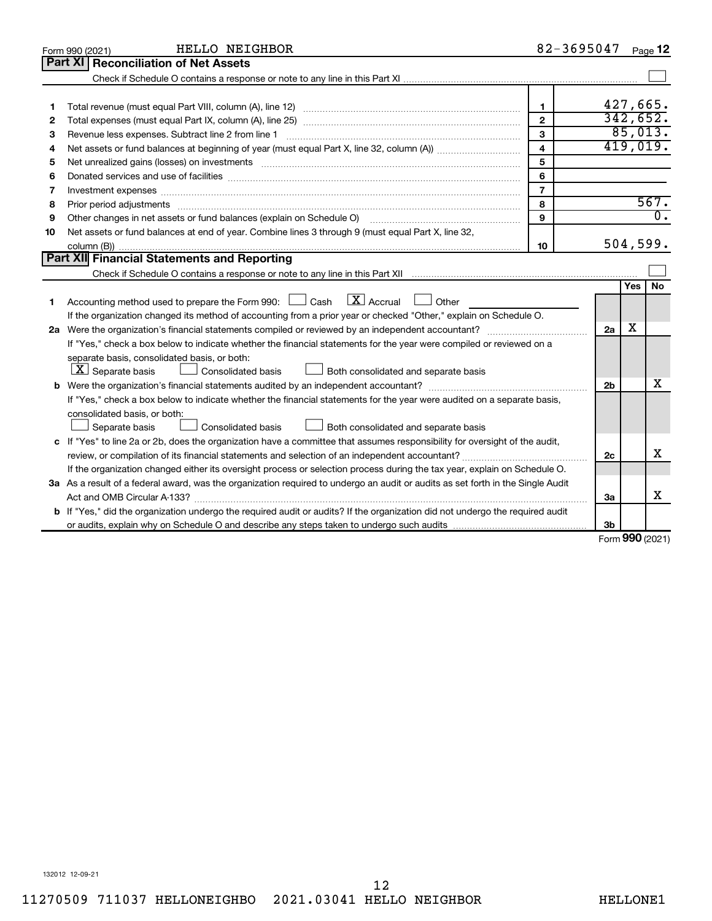| <b>Part XI</b><br><b>Reconciliation of Net Assets</b>                                                                                |                  |
|--------------------------------------------------------------------------------------------------------------------------------------|------------------|
|                                                                                                                                      |                  |
|                                                                                                                                      |                  |
|                                                                                                                                      |                  |
| 427,665.<br>$\mathbf{1}$<br>1                                                                                                        |                  |
| 342,652.<br>$\mathbf{2}$<br>2                                                                                                        |                  |
| 85,013.<br>3<br>Revenue less expenses. Subtract line 2 from line 1<br>з                                                              |                  |
| 419,019.<br>$\overline{\mathbf{4}}$<br>4                                                                                             |                  |
| 5<br>5                                                                                                                               |                  |
| 6<br>6                                                                                                                               |                  |
| $\overline{7}$<br>Investment expenses www.communication.com/www.communication.com/www.communication.com/www.com<br>7                 |                  |
| 567.<br>8<br>8                                                                                                                       |                  |
| 9<br>Other changes in net assets or fund balances (explain on Schedule O)<br>9                                                       | $\overline{0}$ . |
| Net assets or fund balances at end of year. Combine lines 3 through 9 (must equal Part X, line 32,<br>10                             |                  |
| 504,599.<br>10                                                                                                                       |                  |
| Part XII Financial Statements and Reporting                                                                                          |                  |
|                                                                                                                                      |                  |
| Yes                                                                                                                                  | <b>No</b>        |
| $\boxed{\mathbf{X}}$ Accrual $\boxed{\phantom{0}}$ Other<br>Accounting method used to prepare the Form 990: [130] Cash<br>1          |                  |
| If the organization changed its method of accounting from a prior year or checked "Other," explain on Schedule O.                    |                  |
| х<br>2a                                                                                                                              |                  |
| If "Yes," check a box below to indicate whether the financial statements for the year were compiled or reviewed on a                 |                  |
| separate basis, consolidated basis, or both:                                                                                         |                  |
| $ \mathbf{X} $ Separate basis<br>Consolidated basis<br>Both consolidated and separate basis                                          |                  |
| 2b                                                                                                                                   | х                |
| If "Yes," check a box below to indicate whether the financial statements for the year were audited on a separate basis,              |                  |
| consolidated basis, or both:                                                                                                         |                  |
| Consolidated basis<br>Separate basis<br>Both consolidated and separate basis                                                         |                  |
| c If "Yes" to line 2a or 2b, does the organization have a committee that assumes responsibility for oversight of the audit,          |                  |
| 2c<br>review, or compilation of its financial statements and selection of an independent accountant?                                 | х                |
| If the organization changed either its oversight process or selection process during the tax year, explain on Schedule O.            |                  |
| 3a As a result of a federal award, was the organization required to undergo an audit or audits as set forth in the Single Audit      |                  |
| 3a                                                                                                                                   | x                |
| <b>b</b> If "Yes," did the organization undergo the required audit or audits? If the organization did not undergo the required audit |                  |
| 3b<br>$0.00 \times 10^{-1}$                                                                                                          |                  |

Form (2021) **990**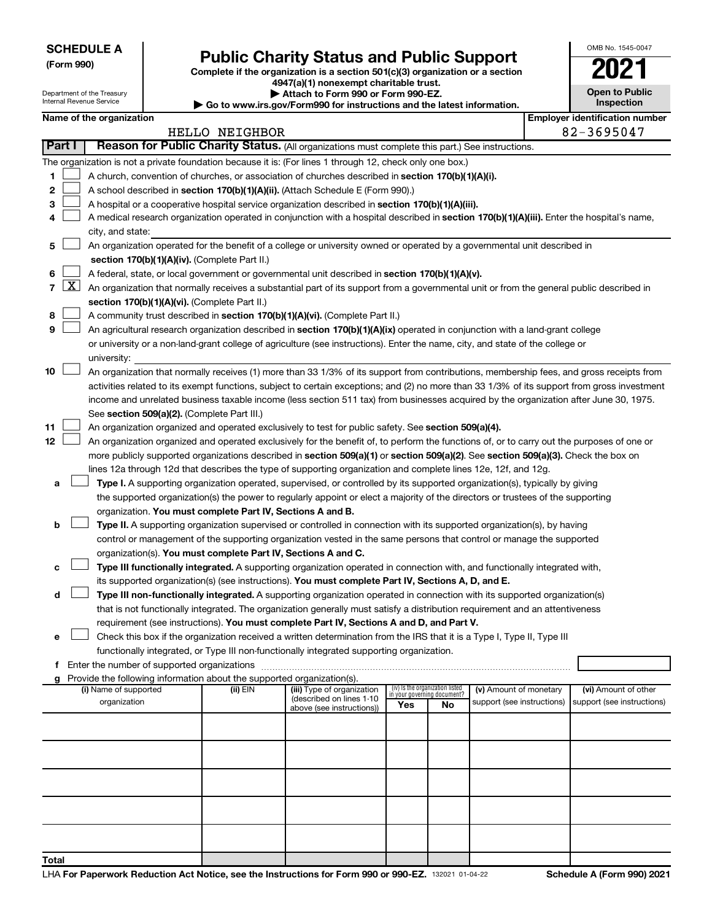Department of the Treasury Internal Revenue Service

# Form 990)<br>
Complete if the organization is a section 501(c)(3) organization or a section<br> **Public Charity Status and Public Support**

**4947(a)(1) nonexempt charitable trust. | Attach to Form 990 or Form 990-EZ.** 

**| Go to www.irs.gov/Form990 for instructions and the latest information.**

| OMB No 1545-0047                    |
|-------------------------------------|
|                                     |
| <b>Open to Public</b><br>Inspection |
|                                     |

| Name of the organization |  |
|--------------------------|--|
|--------------------------|--|

|        | <b>Employer identification number</b><br>Name of the organization |                                                                                                                                                                                       |                |                                                        |     |                                                                |                            |  |                            |  |  |  |
|--------|-------------------------------------------------------------------|---------------------------------------------------------------------------------------------------------------------------------------------------------------------------------------|----------------|--------------------------------------------------------|-----|----------------------------------------------------------------|----------------------------|--|----------------------------|--|--|--|
|        |                                                                   |                                                                                                                                                                                       | HELLO NEIGHBOR |                                                        |     |                                                                |                            |  | 82-3695047                 |  |  |  |
| Part I |                                                                   | Reason for Public Charity Status. (All organizations must complete this part.) See instructions.                                                                                      |                |                                                        |     |                                                                |                            |  |                            |  |  |  |
|        |                                                                   | The organization is not a private foundation because it is: (For lines 1 through 12, check only one box.)                                                                             |                |                                                        |     |                                                                |                            |  |                            |  |  |  |
| 1      |                                                                   | A church, convention of churches, or association of churches described in section 170(b)(1)(A)(i).<br>A school described in section 170(b)(1)(A)(ii). (Attach Schedule E (Form 990).) |                |                                                        |     |                                                                |                            |  |                            |  |  |  |
| 2      |                                                                   |                                                                                                                                                                                       |                |                                                        |     |                                                                |                            |  |                            |  |  |  |
| 3      |                                                                   | A hospital or a cooperative hospital service organization described in section 170(b)(1)(A)(iii).                                                                                     |                |                                                        |     |                                                                |                            |  |                            |  |  |  |
| 4      |                                                                   | A medical research organization operated in conjunction with a hospital described in section 170(b)(1)(A)(iii). Enter the hospital's name,                                            |                |                                                        |     |                                                                |                            |  |                            |  |  |  |
|        |                                                                   | city, and state:                                                                                                                                                                      |                |                                                        |     |                                                                |                            |  |                            |  |  |  |
| 5      |                                                                   | An organization operated for the benefit of a college or university owned or operated by a governmental unit described in                                                             |                |                                                        |     |                                                                |                            |  |                            |  |  |  |
|        |                                                                   | section 170(b)(1)(A)(iv). (Complete Part II.)                                                                                                                                         |                |                                                        |     |                                                                |                            |  |                            |  |  |  |
| 6      |                                                                   | A federal, state, or local government or governmental unit described in section 170(b)(1)(A)(v).                                                                                      |                |                                                        |     |                                                                |                            |  |                            |  |  |  |
|        | 7   X                                                             | An organization that normally receives a substantial part of its support from a governmental unit or from the general public described in                                             |                |                                                        |     |                                                                |                            |  |                            |  |  |  |
|        |                                                                   | section 170(b)(1)(A)(vi). (Complete Part II.)                                                                                                                                         |                |                                                        |     |                                                                |                            |  |                            |  |  |  |
| 8      |                                                                   | A community trust described in section 170(b)(1)(A)(vi). (Complete Part II.)                                                                                                          |                |                                                        |     |                                                                |                            |  |                            |  |  |  |
| 9      |                                                                   | An agricultural research organization described in section 170(b)(1)(A)(ix) operated in conjunction with a land-grant college                                                         |                |                                                        |     |                                                                |                            |  |                            |  |  |  |
|        |                                                                   | or university or a non-land-grant college of agriculture (see instructions). Enter the name, city, and state of the college or                                                        |                |                                                        |     |                                                                |                            |  |                            |  |  |  |
|        |                                                                   | university:                                                                                                                                                                           |                |                                                        |     |                                                                |                            |  |                            |  |  |  |
| 10     |                                                                   | An organization that normally receives (1) more than 33 1/3% of its support from contributions, membership fees, and gross receipts from                                              |                |                                                        |     |                                                                |                            |  |                            |  |  |  |
|        |                                                                   | activities related to its exempt functions, subject to certain exceptions; and (2) no more than 33 1/3% of its support from gross investment                                          |                |                                                        |     |                                                                |                            |  |                            |  |  |  |
|        |                                                                   | income and unrelated business taxable income (less section 511 tax) from businesses acquired by the organization after June 30, 1975.                                                 |                |                                                        |     |                                                                |                            |  |                            |  |  |  |
|        |                                                                   | See section 509(a)(2). (Complete Part III.)                                                                                                                                           |                |                                                        |     |                                                                |                            |  |                            |  |  |  |
| 11     |                                                                   | An organization organized and operated exclusively to test for public safety. See section 509(a)(4).                                                                                  |                |                                                        |     |                                                                |                            |  |                            |  |  |  |
| 12     |                                                                   | An organization organized and operated exclusively for the benefit of, to perform the functions of, or to carry out the purposes of one or                                            |                |                                                        |     |                                                                |                            |  |                            |  |  |  |
|        |                                                                   | more publicly supported organizations described in section 509(a)(1) or section 509(a)(2). See section 509(a)(3). Check the box on                                                    |                |                                                        |     |                                                                |                            |  |                            |  |  |  |
|        |                                                                   | lines 12a through 12d that describes the type of supporting organization and complete lines 12e, 12f, and 12g.                                                                        |                |                                                        |     |                                                                |                            |  |                            |  |  |  |
| a      |                                                                   | Type I. A supporting organization operated, supervised, or controlled by its supported organization(s), typically by giving                                                           |                |                                                        |     |                                                                |                            |  |                            |  |  |  |
|        |                                                                   | the supported organization(s) the power to regularly appoint or elect a majority of the directors or trustees of the supporting                                                       |                |                                                        |     |                                                                |                            |  |                            |  |  |  |
| b      |                                                                   | organization. You must complete Part IV, Sections A and B.<br>Type II. A supporting organization supervised or controlled in connection with its supported organization(s), by having |                |                                                        |     |                                                                |                            |  |                            |  |  |  |
|        |                                                                   | control or management of the supporting organization vested in the same persons that control or manage the supported                                                                  |                |                                                        |     |                                                                |                            |  |                            |  |  |  |
|        |                                                                   | organization(s). You must complete Part IV, Sections A and C.                                                                                                                         |                |                                                        |     |                                                                |                            |  |                            |  |  |  |
| с      |                                                                   | Type III functionally integrated. A supporting organization operated in connection with, and functionally integrated with,                                                            |                |                                                        |     |                                                                |                            |  |                            |  |  |  |
|        |                                                                   | its supported organization(s) (see instructions). You must complete Part IV, Sections A, D, and E.                                                                                    |                |                                                        |     |                                                                |                            |  |                            |  |  |  |
| d      |                                                                   | Type III non-functionally integrated. A supporting organization operated in connection with its supported organization(s)                                                             |                |                                                        |     |                                                                |                            |  |                            |  |  |  |
|        |                                                                   | that is not functionally integrated. The organization generally must satisfy a distribution requirement and an attentiveness                                                          |                |                                                        |     |                                                                |                            |  |                            |  |  |  |
|        |                                                                   | requirement (see instructions). You must complete Part IV, Sections A and D, and Part V.                                                                                              |                |                                                        |     |                                                                |                            |  |                            |  |  |  |
|        |                                                                   | Check this box if the organization received a written determination from the IRS that it is a Type I, Type II, Type III                                                               |                |                                                        |     |                                                                |                            |  |                            |  |  |  |
|        |                                                                   | functionally integrated, or Type III non-functionally integrated supporting organization.                                                                                             |                |                                                        |     |                                                                |                            |  |                            |  |  |  |
|        |                                                                   | f Enter the number of supported organizations                                                                                                                                         |                |                                                        |     |                                                                |                            |  |                            |  |  |  |
|        |                                                                   | g Provide the following information about the supported organization(s).                                                                                                              |                |                                                        |     |                                                                |                            |  |                            |  |  |  |
|        |                                                                   | (i) Name of supported                                                                                                                                                                 | (ii) EIN       | (iii) Type of organization<br>(described on lines 1-10 |     | (iv) Is the organization listed<br>in your governing document? | (v) Amount of monetary     |  | (vi) Amount of other       |  |  |  |
|        |                                                                   | organization                                                                                                                                                                          |                | above (see instructions))                              | Yes | No                                                             | support (see instructions) |  | support (see instructions) |  |  |  |
|        |                                                                   |                                                                                                                                                                                       |                |                                                        |     |                                                                |                            |  |                            |  |  |  |
|        |                                                                   |                                                                                                                                                                                       |                |                                                        |     |                                                                |                            |  |                            |  |  |  |
|        |                                                                   |                                                                                                                                                                                       |                |                                                        |     |                                                                |                            |  |                            |  |  |  |
|        |                                                                   |                                                                                                                                                                                       |                |                                                        |     |                                                                |                            |  |                            |  |  |  |
|        |                                                                   |                                                                                                                                                                                       |                |                                                        |     |                                                                |                            |  |                            |  |  |  |
|        |                                                                   |                                                                                                                                                                                       |                |                                                        |     |                                                                |                            |  |                            |  |  |  |
|        |                                                                   |                                                                                                                                                                                       |                |                                                        |     |                                                                |                            |  |                            |  |  |  |
|        |                                                                   |                                                                                                                                                                                       |                |                                                        |     |                                                                |                            |  |                            |  |  |  |
|        |                                                                   |                                                                                                                                                                                       |                |                                                        |     |                                                                |                            |  |                            |  |  |  |
| Total  |                                                                   |                                                                                                                                                                                       |                |                                                        |     |                                                                |                            |  |                            |  |  |  |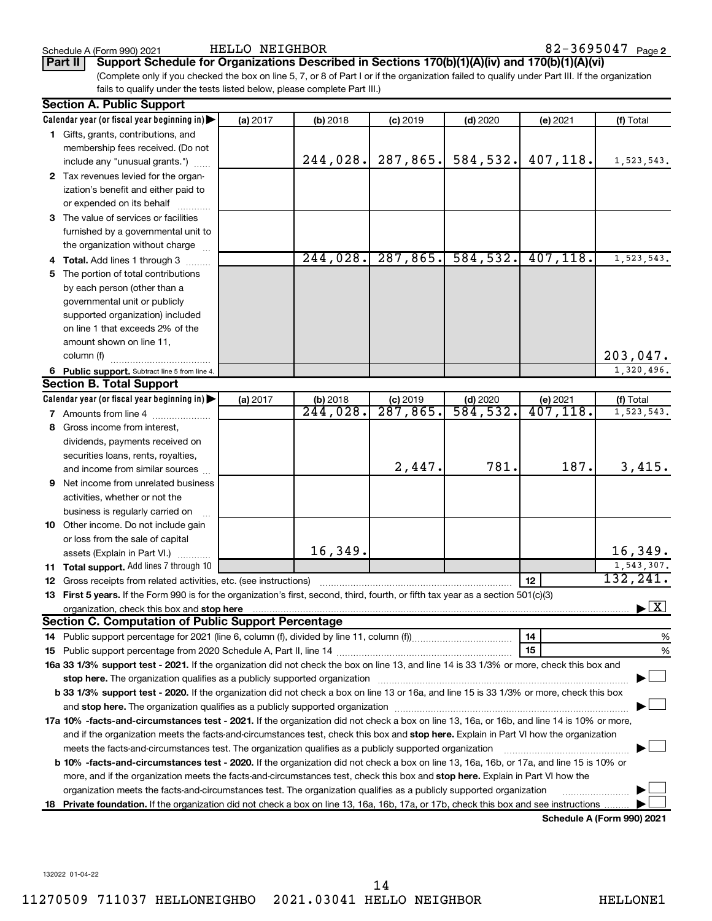HELLO NEIGHBOR 82-3695047

**Part II Support Schedule for Organizations Described in Sections 170(b)(1)(A)(iv) and 170(b)(1)(A)(vi)**

(Complete only if you checked the box on line 5, 7, or 8 of Part I or if the organization failed to qualify under Part III. If the organization fails to qualify under the tests listed below, please complete Part III.)

| <b>Section A. Public Support</b>                                                                                                                                                                                              |          |                      |                      |            |           |                                          |  |
|-------------------------------------------------------------------------------------------------------------------------------------------------------------------------------------------------------------------------------|----------|----------------------|----------------------|------------|-----------|------------------------------------------|--|
| Calendar year (or fiscal year beginning in)                                                                                                                                                                                   | (a) 2017 | (b) 2018             | $(c)$ 2019           | $(d)$ 2020 | (e) 2021  | (f) Total                                |  |
| 1 Gifts, grants, contributions, and                                                                                                                                                                                           |          |                      |                      |            |           |                                          |  |
| membership fees received. (Do not                                                                                                                                                                                             |          |                      |                      |            |           |                                          |  |
| include any "unusual grants.")                                                                                                                                                                                                |          | 244,028.             | 287, 865.            | 584,532.   | 407,118.  | 1,523,543.                               |  |
| 2 Tax revenues levied for the organ-                                                                                                                                                                                          |          |                      |                      |            |           |                                          |  |
| ization's benefit and either paid to                                                                                                                                                                                          |          |                      |                      |            |           |                                          |  |
| or expended on its behalf                                                                                                                                                                                                     |          |                      |                      |            |           |                                          |  |
| 3 The value of services or facilities                                                                                                                                                                                         |          |                      |                      |            |           |                                          |  |
| furnished by a governmental unit to                                                                                                                                                                                           |          |                      |                      |            |           |                                          |  |
| the organization without charge                                                                                                                                                                                               |          |                      |                      |            |           |                                          |  |
| 4 Total. Add lines 1 through 3                                                                                                                                                                                                |          | 244,028.             | 287,865.             | 584, 532.  | 407, 118. | 1,523,543.                               |  |
| 5 The portion of total contributions                                                                                                                                                                                          |          |                      |                      |            |           |                                          |  |
| by each person (other than a                                                                                                                                                                                                  |          |                      |                      |            |           |                                          |  |
| governmental unit or publicly                                                                                                                                                                                                 |          |                      |                      |            |           |                                          |  |
| supported organization) included                                                                                                                                                                                              |          |                      |                      |            |           |                                          |  |
| on line 1 that exceeds 2% of the                                                                                                                                                                                              |          |                      |                      |            |           |                                          |  |
| amount shown on line 11,                                                                                                                                                                                                      |          |                      |                      |            |           |                                          |  |
| column (f)                                                                                                                                                                                                                    |          |                      |                      |            |           | 203,047.                                 |  |
| 6 Public support. Subtract line 5 from line 4.                                                                                                                                                                                |          |                      |                      |            |           | 1,320,496.                               |  |
| <b>Section B. Total Support</b>                                                                                                                                                                                               |          |                      |                      |            |           |                                          |  |
| Calendar year (or fiscal year beginning in)                                                                                                                                                                                   | (a) 2017 | (b) 2018             | $(c)$ 2019           | $(d)$ 2020 | (e) 2021  | (f) Total                                |  |
| 7 Amounts from line 4                                                                                                                                                                                                         |          | $\overline{244,028}$ | $\overline{287,865}$ | 584,532.   | 407, 118. | 1,523,543.                               |  |
| 8 Gross income from interest,                                                                                                                                                                                                 |          |                      |                      |            |           |                                          |  |
| dividends, payments received on                                                                                                                                                                                               |          |                      |                      |            |           |                                          |  |
| securities loans, rents, royalties,                                                                                                                                                                                           |          |                      |                      |            |           |                                          |  |
| and income from similar sources                                                                                                                                                                                               |          |                      | 2,447.               | 781.       | 187.      | 3,415.                                   |  |
| <b>9</b> Net income from unrelated business                                                                                                                                                                                   |          |                      |                      |            |           |                                          |  |
| activities, whether or not the                                                                                                                                                                                                |          |                      |                      |            |           |                                          |  |
| business is regularly carried on                                                                                                                                                                                              |          |                      |                      |            |           |                                          |  |
| 10 Other income. Do not include gain                                                                                                                                                                                          |          |                      |                      |            |           |                                          |  |
| or loss from the sale of capital                                                                                                                                                                                              |          |                      |                      |            |           |                                          |  |
| assets (Explain in Part VI.)                                                                                                                                                                                                  |          | 16,349.              |                      |            |           | 16,349.                                  |  |
| <b>11 Total support.</b> Add lines 7 through 10                                                                                                                                                                               |          |                      |                      |            |           | 1,543,307.                               |  |
| <b>12</b> Gross receipts from related activities, etc. (see instructions)                                                                                                                                                     |          |                      |                      |            | 12        | 132,241.                                 |  |
| 13 First 5 years. If the Form 990 is for the organization's first, second, third, fourth, or fifth tax year as a section 501(c)(3)                                                                                            |          |                      |                      |            |           |                                          |  |
|                                                                                                                                                                                                                               |          |                      |                      |            |           | $\blacktriangleright$ $\boxed{\text{X}}$ |  |
| <b>Section C. Computation of Public Support Percentage</b>                                                                                                                                                                    |          |                      |                      |            |           |                                          |  |
|                                                                                                                                                                                                                               |          |                      |                      |            | 14        | %                                        |  |
|                                                                                                                                                                                                                               |          |                      |                      |            | 15        | %                                        |  |
| 16a 33 1/3% support test - 2021. If the organization did not check the box on line 13, and line 14 is 33 1/3% or more, check this box and                                                                                     |          |                      |                      |            |           |                                          |  |
| stop here. The organization qualifies as a publicly supported organization manufaction manufacture or the organization manufacture or the state of the state of the state of the state of the state of the state of the state |          |                      |                      |            |           |                                          |  |
| b 33 1/3% support test - 2020. If the organization did not check a box on line 13 or 16a, and line 15 is 33 1/3% or more, check this box                                                                                      |          |                      |                      |            |           |                                          |  |
|                                                                                                                                                                                                                               |          |                      |                      |            |           |                                          |  |
| 17a 10% -facts-and-circumstances test - 2021. If the organization did not check a box on line 13, 16a, or 16b, and line 14 is 10% or more,                                                                                    |          |                      |                      |            |           |                                          |  |
| and if the organization meets the facts-and-circumstances test, check this box and stop here. Explain in Part VI how the organization                                                                                         |          |                      |                      |            |           |                                          |  |
| meets the facts-and-circumstances test. The organization qualifies as a publicly supported organization                                                                                                                       |          |                      |                      |            |           |                                          |  |
| <b>b 10%</b> -facts-and-circumstances test - 2020. If the organization did not check a box on line 13, 16a, 16b, or 17a, and line 15 is 10% or                                                                                |          |                      |                      |            |           |                                          |  |
| more, and if the organization meets the facts-and-circumstances test, check this box and stop here. Explain in Part VI how the                                                                                                |          |                      |                      |            |           |                                          |  |
| organization meets the facts-and-circumstances test. The organization qualifies as a publicly supported organization                                                                                                          |          |                      |                      |            |           |                                          |  |
| 18 Private foundation. If the organization did not check a box on line 13, 16a, 16b, 17a, or 17b, check this box and see instructions                                                                                         |          |                      |                      |            |           |                                          |  |
|                                                                                                                                                                                                                               |          |                      |                      |            |           | Schedule A (Form 990) 2021               |  |

**Schedule A (Form 990) 2021**

132022 01-04-22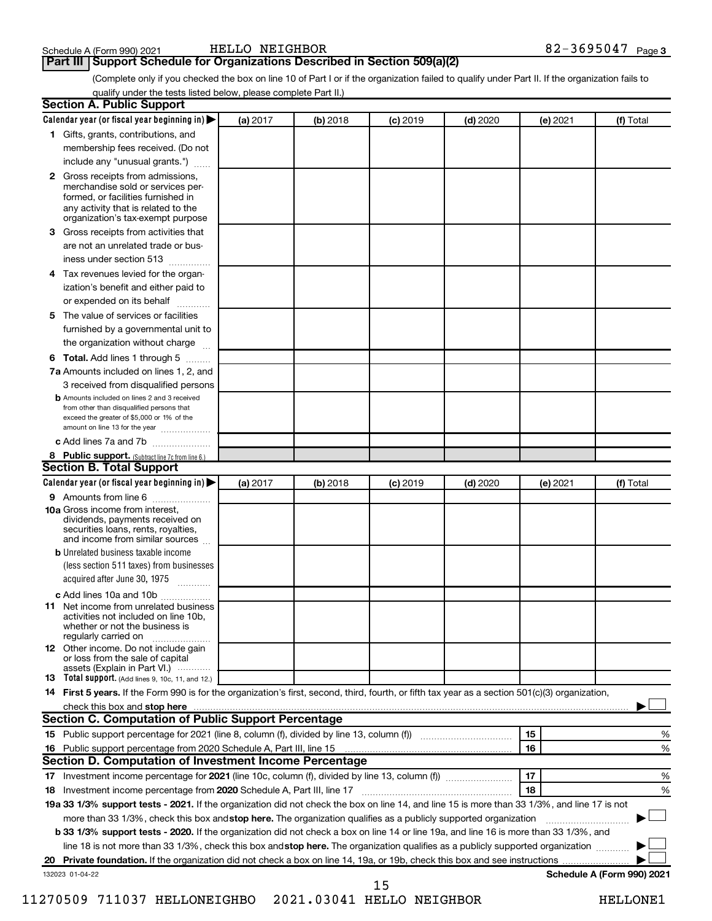### **Part III Support Schedule for Organizations Described in Section 509(a)(2)**

(Complete only if you checked the box on line 10 of Part I or if the organization failed to qualify under Part II. If the organization fails to qualify under the tests listed below, please complete Part II.)

| <b>Section A. Public Support</b>                                                                                                                                                                |          |            |            |            |          |                            |
|-------------------------------------------------------------------------------------------------------------------------------------------------------------------------------------------------|----------|------------|------------|------------|----------|----------------------------|
| Calendar year (or fiscal year beginning in)                                                                                                                                                     | (a) 2017 | (b) 2018   | $(c)$ 2019 | $(d)$ 2020 | (e) 2021 | (f) Total                  |
| 1 Gifts, grants, contributions, and                                                                                                                                                             |          |            |            |            |          |                            |
| membership fees received. (Do not                                                                                                                                                               |          |            |            |            |          |                            |
| include any "unusual grants.")                                                                                                                                                                  |          |            |            |            |          |                            |
| <b>2</b> Gross receipts from admissions,<br>merchandise sold or services per-<br>formed, or facilities furnished in<br>any activity that is related to the<br>organization's tax-exempt purpose |          |            |            |            |          |                            |
| 3 Gross receipts from activities that                                                                                                                                                           |          |            |            |            |          |                            |
| are not an unrelated trade or bus-                                                                                                                                                              |          |            |            |            |          |                            |
| iness under section 513                                                                                                                                                                         |          |            |            |            |          |                            |
| 4 Tax revenues levied for the organ-                                                                                                                                                            |          |            |            |            |          |                            |
| ization's benefit and either paid to                                                                                                                                                            |          |            |            |            |          |                            |
| or expended on its behalf                                                                                                                                                                       |          |            |            |            |          |                            |
| 5 The value of services or facilities                                                                                                                                                           |          |            |            |            |          |                            |
| furnished by a governmental unit to                                                                                                                                                             |          |            |            |            |          |                            |
| the organization without charge                                                                                                                                                                 |          |            |            |            |          |                            |
| 6 Total. Add lines 1 through 5                                                                                                                                                                  |          |            |            |            |          |                            |
| 7a Amounts included on lines 1, 2, and                                                                                                                                                          |          |            |            |            |          |                            |
| 3 received from disqualified persons                                                                                                                                                            |          |            |            |            |          |                            |
| <b>b</b> Amounts included on lines 2 and 3 received<br>from other than disqualified persons that<br>exceed the greater of \$5,000 or 1% of the<br>amount on line 13 for the year                |          |            |            |            |          |                            |
| c Add lines 7a and 7b                                                                                                                                                                           |          |            |            |            |          |                            |
| 8 Public support. (Subtract line 7c from line 6.)                                                                                                                                               |          |            |            |            |          |                            |
| <b>Section B. Total Support</b>                                                                                                                                                                 |          |            |            |            |          |                            |
| Calendar year (or fiscal year beginning in)                                                                                                                                                     | (a) 2017 | $(b)$ 2018 | $(c)$ 2019 | $(d)$ 2020 | (e) 2021 | (f) Total                  |
| 9 Amounts from line 6                                                                                                                                                                           |          |            |            |            |          |                            |
| <b>10a</b> Gross income from interest,<br>dividends, payments received on<br>securities loans, rents, royalties,<br>and income from similar sources                                             |          |            |            |            |          |                            |
| <b>b</b> Unrelated business taxable income                                                                                                                                                      |          |            |            |            |          |                            |
| (less section 511 taxes) from businesses<br>acquired after June 30, 1975                                                                                                                        |          |            |            |            |          |                            |
| c Add lines 10a and 10b                                                                                                                                                                         |          |            |            |            |          |                            |
| <b>11</b> Net income from unrelated business<br>activities not included on line 10b.<br>whether or not the business is<br>regularly carried on                                                  |          |            |            |            |          |                            |
| 12 Other income. Do not include gain<br>or loss from the sale of capital<br>assets (Explain in Part VI.)                                                                                        |          |            |            |            |          |                            |
| <b>13</b> Total support. (Add lines 9, 10c, 11, and 12.)                                                                                                                                        |          |            |            |            |          |                            |
| 14 First 5 years. If the Form 990 is for the organization's first, second, third, fourth, or fifth tax year as a section 501(c)(3) organization,                                                |          |            |            |            |          |                            |
| check this box and stop here <b>contained and the contained and starting and stop here</b> check this box and stop here                                                                         |          |            |            |            |          |                            |
| Section C. Computation of Public Support Percentage                                                                                                                                             |          |            |            |            |          |                            |
| 15 Public support percentage for 2021 (line 8, column (f), divided by line 13, column (f) <i></i>                                                                                               |          |            |            |            | 15       | ℅                          |
|                                                                                                                                                                                                 |          |            |            |            | 16       | %                          |
| Section D. Computation of Investment Income Percentage                                                                                                                                          |          |            |            |            |          |                            |
|                                                                                                                                                                                                 |          |            |            |            | 17       | %                          |
| 18 Investment income percentage from 2020 Schedule A, Part III, line 17                                                                                                                         |          |            |            |            | 18       | %                          |
| 19a 33 1/3% support tests - 2021. If the organization did not check the box on line 14, and line 15 is more than 33 1/3%, and line 17 is not                                                    |          |            |            |            |          |                            |
| more than 33 1/3%, check this box and stop here. The organization qualifies as a publicly supported organization                                                                                |          |            |            |            |          |                            |
| <b>b 33 1/3% support tests - 2020.</b> If the organization did not check a box on line 14 or line 19a, and line 16 is more than 33 1/3%, and                                                    |          |            |            |            |          |                            |
| line 18 is not more than 33 1/3%, check this box and stop here. The organization qualifies as a publicly supported organization                                                                 |          |            |            |            |          |                            |
|                                                                                                                                                                                                 |          |            |            |            |          |                            |
| 132023 01-04-22                                                                                                                                                                                 |          |            |            |            |          | Schedule A (Form 990) 2021 |
|                                                                                                                                                                                                 |          |            | 15         |            |          |                            |

11270509 711037 HELLONEIGHBO 2021.03041 HELLO NEIGHBOR HELLONE1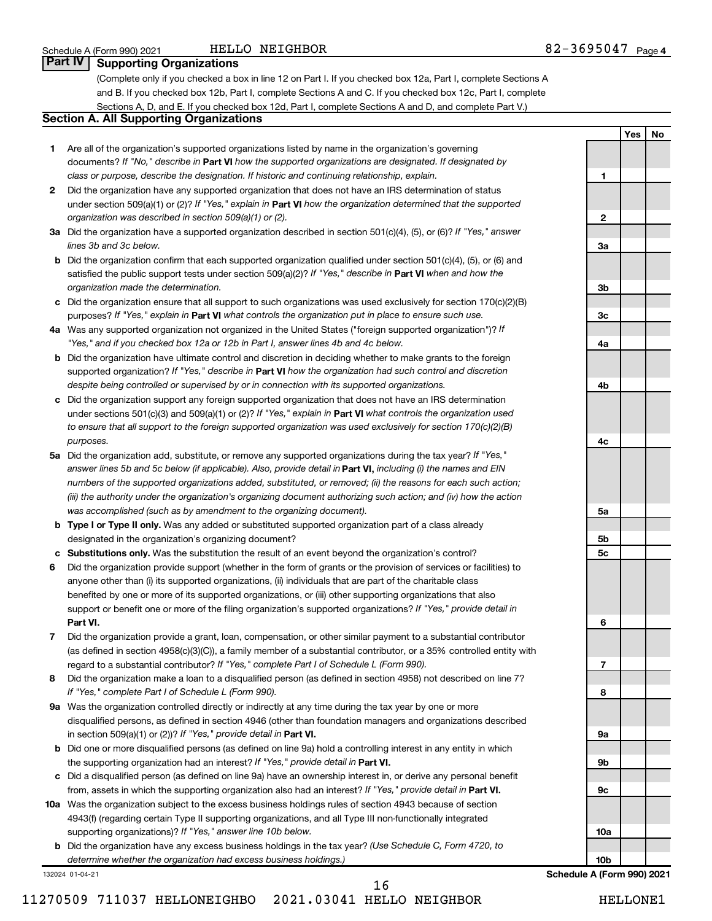#### HELLO NEIGHBOR 82-3695047

**1**

**2**

**3a**

**3b**

**3c**

**4a**

**4b**

**4c**

**5a**

**5b 5c**

**6**

**7**

**8**

**9a**

**9b**

**9c**

**10a**

**10b**

**Yes No**

# **Part IV Supporting Organizations**

(Complete only if you checked a box in line 12 on Part I. If you checked box 12a, Part I, complete Sections A and B. If you checked box 12b, Part I, complete Sections A and C. If you checked box 12c, Part I, complete Sections A, D, and E. If you checked box 12d, Part I, complete Sections A and D, and complete Part V.)

# **Section A. All Supporting Organizations**

- **1** Are all of the organization's supported organizations listed by name in the organization's governing documents? If "No," describe in Part VI how the supported organizations are designated. If designated by *class or purpose, describe the designation. If historic and continuing relationship, explain.*
- **2** Did the organization have any supported organization that does not have an IRS determination of status under section 509(a)(1) or (2)? If "Yes," explain in Part **VI** how the organization determined that the supported *organization was described in section 509(a)(1) or (2).*
- **3a** Did the organization have a supported organization described in section 501(c)(4), (5), or (6)? If "Yes," answer *lines 3b and 3c below.*
- **b** Did the organization confirm that each supported organization qualified under section 501(c)(4), (5), or (6) and satisfied the public support tests under section 509(a)(2)? If "Yes," describe in Part VI when and how the *organization made the determination.*
- **c** Did the organization ensure that all support to such organizations was used exclusively for section 170(c)(2)(B) purposes? If "Yes," explain in Part VI what controls the organization put in place to ensure such use.
- **4 a** *If* Was any supported organization not organized in the United States ("foreign supported organization")? *"Yes," and if you checked box 12a or 12b in Part I, answer lines 4b and 4c below.*
- **b** Did the organization have ultimate control and discretion in deciding whether to make grants to the foreign supported organization? If "Yes," describe in Part VI how the organization had such control and discretion *despite being controlled or supervised by or in connection with its supported organizations.*
- **c** Did the organization support any foreign supported organization that does not have an IRS determination under sections 501(c)(3) and 509(a)(1) or (2)? If "Yes," explain in Part VI what controls the organization used *to ensure that all support to the foreign supported organization was used exclusively for section 170(c)(2)(B) purposes.*
- **5a** Did the organization add, substitute, or remove any supported organizations during the tax year? If "Yes," answer lines 5b and 5c below (if applicable). Also, provide detail in **Part VI,** including (i) the names and EIN *numbers of the supported organizations added, substituted, or removed; (ii) the reasons for each such action; (iii) the authority under the organization's organizing document authorizing such action; and (iv) how the action was accomplished (such as by amendment to the organizing document).*
- **b Type I or Type II only.** Was any added or substituted supported organization part of a class already designated in the organization's organizing document?
- **c Substitutions only.**  Was the substitution the result of an event beyond the organization's control?
- **6** Did the organization provide support (whether in the form of grants or the provision of services or facilities) to **Part VI.** support or benefit one or more of the filing organization's supported organizations? If "Yes," provide detail in anyone other than (i) its supported organizations, (ii) individuals that are part of the charitable class benefited by one or more of its supported organizations, or (iii) other supporting organizations that also
- **7** Did the organization provide a grant, loan, compensation, or other similar payment to a substantial contributor regard to a substantial contributor? If "Yes," complete Part I of Schedule L (Form 990). (as defined in section 4958(c)(3)(C)), a family member of a substantial contributor, or a 35% controlled entity with
- **8** Did the organization make a loan to a disqualified person (as defined in section 4958) not described on line 7? *If "Yes," complete Part I of Schedule L (Form 990).*
- **9 a** Was the organization controlled directly or indirectly at any time during the tax year by one or more in section 509(a)(1) or (2))? If "Yes," provide detail in **Part VI.** disqualified persons, as defined in section 4946 (other than foundation managers and organizations described
- **b** Did one or more disqualified persons (as defined on line 9a) hold a controlling interest in any entity in which the supporting organization had an interest? If "Yes," provide detail in Part VI.
- **c** Did a disqualified person (as defined on line 9a) have an ownership interest in, or derive any personal benefit from, assets in which the supporting organization also had an interest? If "Yes," provide detail in Part VI.
- **10 a** Was the organization subject to the excess business holdings rules of section 4943 because of section supporting organizations)? If "Yes," answer line 10b below. 4943(f) (regarding certain Type II supporting organizations, and all Type III non-functionally integrated
	- **b** Did the organization have any excess business holdings in the tax year? (Use Schedule C, Form 4720, to *determine whether the organization had excess business holdings.)*

132024 01-04-21

**Schedule A (Form 990) 2021**

11270509 711037 HELLONEIGHBO 2021.03041 HELLO NEIGHBOR HELLONE1 16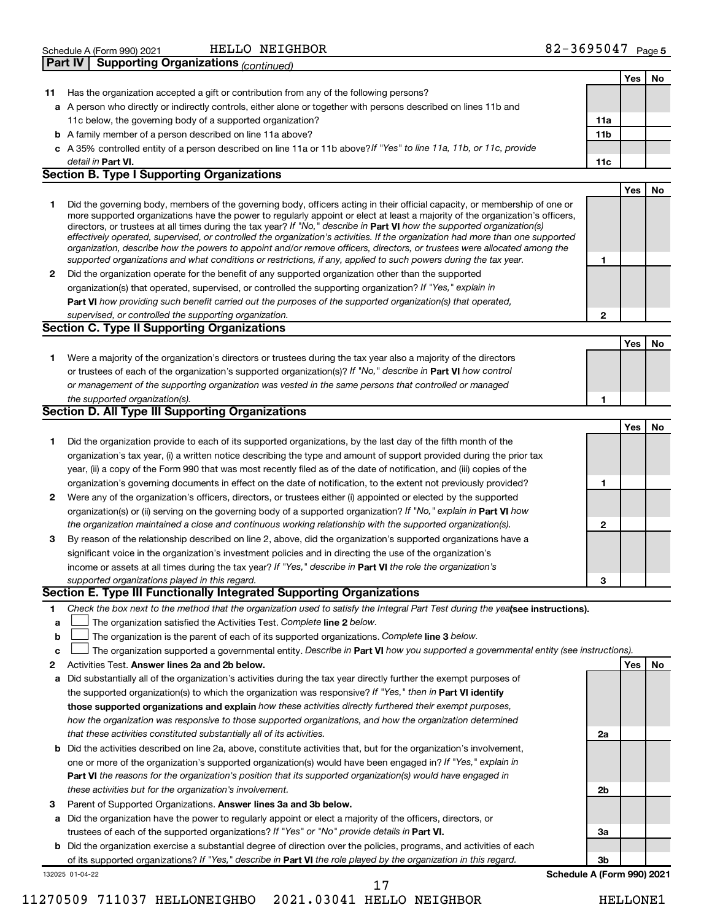|                | Schedule A (Form 990) 2021 | NEIGHBOR<br>HELLC                                            | 3695047 | Page 5 |
|----------------|----------------------------|--------------------------------------------------------------|---------|--------|
| <b>Part IV</b> |                            | <sup>1</sup> Supporting Organizations <sub>(continued)</sub> |         |        |

|              |                                                                                                                                                                                                                                                            |                 | Yes | No |
|--------------|------------------------------------------------------------------------------------------------------------------------------------------------------------------------------------------------------------------------------------------------------------|-----------------|-----|----|
| 11.          | Has the organization accepted a gift or contribution from any of the following persons?                                                                                                                                                                    |                 |     |    |
|              | a A person who directly or indirectly controls, either alone or together with persons described on lines 11b and                                                                                                                                           |                 |     |    |
|              | 11c below, the governing body of a supported organization?                                                                                                                                                                                                 | 11a             |     |    |
|              | <b>b</b> A family member of a person described on line 11a above?                                                                                                                                                                                          | 11 <sub>b</sub> |     |    |
|              | c A 35% controlled entity of a person described on line 11a or 11b above?If "Yes" to line 11a, 11b, or 11c, provide                                                                                                                                        |                 |     |    |
|              | detail in Part VI.                                                                                                                                                                                                                                         | 11c             |     |    |
|              | <b>Section B. Type I Supporting Organizations</b>                                                                                                                                                                                                          |                 |     |    |
|              |                                                                                                                                                                                                                                                            |                 | Yes | No |
| 1.           | Did the governing body, members of the governing body, officers acting in their official capacity, or membership of one or                                                                                                                                 |                 |     |    |
|              | more supported organizations have the power to regularly appoint or elect at least a majority of the organization's officers,                                                                                                                              |                 |     |    |
|              | directors, or trustees at all times during the tax year? If "No," describe in Part VI how the supported organization(s)                                                                                                                                    |                 |     |    |
|              | effectively operated, supervised, or controlled the organization's activities. If the organization had more than one supported<br>organization, describe how the powers to appoint and/or remove officers, directors, or trustees were allocated among the |                 |     |    |
|              | supported organizations and what conditions or restrictions, if any, applied to such powers during the tax year.                                                                                                                                           | 1               |     |    |
| $\mathbf{2}$ | Did the organization operate for the benefit of any supported organization other than the supported                                                                                                                                                        |                 |     |    |
|              | organization(s) that operated, supervised, or controlled the supporting organization? If "Yes," explain in                                                                                                                                                 |                 |     |    |
|              | Part VI how providing such benefit carried out the purposes of the supported organization(s) that operated,                                                                                                                                                |                 |     |    |
|              | supervised, or controlled the supporting organization.                                                                                                                                                                                                     | 2               |     |    |
|              | <b>Section C. Type II Supporting Organizations</b>                                                                                                                                                                                                         |                 |     |    |
|              |                                                                                                                                                                                                                                                            |                 | Yes | No |
| 1.           | Were a majority of the organization's directors or trustees during the tax year also a majority of the directors                                                                                                                                           |                 |     |    |
|              |                                                                                                                                                                                                                                                            |                 |     |    |
|              | or trustees of each of the organization's supported organization(s)? If "No," describe in Part VI how control                                                                                                                                              |                 |     |    |
|              | or management of the supporting organization was vested in the same persons that controlled or managed                                                                                                                                                     |                 |     |    |
|              | the supported organization(s).<br><b>Section D. All Type III Supporting Organizations</b>                                                                                                                                                                  | 1               |     |    |
|              |                                                                                                                                                                                                                                                            |                 |     |    |
|              |                                                                                                                                                                                                                                                            |                 | Yes | No |
| 1.           | Did the organization provide to each of its supported organizations, by the last day of the fifth month of the                                                                                                                                             |                 |     |    |
|              | organization's tax year, (i) a written notice describing the type and amount of support provided during the prior tax                                                                                                                                      |                 |     |    |
|              | year, (ii) a copy of the Form 990 that was most recently filed as of the date of notification, and (iii) copies of the                                                                                                                                     |                 |     |    |
|              | organization's governing documents in effect on the date of notification, to the extent not previously provided?                                                                                                                                           | 1               |     |    |
| 2            | Were any of the organization's officers, directors, or trustees either (i) appointed or elected by the supported                                                                                                                                           |                 |     |    |
|              | organization(s) or (ii) serving on the governing body of a supported organization? If "No," explain in Part VI how                                                                                                                                         |                 |     |    |
|              | the organization maintained a close and continuous working relationship with the supported organization(s).                                                                                                                                                | 2               |     |    |
| 3            | By reason of the relationship described on line 2, above, did the organization's supported organizations have a                                                                                                                                            |                 |     |    |
|              | significant voice in the organization's investment policies and in directing the use of the organization's                                                                                                                                                 |                 |     |    |
|              | income or assets at all times during the tax year? If "Yes," describe in Part VI the role the organization's                                                                                                                                               |                 |     |    |
|              | supported organizations played in this regard.                                                                                                                                                                                                             | 3               |     |    |
|              | Section E. Type III Functionally Integrated Supporting Organizations                                                                                                                                                                                       |                 |     |    |
| 1.           | Check the box next to the method that the organization used to satisfy the Integral Part Test during the yealsee instructions).                                                                                                                            |                 |     |    |
| a            | The organization satisfied the Activities Test. Complete line 2 below.                                                                                                                                                                                     |                 |     |    |
| b            | The organization is the parent of each of its supported organizations. Complete line 3 below.                                                                                                                                                              |                 |     |    |
| C            | The organization supported a governmental entity. Describe in Part VI how you supported a governmental entity (see instructions).                                                                                                                          |                 |     |    |
| 2            | Activities Test. Answer lines 2a and 2b below.                                                                                                                                                                                                             |                 | Yes | No |
| а            | Did substantially all of the organization's activities during the tax year directly further the exempt purposes of                                                                                                                                         |                 |     |    |
|              | the supported organization(s) to which the organization was responsive? If "Yes," then in Part VI identify                                                                                                                                                 |                 |     |    |
|              | those supported organizations and explain how these activities directly furthered their exempt purposes,                                                                                                                                                   |                 |     |    |
|              | how the organization was responsive to those supported organizations, and how the organization determined                                                                                                                                                  |                 |     |    |
|              | that these activities constituted substantially all of its activities.                                                                                                                                                                                     | 2a              |     |    |
|              | <b>b</b> Did the activities described on line 2a, above, constitute activities that, but for the organization's involvement,                                                                                                                               |                 |     |    |
|              | one or more of the organization's supported organization(s) would have been engaged in? If "Yes," explain in                                                                                                                                               |                 |     |    |
|              | Part VI the reasons for the organization's position that its supported organization(s) would have engaged in                                                                                                                                               |                 |     |    |
|              | these activities but for the organization's involvement.                                                                                                                                                                                                   | 2b              |     |    |
| 3            | Parent of Supported Organizations. Answer lines 3a and 3b below.                                                                                                                                                                                           |                 |     |    |
|              | a Did the organization have the power to regularly appoint or elect a majority of the officers, directors, or                                                                                                                                              |                 |     |    |
|              | trustees of each of the supported organizations? If "Yes" or "No" provide details in Part VI.                                                                                                                                                              | За              |     |    |
|              | <b>b</b> Did the organization exercise a substantial degree of direction over the policies, programs, and activities of each                                                                                                                               |                 |     |    |
|              | of its supported organizations? If "Yes," describe in Part VI the role played by the organization in this regard.                                                                                                                                          | 3b              |     |    |
|              | Schedule A (Form 990) 2021<br>132025 01-04-22                                                                                                                                                                                                              |                 |     |    |
|              | 17                                                                                                                                                                                                                                                         |                 |     |    |

11270509 711037 HELLONEIGHBO 2021.03041 HELLO NEIGHBOR HELLONE1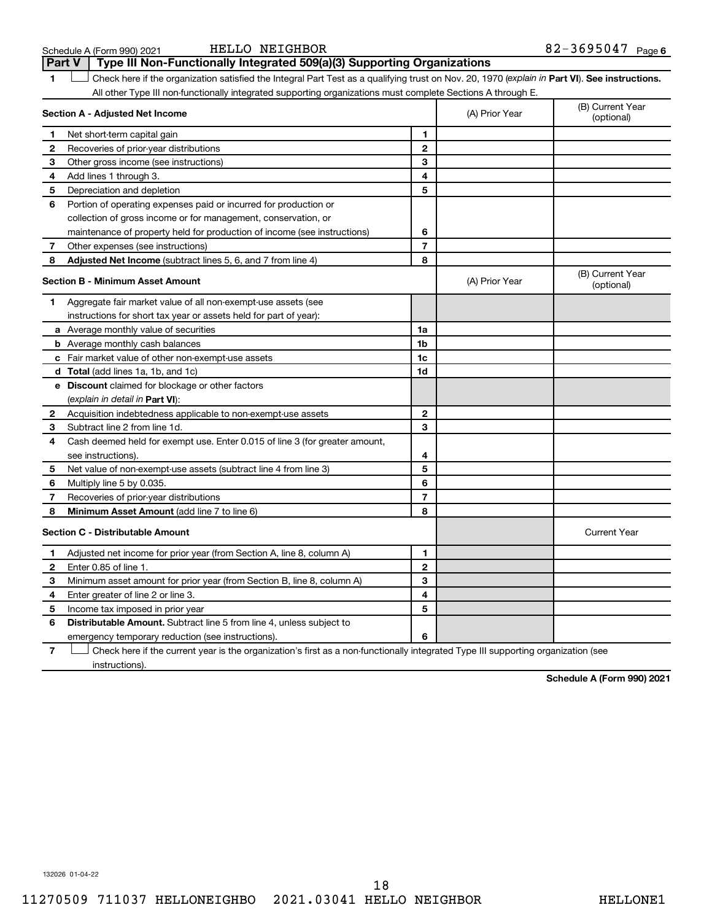| Schedule A (Form 990) 202 |  |  |
|---------------------------|--|--|
|---------------------------|--|--|

## Schedule A (Form 990) 2021 Page HELLO NEIGHBOR 82-3695047

**1 Part VI** Check here if the organization satisfied the Integral Part Test as a qualifying trust on Nov. 20, 1970 (*explain in* Part **VI**). See instructions. **Section A - Adjusted Net Income 1 2 3 4 5 6 7 8 1 2 3 4 5 6 7 Adjusted Net Income** (subtract lines 5, 6, and 7 from line 4) **8 8 Section B - Minimum Asset Amount 1 2 3 4 5 6 7 8 a** Average monthly value of securities **b** Average monthly cash balances **c** Fair market value of other non-exempt-use assets **d Total**  (add lines 1a, 1b, and 1c) **e Discount** claimed for blockage or other factors **1a 1b 1c 1d 2 3 4 5 6 7 8** (explain in detail in Part VI): **Minimum Asset Amount**  (add line 7 to line 6) **Section C - Distributable Amount 1 2 3 4 5 6 1 2 3 4 5 6** Distributable Amount. Subtract line 5 from line 4, unless subject to All other Type III non-functionally integrated supporting organizations must complete Sections A through E. (B) Current Year (A) Prior Year Net short-term capital gain Recoveries of prior-year distributions Other gross income (see instructions) Add lines 1 through 3. Depreciation and depletion Portion of operating expenses paid or incurred for production or collection of gross income or for management, conservation, or maintenance of property held for production of income (see instructions) Other expenses (see instructions) (B) Current Year  $(A)$  Prior Year  $\left\{\n\begin{array}{ccc}\n\end{array}\n\right\}$  (optional) Aggregate fair market value of all non-exempt-use assets (see instructions for short tax year or assets held for part of year): Acquisition indebtedness applicable to non-exempt-use assets Subtract line 2 from line 1d. Cash deemed held for exempt use. Enter 0.015 of line 3 (for greater amount, see instructions). Net value of non-exempt-use assets (subtract line 4 from line 3) Multiply line 5 by 0.035. Recoveries of prior-year distributions Current Year Adjusted net income for prior year (from Section A, line 8, column A) Enter 0.85 of line 1. Minimum asset amount for prior year (from Section B, line 8, column A) Enter greater of line 2 or line 3. Income tax imposed in prior year emergency temporary reduction (see instructions). **Part V Type III Non-Functionally Integrated 509(a)(3) Supporting Organizations**   $\Box$ 

**7** Check here if the current year is the organization's first as a non-functionally integrated Type III supporting organization (see † instructions).

**Schedule A (Form 990) 2021**

132026 01-04-22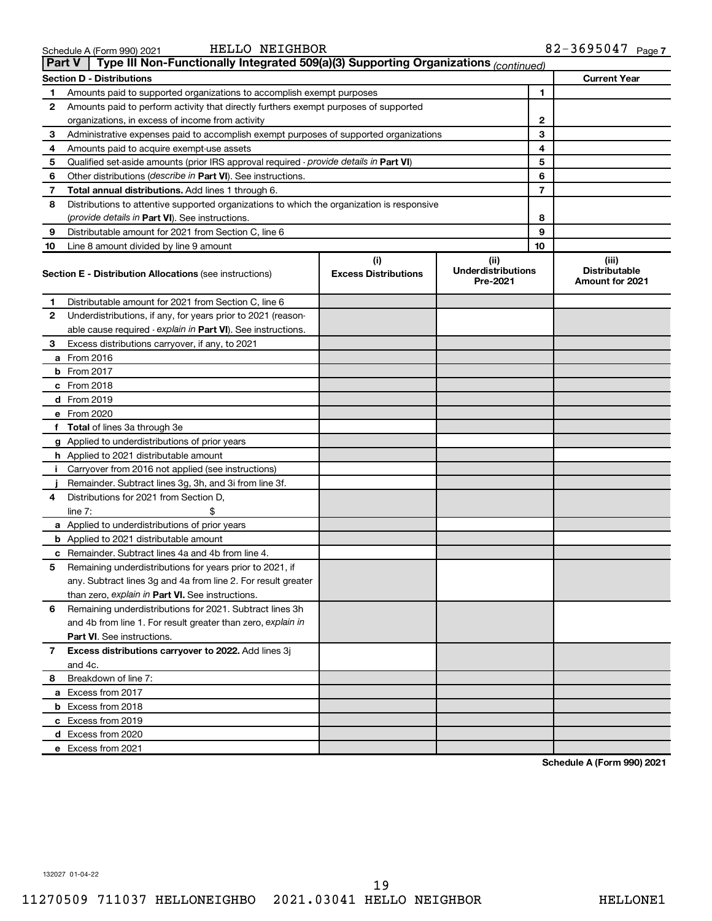|    | Type III Non-Functionally Integrated 509(a)(3) Supporting Organizations (continued)<br><b>Part V</b> |                                    |                                               |    |                                                         |  |  |
|----|------------------------------------------------------------------------------------------------------|------------------------------------|-----------------------------------------------|----|---------------------------------------------------------|--|--|
|    | <b>Section D - Distributions</b>                                                                     |                                    |                                               |    | <b>Current Year</b>                                     |  |  |
| 1  | Amounts paid to supported organizations to accomplish exempt purposes                                |                                    |                                               | 1  |                                                         |  |  |
| 2  | Amounts paid to perform activity that directly furthers exempt purposes of supported                 |                                    |                                               |    |                                                         |  |  |
|    | organizations, in excess of income from activity                                                     | 2                                  |                                               |    |                                                         |  |  |
| 3  | Administrative expenses paid to accomplish exempt purposes of supported organizations                |                                    |                                               | 3  |                                                         |  |  |
| 4  | Amounts paid to acquire exempt-use assets                                                            |                                    |                                               | 4  |                                                         |  |  |
| 5  | Qualified set-aside amounts (prior IRS approval required - provide details in Part VI)               |                                    |                                               | 5  |                                                         |  |  |
| 6  | Other distributions ( <i>describe in Part VI</i> ). See instructions.                                |                                    |                                               | 6  |                                                         |  |  |
| 7  | Total annual distributions. Add lines 1 through 6.                                                   |                                    |                                               | 7  |                                                         |  |  |
| 8  | Distributions to attentive supported organizations to which the organization is responsive           |                                    |                                               |    |                                                         |  |  |
|    | (provide details in Part VI). See instructions.                                                      |                                    |                                               | 8  |                                                         |  |  |
| 9  | Distributable amount for 2021 from Section C, line 6                                                 |                                    |                                               | 9  |                                                         |  |  |
| 10 | Line 8 amount divided by line 9 amount                                                               |                                    |                                               | 10 |                                                         |  |  |
|    | <b>Section E - Distribution Allocations (see instructions)</b>                                       | (i)<br><b>Excess Distributions</b> | (ii)<br><b>Underdistributions</b><br>Pre-2021 |    | (iii)<br><b>Distributable</b><br><b>Amount for 2021</b> |  |  |
| 1  | Distributable amount for 2021 from Section C, line 6                                                 |                                    |                                               |    |                                                         |  |  |
| 2  | Underdistributions, if any, for years prior to 2021 (reason-                                         |                                    |                                               |    |                                                         |  |  |
|    | able cause required - explain in Part VI). See instructions.                                         |                                    |                                               |    |                                                         |  |  |
| 3  | Excess distributions carryover, if any, to 2021                                                      |                                    |                                               |    |                                                         |  |  |
|    | a From 2016                                                                                          |                                    |                                               |    |                                                         |  |  |
|    | <b>b</b> From 2017                                                                                   |                                    |                                               |    |                                                         |  |  |
|    | c From 2018                                                                                          |                                    |                                               |    |                                                         |  |  |
|    | d From 2019                                                                                          |                                    |                                               |    |                                                         |  |  |
|    | e From 2020                                                                                          |                                    |                                               |    |                                                         |  |  |
|    | f Total of lines 3a through 3e                                                                       |                                    |                                               |    |                                                         |  |  |
|    | g Applied to underdistributions of prior years                                                       |                                    |                                               |    |                                                         |  |  |
|    | <b>h</b> Applied to 2021 distributable amount                                                        |                                    |                                               |    |                                                         |  |  |
| I. | Carryover from 2016 not applied (see instructions)                                                   |                                    |                                               |    |                                                         |  |  |
|    | Remainder. Subtract lines 3g, 3h, and 3i from line 3f.                                               |                                    |                                               |    |                                                         |  |  |
| 4  | Distributions for 2021 from Section D,                                                               |                                    |                                               |    |                                                         |  |  |
|    | line $7:$                                                                                            |                                    |                                               |    |                                                         |  |  |
|    | a Applied to underdistributions of prior years                                                       |                                    |                                               |    |                                                         |  |  |
|    | <b>b</b> Applied to 2021 distributable amount                                                        |                                    |                                               |    |                                                         |  |  |
|    | c Remainder. Subtract lines 4a and 4b from line 4.                                                   |                                    |                                               |    |                                                         |  |  |
| 5  | Remaining underdistributions for years prior to 2021, if                                             |                                    |                                               |    |                                                         |  |  |
|    | any. Subtract lines 3g and 4a from line 2. For result greater                                        |                                    |                                               |    |                                                         |  |  |
|    | than zero, explain in Part VI. See instructions.                                                     |                                    |                                               |    |                                                         |  |  |
| 6  | Remaining underdistributions for 2021. Subtract lines 3h                                             |                                    |                                               |    |                                                         |  |  |
|    | and 4b from line 1. For result greater than zero, explain in                                         |                                    |                                               |    |                                                         |  |  |
|    | <b>Part VI.</b> See instructions.                                                                    |                                    |                                               |    |                                                         |  |  |
| 7  | Excess distributions carryover to 2022. Add lines 3j                                                 |                                    |                                               |    |                                                         |  |  |
|    | and 4c.                                                                                              |                                    |                                               |    |                                                         |  |  |
| 8  | Breakdown of line 7:                                                                                 |                                    |                                               |    |                                                         |  |  |
|    | a Excess from 2017                                                                                   |                                    |                                               |    |                                                         |  |  |
|    | <b>b</b> Excess from 2018                                                                            |                                    |                                               |    |                                                         |  |  |
|    | c Excess from 2019                                                                                   |                                    |                                               |    |                                                         |  |  |
|    | d Excess from 2020                                                                                   |                                    |                                               |    |                                                         |  |  |
|    | e Excess from 2021                                                                                   |                                    |                                               |    |                                                         |  |  |

**Schedule A (Form 990) 2021**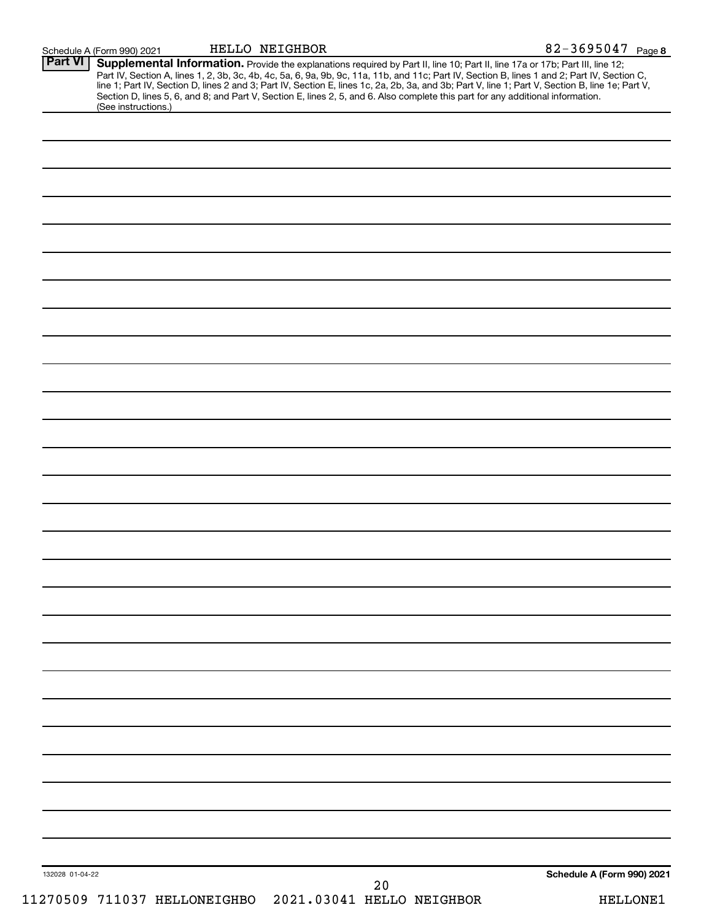| (See instructions.)<br>Schedule A (Form 990) 2021<br>132028 01-04-22 | Part IV, Section A, lines 1, 2, 3b, 3c, 4b, 4c, 5a, 6, 9a, 9b, 9c, 11a, 11b, and 11c; Part IV, Section B, lines 1 and 2; Part IV, Section C,<br>line 1; Part IV, Section D, lines 2 and 3; Part IV, Section E, lines 1c, 2a, 2b, |
|----------------------------------------------------------------------|----------------------------------------------------------------------------------------------------------------------------------------------------------------------------------------------------------------------------------|
|                                                                      |                                                                                                                                                                                                                                  |
|                                                                      |                                                                                                                                                                                                                                  |
|                                                                      |                                                                                                                                                                                                                                  |
|                                                                      |                                                                                                                                                                                                                                  |
|                                                                      |                                                                                                                                                                                                                                  |
|                                                                      |                                                                                                                                                                                                                                  |
|                                                                      |                                                                                                                                                                                                                                  |
|                                                                      |                                                                                                                                                                                                                                  |
|                                                                      |                                                                                                                                                                                                                                  |
|                                                                      |                                                                                                                                                                                                                                  |
|                                                                      |                                                                                                                                                                                                                                  |
|                                                                      |                                                                                                                                                                                                                                  |
|                                                                      |                                                                                                                                                                                                                                  |
|                                                                      |                                                                                                                                                                                                                                  |
|                                                                      |                                                                                                                                                                                                                                  |
|                                                                      |                                                                                                                                                                                                                                  |
|                                                                      |                                                                                                                                                                                                                                  |
|                                                                      |                                                                                                                                                                                                                                  |
|                                                                      |                                                                                                                                                                                                                                  |
|                                                                      |                                                                                                                                                                                                                                  |
|                                                                      |                                                                                                                                                                                                                                  |
|                                                                      |                                                                                                                                                                                                                                  |
|                                                                      |                                                                                                                                                                                                                                  |
|                                                                      |                                                                                                                                                                                                                                  |
|                                                                      |                                                                                                                                                                                                                                  |
|                                                                      |                                                                                                                                                                                                                                  |
|                                                                      |                                                                                                                                                                                                                                  |
|                                                                      |                                                                                                                                                                                                                                  |
|                                                                      |                                                                                                                                                                                                                                  |
|                                                                      |                                                                                                                                                                                                                                  |
|                                                                      |                                                                                                                                                                                                                                  |
|                                                                      |                                                                                                                                                                                                                                  |
|                                                                      |                                                                                                                                                                                                                                  |
|                                                                      |                                                                                                                                                                                                                                  |
|                                                                      |                                                                                                                                                                                                                                  |
| 20                                                                   |                                                                                                                                                                                                                                  |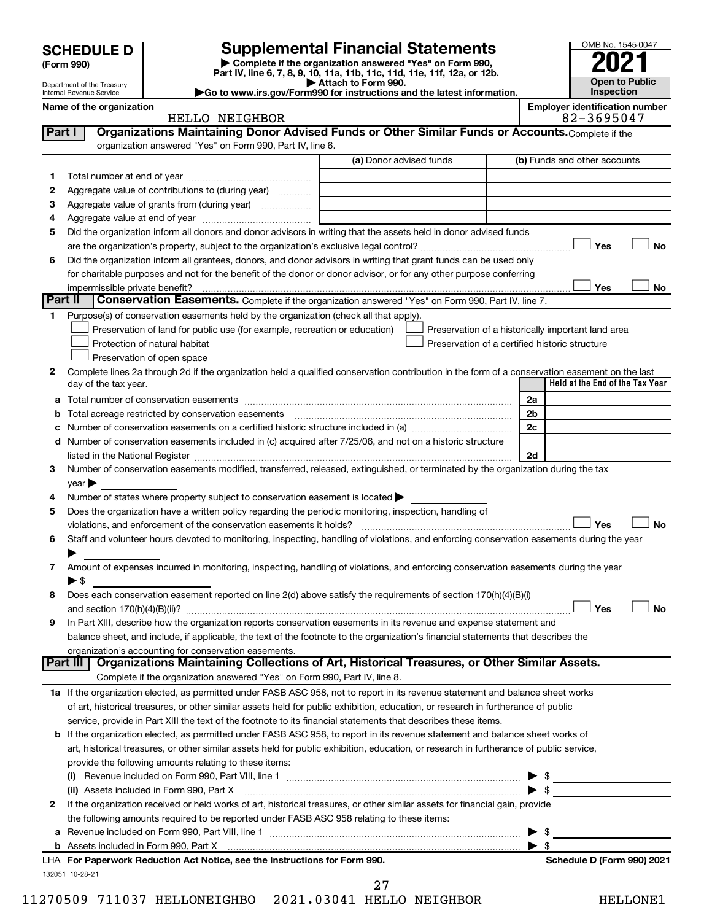| <b>SCHEDULE D</b> |  |
|-------------------|--|
|-------------------|--|

Department of the Treasury Internal Revenue Service

| (Form 990) |
|------------|
|            |

132051 10-28-21

**| Complete if the organization answered "Yes" on Form 990, Part IV, line 6, 7, 8, 9, 10, 11a, 11b, 11c, 11d, 11e, 11f, 12a, or 12b. SCHEDULE D Supplemental Financial Statements**<br> **Form 990 Example 5 2021**<br>
Part IV. line 6, 7, 8, 9, 10, 11a, 11b, 11c, 11d, 11e, 11f, 12a, or 12b.

**| Attach to Form 990. |Go to www.irs.gov/Form990 for instructions and the latest information.**

**Name of the organization Employer identification number**

|         | HELLO NEIGHBOR                                                                                                                                                    |                                                |                | 82-3695047                                         |
|---------|-------------------------------------------------------------------------------------------------------------------------------------------------------------------|------------------------------------------------|----------------|----------------------------------------------------|
| Part I  | Organizations Maintaining Donor Advised Funds or Other Similar Funds or Accounts. Complete if the                                                                 |                                                |                |                                                    |
|         | organization answered "Yes" on Form 990, Part IV, line 6.                                                                                                         |                                                |                |                                                    |
|         |                                                                                                                                                                   | (a) Donor advised funds                        |                | (b) Funds and other accounts                       |
| 1.      |                                                                                                                                                                   |                                                |                |                                                    |
| 2       | Aggregate value of contributions to (during year)                                                                                                                 |                                                |                |                                                    |
| З       | Aggregate value of grants from (during year)                                                                                                                      |                                                |                |                                                    |
| 4       |                                                                                                                                                                   |                                                |                |                                                    |
| 5       | Did the organization inform all donors and donor advisors in writing that the assets held in donor advised funds                                                  |                                                |                |                                                    |
|         |                                                                                                                                                                   |                                                |                | Yes<br>No                                          |
| 6       | Did the organization inform all grantees, donors, and donor advisors in writing that grant funds can be used only                                                 |                                                |                |                                                    |
|         | for charitable purposes and not for the benefit of the donor or donor advisor, or for any other purpose conferring                                                |                                                |                |                                                    |
|         | impermissible private benefit?                                                                                                                                    |                                                |                | Yes<br>No                                          |
| Part II | Conservation Easements. Complete if the organization answered "Yes" on Form 990, Part IV, line 7.                                                                 |                                                |                |                                                    |
|         | Purpose(s) of conservation easements held by the organization (check all that apply).                                                                             |                                                |                |                                                    |
|         | Preservation of land for public use (for example, recreation or education)                                                                                        |                                                |                | Preservation of a historically important land area |
|         | Protection of natural habitat                                                                                                                                     | Preservation of a certified historic structure |                |                                                    |
|         | Preservation of open space                                                                                                                                        |                                                |                |                                                    |
| 2       | Complete lines 2a through 2d if the organization held a qualified conservation contribution in the form of a conservation easement on the last                    |                                                |                |                                                    |
|         | day of the tax year.                                                                                                                                              |                                                |                | Held at the End of the Tax Year                    |
| а       |                                                                                                                                                                   |                                                | 2a             |                                                    |
|         | Total acreage restricted by conservation easements                                                                                                                |                                                | 2 <sub>b</sub> |                                                    |
|         |                                                                                                                                                                   |                                                | 2c             |                                                    |
|         | Number of conservation easements included in (c) acquired after 7/25/06, and not on a historic structure                                                          |                                                |                |                                                    |
|         |                                                                                                                                                                   |                                                | 2d             |                                                    |
| 3       | Number of conservation easements modified, transferred, released, extinguished, or terminated by the organization during the tax                                  |                                                |                |                                                    |
|         | $\vee$ ear $\blacktriangleright$                                                                                                                                  |                                                |                |                                                    |
| 4       | Number of states where property subject to conservation easement is located >                                                                                     |                                                |                |                                                    |
| 5       | Does the organization have a written policy regarding the periodic monitoring, inspection, handling of                                                            |                                                |                |                                                    |
|         | violations, and enforcement of the conservation easements it holds?                                                                                               |                                                |                | Yes<br>No                                          |
| 6       | Staff and volunteer hours devoted to monitoring, inspecting, handling of violations, and enforcing conservation easements during the year                         |                                                |                |                                                    |
|         |                                                                                                                                                                   |                                                |                |                                                    |
| 7       | Amount of expenses incurred in monitoring, inspecting, handling of violations, and enforcing conservation easements during the year                               |                                                |                |                                                    |
|         | $\blacktriangleright$ s                                                                                                                                           |                                                |                |                                                    |
| 8       | Does each conservation easement reported on line 2(d) above satisfy the requirements of section 170(h)(4)(B)(i)                                                   |                                                |                |                                                    |
|         |                                                                                                                                                                   |                                                |                | Yes<br>No                                          |
| 9       | In Part XIII, describe how the organization reports conservation easements in its revenue and expense statement and                                               |                                                |                |                                                    |
|         | balance sheet, and include, if applicable, the text of the footnote to the organization's financial statements that describes the                                 |                                                |                |                                                    |
|         | organization's accounting for conservation easements.<br>Organizations Maintaining Collections of Art, Historical Treasures, or Other Similar Assets.<br>Part III |                                                |                |                                                    |
|         | Complete if the organization answered "Yes" on Form 990, Part IV, line 8.                                                                                         |                                                |                |                                                    |
|         | 1a If the organization elected, as permitted under FASB ASC 958, not to report in its revenue statement and balance sheet works                                   |                                                |                |                                                    |
|         | of art, historical treasures, or other similar assets held for public exhibition, education, or research in furtherance of public                                 |                                                |                |                                                    |
|         | service, provide in Part XIII the text of the footnote to its financial statements that describes these items.                                                    |                                                |                |                                                    |
|         | <b>b</b> If the organization elected, as permitted under FASB ASC 958, to report in its revenue statement and balance sheet works of                              |                                                |                |                                                    |
|         | art, historical treasures, or other similar assets held for public exhibition, education, or research in furtherance of public service,                           |                                                |                |                                                    |
|         | provide the following amounts relating to these items:                                                                                                            |                                                |                |                                                    |
|         |                                                                                                                                                                   |                                                |                | \$                                                 |
|         | (ii) Assets included in Form 990, Part X                                                                                                                          |                                                |                | $\cdot$ \$                                         |
| 2       | If the organization received or held works of art, historical treasures, or other similar assets for financial gain, provide                                      |                                                |                |                                                    |
|         | the following amounts required to be reported under FASB ASC 958 relating to these items:                                                                         |                                                |                |                                                    |
|         |                                                                                                                                                                   |                                                |                | \$                                                 |
| а       |                                                                                                                                                                   |                                                |                | -\$                                                |
|         | LHA For Paperwork Reduction Act Notice, see the Instructions for Form 990.                                                                                        |                                                |                | Schedule D (Form 990) 2021                         |
|         |                                                                                                                                                                   |                                                |                |                                                    |

11270509 711037 HELLONEIGHBO 2021.03041 HELLO NEIGHBOR HELLONE1 27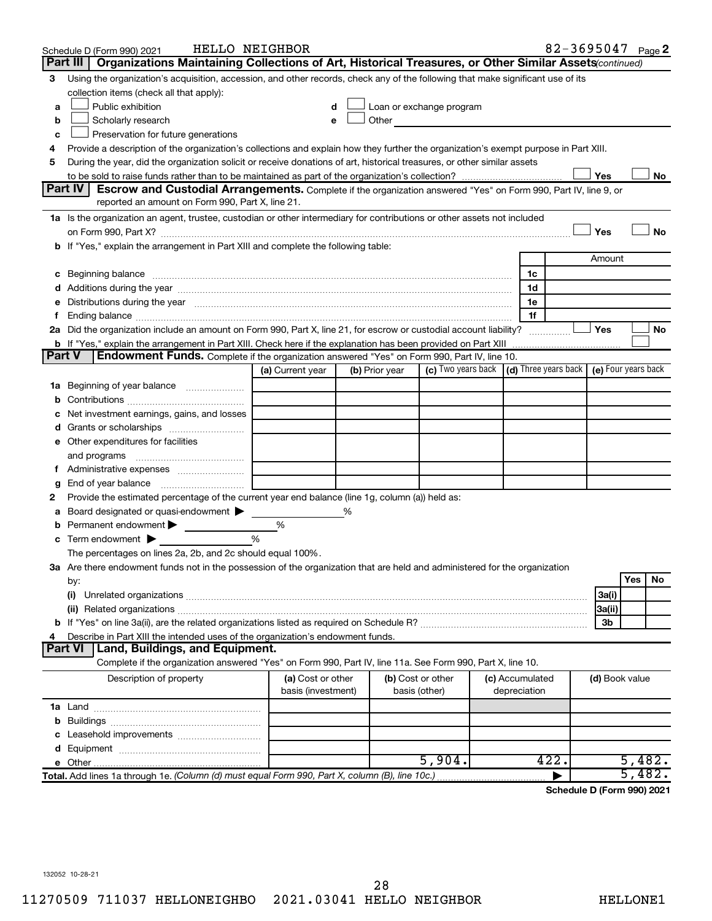|               | Schedule D (Form 990) 2021                                                                                                                                                                                                     | HELLO NEIGHBOR     |                |                                                         |                 |    | 82-3695047 Page 2                 |                     |                      |     |
|---------------|--------------------------------------------------------------------------------------------------------------------------------------------------------------------------------------------------------------------------------|--------------------|----------------|---------------------------------------------------------|-----------------|----|-----------------------------------|---------------------|----------------------|-----|
|               | Organizations Maintaining Collections of Art, Historical Treasures, or Other Similar Assets (continued)<br>Part III                                                                                                            |                    |                |                                                         |                 |    |                                   |                     |                      |     |
| З             | Using the organization's acquisition, accession, and other records, check any of the following that make significant use of its                                                                                                |                    |                |                                                         |                 |    |                                   |                     |                      |     |
|               | collection items (check all that apply):                                                                                                                                                                                       |                    |                |                                                         |                 |    |                                   |                     |                      |     |
| a             | Public exhibition                                                                                                                                                                                                              |                    |                | Loan or exchange program                                |                 |    |                                   |                     |                      |     |
| b             | Scholarly research                                                                                                                                                                                                             |                    | Other          |                                                         |                 |    |                                   |                     |                      |     |
| c             | Preservation for future generations                                                                                                                                                                                            |                    |                |                                                         |                 |    |                                   |                     |                      |     |
|               | Provide a description of the organization's collections and explain how they further the organization's exempt purpose in Part XIII.                                                                                           |                    |                |                                                         |                 |    |                                   |                     |                      |     |
| 5             | During the year, did the organization solicit or receive donations of art, historical treasures, or other similar assets                                                                                                       |                    |                |                                                         |                 |    |                                   |                     |                      |     |
|               |                                                                                                                                                                                                                                |                    |                |                                                         |                 |    |                                   | Yes                 |                      | No  |
|               | <b>Part IV</b><br>Escrow and Custodial Arrangements. Complete if the organization answered "Yes" on Form 990, Part IV, line 9, or                                                                                              |                    |                |                                                         |                 |    |                                   |                     |                      |     |
|               | reported an amount on Form 990, Part X, line 21.                                                                                                                                                                               |                    |                |                                                         |                 |    |                                   |                     |                      |     |
|               | 1a Is the organization an agent, trustee, custodian or other intermediary for contributions or other assets not included                                                                                                       |                    |                |                                                         |                 |    |                                   |                     |                      |     |
|               |                                                                                                                                                                                                                                |                    |                |                                                         |                 |    |                                   | Yes                 |                      | No  |
|               | b If "Yes," explain the arrangement in Part XIII and complete the following table:                                                                                                                                             |                    |                |                                                         |                 |    |                                   |                     |                      |     |
|               |                                                                                                                                                                                                                                |                    |                |                                                         |                 |    |                                   | Amount              |                      |     |
|               |                                                                                                                                                                                                                                |                    |                |                                                         |                 | 1c |                                   |                     |                      |     |
|               |                                                                                                                                                                                                                                |                    |                |                                                         |                 | 1d |                                   |                     |                      |     |
|               | e Distributions during the year manufactured and continuum and contact the control of the control of the state of the control of the control of the control of the control of the control of the control of the control of the |                    |                |                                                         |                 | 1e |                                   |                     |                      |     |
| Ť.            |                                                                                                                                                                                                                                |                    |                |                                                         |                 | 1f |                                   |                     |                      |     |
|               | 2a Did the organization include an amount on Form 990, Part X, line 21, for escrow or custodial account liability?                                                                                                             |                    |                |                                                         |                 |    |                                   | Yes                 |                      | No  |
| <b>Part V</b> | <b>Endowment Funds.</b> Complete if the organization answered "Yes" on Form 990, Part IV, line 10.                                                                                                                             |                    |                |                                                         |                 |    |                                   |                     |                      |     |
|               |                                                                                                                                                                                                                                | (a) Current year   | (b) Prior year | (c) Two years back $\vert$ (d) Three years back $\vert$ |                 |    |                                   | (e) Four years back |                      |     |
|               |                                                                                                                                                                                                                                |                    |                |                                                         |                 |    |                                   |                     |                      |     |
|               | <b>1a</b> Beginning of year balance                                                                                                                                                                                            |                    |                |                                                         |                 |    |                                   |                     |                      |     |
|               | Net investment earnings, gains, and losses                                                                                                                                                                                     |                    |                |                                                         |                 |    |                                   |                     |                      |     |
|               | Grants or scholarships                                                                                                                                                                                                         |                    |                |                                                         |                 |    |                                   |                     |                      |     |
|               | e Other expenditures for facilities                                                                                                                                                                                            |                    |                |                                                         |                 |    |                                   |                     |                      |     |
|               | and programs                                                                                                                                                                                                                   |                    |                |                                                         |                 |    |                                   |                     |                      |     |
|               |                                                                                                                                                                                                                                |                    |                |                                                         |                 |    |                                   |                     |                      |     |
| g             |                                                                                                                                                                                                                                |                    |                |                                                         |                 |    |                                   |                     |                      |     |
| 2             | Provide the estimated percentage of the current year end balance (line 1g, column (a)) held as:                                                                                                                                |                    |                |                                                         |                 |    |                                   |                     |                      |     |
|               | Board designated or quasi-endowment                                                                                                                                                                                            |                    | %              |                                                         |                 |    |                                   |                     |                      |     |
|               | Permanent endowment                                                                                                                                                                                                            | %                  |                |                                                         |                 |    |                                   |                     |                      |     |
|               | Term endowment $\blacktriangleright$                                                                                                                                                                                           | %                  |                |                                                         |                 |    |                                   |                     |                      |     |
|               | The percentages on lines 2a, 2b, and 2c should equal 100%.                                                                                                                                                                     |                    |                |                                                         |                 |    |                                   |                     |                      |     |
|               | 3a Are there endowment funds not in the possession of the organization that are held and administered for the organization                                                                                                     |                    |                |                                                         |                 |    |                                   |                     |                      |     |
|               | by:                                                                                                                                                                                                                            |                    |                |                                                         |                 |    |                                   |                     | Yes                  | No. |
|               | (i)                                                                                                                                                                                                                            |                    |                |                                                         |                 |    |                                   | 3a(i)               |                      |     |
|               |                                                                                                                                                                                                                                |                    |                |                                                         |                 |    |                                   | 3a(ii)              |                      |     |
|               |                                                                                                                                                                                                                                |                    |                |                                                         |                 |    |                                   | 3b                  |                      |     |
|               | Describe in Part XIII the intended uses of the organization's endowment funds.                                                                                                                                                 |                    |                |                                                         |                 |    |                                   |                     |                      |     |
|               | <b>Land, Buildings, and Equipment.</b><br><b>Part VI</b>                                                                                                                                                                       |                    |                |                                                         |                 |    |                                   |                     |                      |     |
|               | Complete if the organization answered "Yes" on Form 990, Part IV, line 11a. See Form 990, Part X, line 10.                                                                                                                     |                    |                |                                                         |                 |    |                                   |                     |                      |     |
|               | Description of property                                                                                                                                                                                                        | (a) Cost or other  |                | (b) Cost or other                                       | (c) Accumulated |    |                                   | (d) Book value      |                      |     |
|               |                                                                                                                                                                                                                                | basis (investment) |                | basis (other)                                           | depreciation    |    |                                   |                     |                      |     |
|               |                                                                                                                                                                                                                                |                    |                |                                                         |                 |    |                                   |                     |                      |     |
| b             |                                                                                                                                                                                                                                |                    |                |                                                         |                 |    |                                   |                     |                      |     |
|               |                                                                                                                                                                                                                                |                    |                |                                                         |                 |    |                                   |                     |                      |     |
|               |                                                                                                                                                                                                                                |                    |                |                                                         |                 |    |                                   |                     |                      |     |
|               |                                                                                                                                                                                                                                |                    |                | 5,904.                                                  |                 |    | 422.                              |                     | 5,482.               |     |
|               | Total. Add lines 1a through 1e. (Column (d) must equal Form 990, Part X, column (B), line 10c.)                                                                                                                                |                    |                |                                                         |                 |    |                                   |                     | $\overline{5}$ , 482 |     |
|               |                                                                                                                                                                                                                                |                    |                |                                                         |                 |    | <b>Cohodulo D (Form 000) 2021</b> |                     |                      |     |

**Schedule D (Form 990) 2021**

132052 10-28-21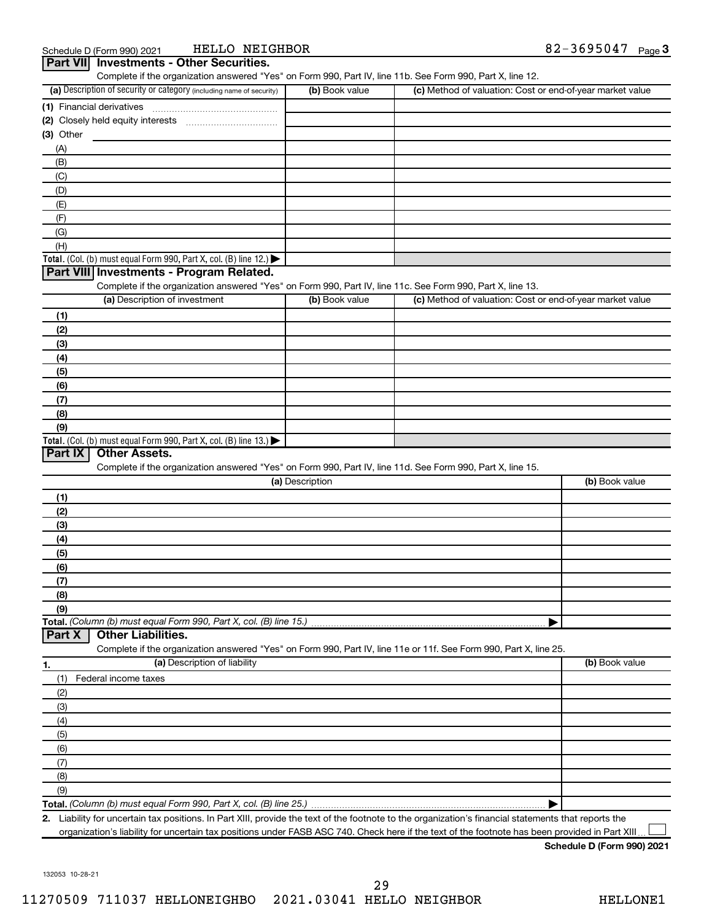| Schedule D (Form 990) 2021 |                                                 | HELLO NEIGHBOR | 82-3695047 | Page $3$ |
|----------------------------|-------------------------------------------------|----------------|------------|----------|
|                            | <b>Part VII</b> Investments - Other Securities. |                |            |          |

|                                                                                                                   |                 | Complete if the organization answered "Yes" on Form 990, Part IV, line 11b. See Form 990, Part X, line 12. |                |
|-------------------------------------------------------------------------------------------------------------------|-----------------|------------------------------------------------------------------------------------------------------------|----------------|
| (a) Description of security or category (including name of security)                                              | (b) Book value  | (c) Method of valuation: Cost or end-of-year market value                                                  |                |
|                                                                                                                   |                 |                                                                                                            |                |
|                                                                                                                   |                 |                                                                                                            |                |
| (3) Other                                                                                                         |                 |                                                                                                            |                |
| (A)                                                                                                               |                 |                                                                                                            |                |
| (B)                                                                                                               |                 |                                                                                                            |                |
| (C)                                                                                                               |                 |                                                                                                            |                |
| (D)                                                                                                               |                 |                                                                                                            |                |
| (E)                                                                                                               |                 |                                                                                                            |                |
| (F)                                                                                                               |                 |                                                                                                            |                |
| (G)                                                                                                               |                 |                                                                                                            |                |
| (H)                                                                                                               |                 |                                                                                                            |                |
| Total. (Col. (b) must equal Form 990, Part X, col. (B) line 12.)                                                  |                 |                                                                                                            |                |
| Part VIII Investments - Program Related.                                                                          |                 |                                                                                                            |                |
| Complete if the organization answered "Yes" on Form 990, Part IV, line 11c. See Form 990, Part X, line 13.        |                 |                                                                                                            |                |
| (a) Description of investment                                                                                     | (b) Book value  | (c) Method of valuation: Cost or end-of-year market value                                                  |                |
|                                                                                                                   |                 |                                                                                                            |                |
| (1)                                                                                                               |                 |                                                                                                            |                |
| (2)                                                                                                               |                 |                                                                                                            |                |
| (3)                                                                                                               |                 |                                                                                                            |                |
| (4)                                                                                                               |                 |                                                                                                            |                |
| (5)                                                                                                               |                 |                                                                                                            |                |
| (6)                                                                                                               |                 |                                                                                                            |                |
| (7)                                                                                                               |                 |                                                                                                            |                |
| (8)                                                                                                               |                 |                                                                                                            |                |
| (9)                                                                                                               |                 |                                                                                                            |                |
| Total. (Col. (b) must equal Form 990, Part X, col. (B) line 13.)                                                  |                 |                                                                                                            |                |
| Part IX<br><b>Other Assets.</b>                                                                                   |                 |                                                                                                            |                |
| Complete if the organization answered "Yes" on Form 990, Part IV, line 11d. See Form 990, Part X, line 15.        |                 |                                                                                                            |                |
|                                                                                                                   | (a) Description |                                                                                                            | (b) Book value |
| (1)                                                                                                               |                 |                                                                                                            |                |
| (2)                                                                                                               |                 |                                                                                                            |                |
| (3)                                                                                                               |                 |                                                                                                            |                |
| (4)                                                                                                               |                 |                                                                                                            |                |
| (5)                                                                                                               |                 |                                                                                                            |                |
| (6)                                                                                                               |                 |                                                                                                            |                |
| (7)                                                                                                               |                 |                                                                                                            |                |
| (8)                                                                                                               |                 |                                                                                                            |                |
| (9)                                                                                                               |                 |                                                                                                            |                |
| Total. (Column (b) must equal Form 990, Part X, col. (B) line 15.)                                                |                 |                                                                                                            |                |
| Part X<br><b>Other Liabilities.</b>                                                                               |                 |                                                                                                            |                |
|                                                                                                                   |                 |                                                                                                            |                |
| Complete if the organization answered "Yes" on Form 990, Part IV, line 11e or 11f. See Form 990, Part X, line 25. |                 |                                                                                                            |                |
| (a) Description of liability<br>1.                                                                                |                 |                                                                                                            | (b) Book value |
| Federal income taxes<br>(1)                                                                                       |                 |                                                                                                            |                |
| (2)                                                                                                               |                 |                                                                                                            |                |
|                                                                                                                   |                 |                                                                                                            |                |
| (3)                                                                                                               |                 |                                                                                                            |                |
| (4)                                                                                                               |                 |                                                                                                            |                |
| (5)                                                                                                               |                 |                                                                                                            |                |
| (6)                                                                                                               |                 |                                                                                                            |                |
| (7)                                                                                                               |                 |                                                                                                            |                |
| (8)                                                                                                               |                 |                                                                                                            |                |
| (9)                                                                                                               |                 |                                                                                                            |                |

**2.** Liability for uncertain tax positions. In Part XIII, provide the text of the footnote to the organization's financial statements that reports the organization's liability for uncertain tax positions under FASB ASC 740. Check here if the text of the footnote has been provided in Part XIII  $\perp$ 

**Schedule D (Form 990) 2021**

132053 10-28-21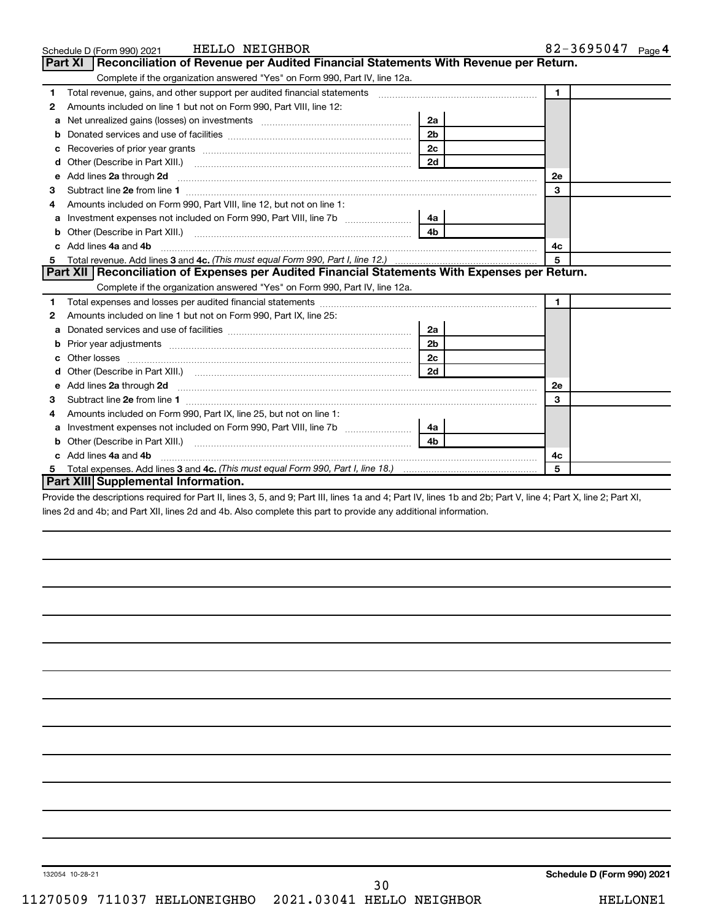|    | HELLO NEIGHBOR<br>Schedule D (Form 990) 2021                                                                                                                                                                                       |                | 82-3695047 Page 4 |
|----|------------------------------------------------------------------------------------------------------------------------------------------------------------------------------------------------------------------------------------|----------------|-------------------|
|    | Reconciliation of Revenue per Audited Financial Statements With Revenue per Return.<br><b>Part XI</b>                                                                                                                              |                |                   |
|    | Complete if the organization answered "Yes" on Form 990, Part IV, line 12a.                                                                                                                                                        |                |                   |
| 1  | Total revenue, gains, and other support per audited financial statements [[[[[[[[[[[[[[[[[[[[[[[[[]]]]]]]]]]]                                                                                                                      |                | $\mathbf 1$       |
| 2  | Amounts included on line 1 but not on Form 990, Part VIII, line 12:                                                                                                                                                                |                |                   |
|    |                                                                                                                                                                                                                                    | 2a             |                   |
| b  |                                                                                                                                                                                                                                    | 2 <sub>b</sub> |                   |
| c  |                                                                                                                                                                                                                                    | 2c             |                   |
| d  |                                                                                                                                                                                                                                    | 2d             |                   |
| e  | Add lines 2a through 2d <b>manufactures</b> in the contract of the contract of the contract of the contract of the contract of the contract of the contract of the contract of the contract of the contract of the contract of the |                | 2e                |
| з  |                                                                                                                                                                                                                                    |                | 3                 |
|    | Amounts included on Form 990. Part VIII. line 12, but not on line 1:                                                                                                                                                               |                |                   |
| a  | Investment expenses not included on Form 990, Part VIII, line 7b                                                                                                                                                                   | 4a             |                   |
|    |                                                                                                                                                                                                                                    | 4 <sub>b</sub> |                   |
| C. | Add lines 4a and 4b                                                                                                                                                                                                                |                | 4c                |
| 5  |                                                                                                                                                                                                                                    |                | 5                 |
|    | Part XII   Reconciliation of Expenses per Audited Financial Statements With Expenses per Return.                                                                                                                                   |                |                   |
|    | Complete if the organization answered "Yes" on Form 990, Part IV, line 12a.                                                                                                                                                        |                |                   |
| 1. |                                                                                                                                                                                                                                    |                | $\blacksquare$    |
| 2  | Amounts included on line 1 but not on Form 990, Part IX, line 25:                                                                                                                                                                  |                |                   |
| a  |                                                                                                                                                                                                                                    | 2a             |                   |
| b  |                                                                                                                                                                                                                                    | 2 <sub>b</sub> |                   |
| c  |                                                                                                                                                                                                                                    | 2 <sub>c</sub> |                   |
|    |                                                                                                                                                                                                                                    | 2d             |                   |
|    |                                                                                                                                                                                                                                    |                | 2е                |
| 3  |                                                                                                                                                                                                                                    |                | 3                 |
| 4  | Amounts included on Form 990, Part IX, line 25, but not on line 1:                                                                                                                                                                 |                |                   |
|    | a Investment expenses not included on Form 990, Part VIII, line 7b [11, 11, 11, 11, 11]                                                                                                                                            | 4a             |                   |
| b  |                                                                                                                                                                                                                                    | 4b             |                   |
|    | c Add lines 4a and 4b                                                                                                                                                                                                              |                | 4с                |
|    |                                                                                                                                                                                                                                    |                | 5                 |
|    | Part XIII Supplemental Information.                                                                                                                                                                                                |                |                   |

Provide the descriptions required for Part II, lines 3, 5, and 9; Part III, lines 1a and 4; Part IV, lines 1b and 2b; Part V, line 4; Part X, line 2; Part XI, lines 2d and 4b; and Part XII, lines 2d and 4b. Also complete this part to provide any additional information.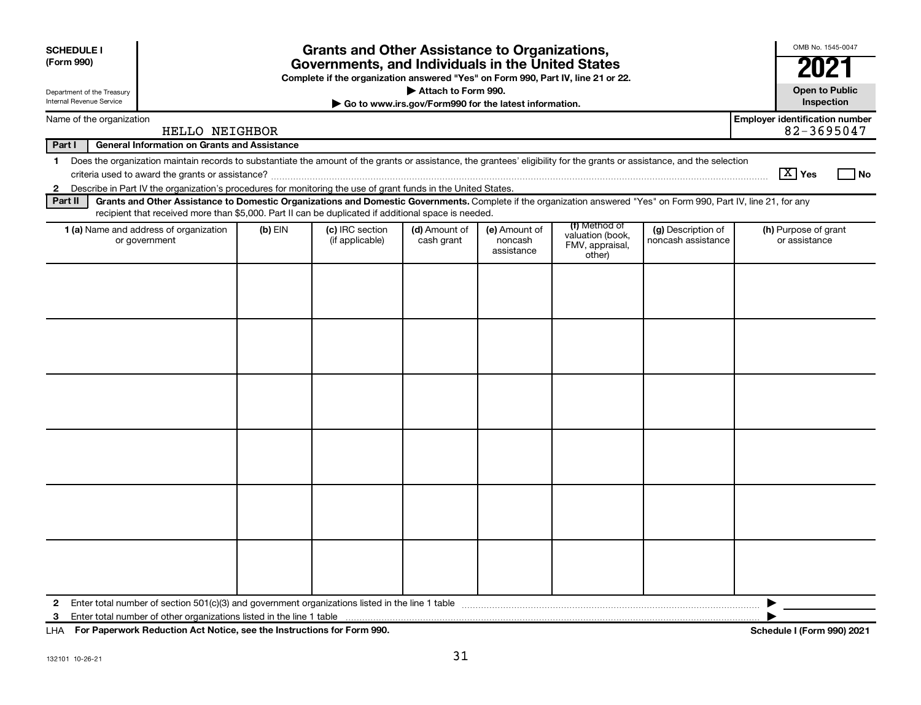| <b>SCHEDULE I</b>                                                                                                                                                                                                                                                                                                                                                                                       |                                                                                                                                                                          |           | <b>Grants and Other Assistance to Organizations,</b> |                             |                                        |                                                                |                                          | OMB No. 1545-0047                     |  |  |
|---------------------------------------------------------------------------------------------------------------------------------------------------------------------------------------------------------------------------------------------------------------------------------------------------------------------------------------------------------------------------------------------------------|--------------------------------------------------------------------------------------------------------------------------------------------------------------------------|-----------|------------------------------------------------------|-----------------------------|----------------------------------------|----------------------------------------------------------------|------------------------------------------|---------------------------------------|--|--|
| (Form 990)<br>Governments, and Individuals in the United States<br>Complete if the organization answered "Yes" on Form 990, Part IV, line 21 or 22.                                                                                                                                                                                                                                                     |                                                                                                                                                                          |           |                                                      |                             |                                        |                                                                |                                          | 202                                   |  |  |
| Department of the Treasury<br>Internal Revenue Service                                                                                                                                                                                                                                                                                                                                                  | Attach to Form 990.<br>Go to www.irs.gov/Form990 for the latest information.                                                                                             |           |                                                      |                             |                                        |                                                                |                                          |                                       |  |  |
| <b>Employer identification number</b><br>Name of the organization<br>HELLO NEIGHBOR                                                                                                                                                                                                                                                                                                                     |                                                                                                                                                                          |           |                                                      |                             |                                        |                                                                |                                          |                                       |  |  |
| Part I                                                                                                                                                                                                                                                                                                                                                                                                  | <b>General Information on Grants and Assistance</b>                                                                                                                      |           |                                                      |                             |                                        |                                                                |                                          |                                       |  |  |
| $\mathbf 1$                                                                                                                                                                                                                                                                                                                                                                                             | Does the organization maintain records to substantiate the amount of the grants or assistance, the grantees' eligibility for the grants or assistance, and the selection |           |                                                      |                             |                                        |                                                                |                                          | $ \mathbf{X} $ Yes<br>l No            |  |  |
| 2 Describe in Part IV the organization's procedures for monitoring the use of grant funds in the United States.<br>Grants and Other Assistance to Domestic Organizations and Domestic Governments. Complete if the organization answered "Yes" on Form 990, Part IV, line 21, for any<br>Part II<br>recipient that received more than \$5,000. Part II can be duplicated if additional space is needed. |                                                                                                                                                                          |           |                                                      |                             |                                        |                                                                |                                          |                                       |  |  |
|                                                                                                                                                                                                                                                                                                                                                                                                         | 1 (a) Name and address of organization<br>or government                                                                                                                  | $(b)$ EIN | (c) IRC section<br>(if applicable)                   | (d) Amount of<br>cash grant | (e) Amount of<br>noncash<br>assistance | (f) Method of<br>valuation (book,<br>FMV, appraisal,<br>other) | (g) Description of<br>noncash assistance | (h) Purpose of grant<br>or assistance |  |  |
|                                                                                                                                                                                                                                                                                                                                                                                                         |                                                                                                                                                                          |           |                                                      |                             |                                        |                                                                |                                          |                                       |  |  |
|                                                                                                                                                                                                                                                                                                                                                                                                         |                                                                                                                                                                          |           |                                                      |                             |                                        |                                                                |                                          |                                       |  |  |
|                                                                                                                                                                                                                                                                                                                                                                                                         |                                                                                                                                                                          |           |                                                      |                             |                                        |                                                                |                                          |                                       |  |  |
|                                                                                                                                                                                                                                                                                                                                                                                                         |                                                                                                                                                                          |           |                                                      |                             |                                        |                                                                |                                          |                                       |  |  |
|                                                                                                                                                                                                                                                                                                                                                                                                         |                                                                                                                                                                          |           |                                                      |                             |                                        |                                                                |                                          |                                       |  |  |
|                                                                                                                                                                                                                                                                                                                                                                                                         |                                                                                                                                                                          |           |                                                      |                             |                                        |                                                                |                                          |                                       |  |  |
| 2<br>3                                                                                                                                                                                                                                                                                                                                                                                                  |                                                                                                                                                                          |           |                                                      |                             |                                        |                                                                |                                          |                                       |  |  |

**For Paperwork Reduction Act Notice, see the Instructions for Form 990. Schedule I (Form 990) 2021** LHA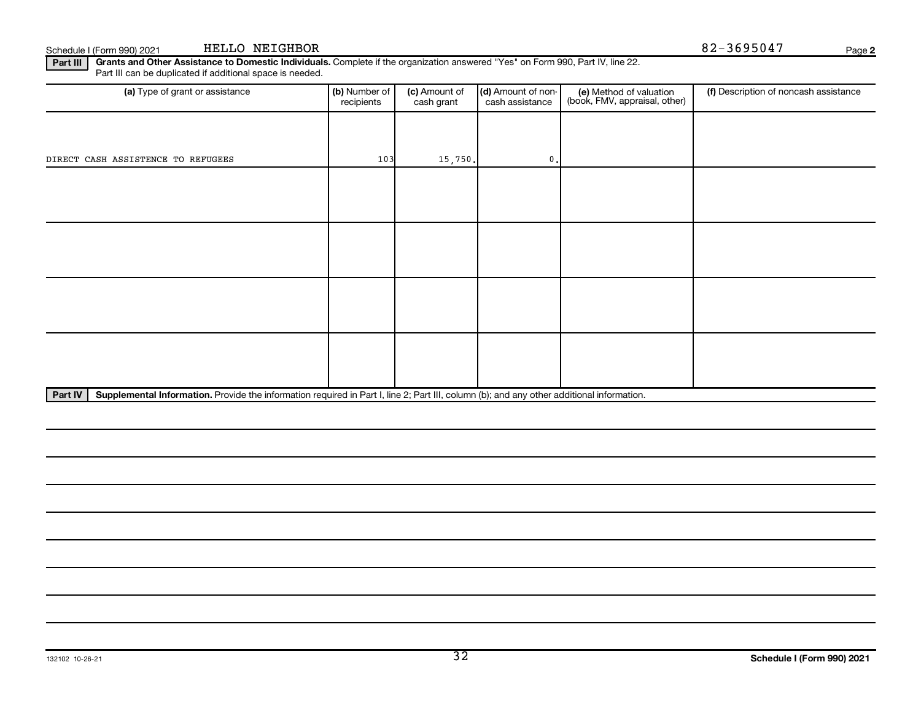**Part III | Grants and Other Assistance to Domestic Individuals.** Complete if the organization answered "Yes" on Form 990, Part IV, line 22. Part III can be duplicated if additional space is needed.

| (b) Number of<br>recipients | (c) Amount of<br>cash grant | (d) Amount of non-<br>cash assistance | (e) Method of valuation<br>(book, FMV, appraisal, other) | (f) Description of noncash assistance |
|-----------------------------|-----------------------------|---------------------------------------|----------------------------------------------------------|---------------------------------------|
|                             |                             |                                       |                                                          |                                       |
|                             |                             | $\mathbf{0}$ .                        |                                                          |                                       |
|                             |                             |                                       |                                                          |                                       |
|                             |                             |                                       |                                                          |                                       |
|                             |                             |                                       |                                                          |                                       |
|                             |                             |                                       |                                                          |                                       |
|                             |                             |                                       |                                                          |                                       |
|                             |                             |                                       |                                                          |                                       |
|                             |                             |                                       |                                                          |                                       |
|                             |                             |                                       |                                                          |                                       |
|                             |                             | 103                                   | 15,750.<br>$\mathbf{a}$<br>$\sim$ $\sim$ $\sim$ $\sim$   | $\cdots$                              |

Part IV | Supplemental Information. Provide the information required in Part I, line 2; Part III, column (b); and any other additional information.